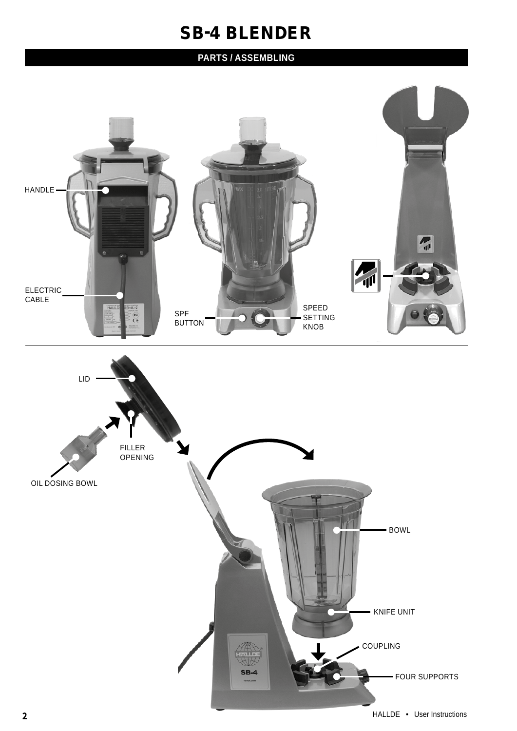## SB-4 BLENDER

## **PARTS / ASSEMBLING**

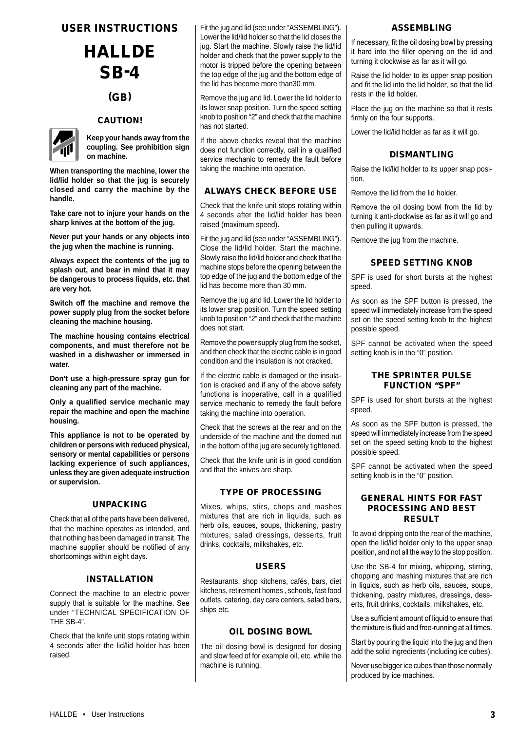## USER INSTRUCTIONS

# HALLDE SB-4

## (GB)

## CAUTION!



**Keep your hands away from the coupling. See prohibition sign on machine.** 

**When transporting the machine, lower the lid/lid holder so that the jug is securely closed and carry the machine by the handle.**

**Take care not to injure your hands on the sharp knives at the bottom of the jug.**

**Never put your hands or any objects into the jug when the machine is running.**

**Always expect the contents of the jug to splash out, and bear in mind that it may be dangerous to process liquids, etc. that are very hot.**

**Switch off the machine and remove the power supply plug from the socket before cleaning the machine housing.**

**The machine housing contains electrical components, and must therefore not be washed in a dishwasher or immersed in water.**

**Don't use a high-pressure spray gun for cleaning any part of the machine.**

**Only a qualified service mechanic may repair the machine and open the machine housing.**

**This appliance is not to be operated by children or persons with reduced physical, sensory or mental capabilities or persons lacking experience of such appliances, unless they are given adequate instruction or supervision.**

## UNPACKING

Check that all of the parts have been delivered, that the machine operates as intended, and that nothing has been damaged in transit. The machine supplier should be notified of any shortcomings within eight days.

## INSTALLATION

Connect the machine to an electric power supply that is suitable for the machine. See under "TECHNICAL SPECIFICATION OF THE SB-4".

Check that the knife unit stops rotating within 4 seconds after the lid/lid holder has been raised.

Fit the jug and lid (see under "ASSEMBLING"). Lower the lid/lid holder so that the lid closes the jug. Start the machine. Slowly raise the lid/lid holder and check that the power supply to the motor is tripped before the opening between the top edge of the jug and the bottom edge of the lid has become more than30 mm.

Remove the jug and lid. Lower the lid holder to its lower snap position. Turn the speed setting knob to position "2" and check that the machine has not started.

If the above checks reveal that the machine does not function correctly, call in a qualified service mechanic to remedy the fault before taking the machine into operation.

## ALWAYS CHECK BEFORE USE

Check that the knife unit stops rotating within 4 seconds after the lid/lid holder has been raised (maximum speed).

Fit the jug and lid (see under "ASSEMBLING"). Close the lid/lid holder. Start the machine. Slowly raise the lid/lid holder and check that the machine stops before the opening between the top edge of the jug and the bottom edge of the lid has become more than 30 mm.

Remove the jug and lid. Lower the lid holder to its lower snap position. Turn the speed setting knob to position "2" and check that the machine does not start.

Remove the power supply plug from the socket, and then check that the electric cable is in good condition and the insulation is not cracked.

If the electric cable is damaged or the insulation is cracked and if any of the above safety functions is inoperative, call in a qualified service mechanic to remedy the fault before taking the machine into operation.

Check that the screws at the rear and on the underside of the machine and the domed nut in the bottom of the jug are securely tightened.

Check that the knife unit is in good condition and that the knives are sharp.

## TYPE OF PROCESSING

Mixes, whips, stirs, chops and mashes mixtures that are rich in liquids, such as herb oils, sauces, soups, thickening, pastry mixtures, salad dressings, desserts, fruit drinks, cocktails, milkshakes, etc.

## USERS

Restaurants, shop kitchens, cafés, bars, diet kitchens, retirement homes , schools, fast food outlets, catering, day care centers, salad bars, ships etc.

## OIL DOSING BOWL

The oil dosing bowl is designed for dosing and slow feed of for example oil, etc. while the machine is running.

#### **ASSEMBLING**

If necessary, fit the oil dosing bowl by pressing it hard into the filler opening on the lid and turning it clockwise as far as it will go.

Raise the lid holder to its upper snap position and fit the lid into the lid holder, so that the lid rests in the lid holder.

Place the jug on the machine so that it rests firmly on the four supports.

Lower the lid/lid holder as far as it will go.

## DISMANTLING

Raise the lid/lid holder to its upper snap position.

Remove the lid from the lid holder.

Remove the oil dosing bowl from the lid by turning it anti-clockwise as far as it will go and then pulling it upwards.

Remove the jug from the machine.

## SPEED SETTING KNOB

SPF is used for short bursts at the highest speed.

As soon as the SPF button is pressed, the speed will immediately increase from the speed set on the speed setting knob to the highest possible speed.

SPF cannot be activated when the speed setting knob is in the "0" position.

## THE SPRINTER PULSE FUNCTION "SPF"

SPF is used for short bursts at the highest speed.

As soon as the SPF button is pressed, the speed will immediately increase from the speed set on the speed setting knob to the highest possible speed.

SPF cannot be activated when the speed setting knob is in the "0" position.

## GENERAL HINTS FOR FAST PROCESSING AND BEST RESULT

To avoid dripping onto the rear of the machine, open the lid/lid holder only to the upper snap position, and not all the way to the stop position.

Use the SB-4 for mixing, whipping, stirring, chopping and mashing mixtures that are rich in liquids, such as herb oils, sauces, soups, thickening, pastry mixtures, dressings, desserts, fruit drinks, cocktails, milkshakes, etc.

Use a sufficient amount of liquid to ensure that the mixture is fluid and free-running at all times.

Start by pouring the liquid into the jug and then add the solid ingredients (including ice cubes).

Never use bigger ice cubes than those normally produced by ice machines.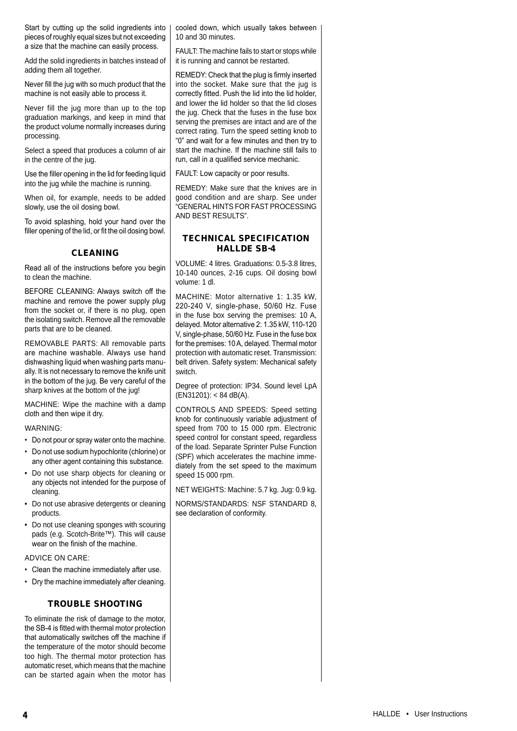Start by cutting up the solid ingredients into pieces of roughly equal sizes but not exceeding a size that the machine can easily process.

Add the solid ingredients in batches instead of adding them all together.

Never fill the jug with so much product that the machine is not easily able to process it.

Never fill the jug more than up to the top graduation markings, and keep in mind that the product volume normally increases during processing.

Select a speed that produces a column of air in the centre of the jug.

Use the filler opening in the lid for feeding liquid into the jug while the machine is running.

When oil, for example, needs to be added slowly, use the oil dosing bowl.

To avoid splashing, hold your hand over the filler opening of the lid, or fit the oil dosing bowl.

## CLEANING

Read all of the instructions before you begin to clean the machine.

BEFORE CLEANING: Always switch off the machine and remove the power supply plug from the socket or, if there is no plug, open the isolating switch. Remove all the removable parts that are to be cleaned.

REMOVABLE PARTS: All removable parts are machine washable. Always use hand dishwashing liquid when washing parts manually. It is not necessary to remove the knife unit in the bottom of the jug. Be very careful of the sharp knives at the bottom of the jug!

MACHINE: Wipe the machine with a damp cloth and then wipe it dry.

WARNING:

- Do not pour or spray water onto the machine.
- Do not use sodium hypochlorite (chlorine) or any other agent containing this substance.
- Do not use sharp objects for cleaning or any objects not intended for the purpose of cleaning.
- Do not use abrasive detergents or cleaning products.
- Do not use cleaning sponges with scouring pads (e.g. Scotch-Brite™). This will cause wear on the finish of the machine.

#### ADVICE ON CARE:

- Clean the machine immediately after use.
- Dry the machine immediately after cleaning.

## TROUBLE SHOOTING

To eliminate the risk of damage to the motor, the SB-4 is fitted with thermal motor protection that automatically switches off the machine if the temperature of the motor should become too high. The thermal motor protection has automatic reset, which means that the machine can be started again when the motor has cooled down, which usually takes between 10 and 30 minutes.

FAULT: The machine fails to start or stops while it is running and cannot be restarted.

REMEDY: Check that the plug is firmly inserted into the socket. Make sure that the jug is correctly fitted. Push the lid into the lid holder, and lower the lid holder so that the lid closes the jug. Check that the fuses in the fuse box serving the premises are intact and are of the correct rating. Turn the speed setting knob to "0" and wait for a few minutes and then try to start the machine. If the machine still fails to run, call in a qualified service mechanic.

FAULT: Low capacity or poor results.

REMEDY: Make sure that the knives are in good condition and are sharp. See under "GENERAL HINTS FOR FAST PROCESSING AND BEST RESULTS".

## TECHNICAL SPECIFICATION HALLDE SB-4

VOLUME: 4 litres. Graduations: 0.5-3.8 litres, 10-140 ounces, 2-16 cups. Oil dosing bowl volume: 1 dl.

MACHINE: Motor alternative 1: 1.35 kW, 220-240 V, single-phase, 50/60 Hz. Fuse in the fuse box serving the premises: 10 A, delayed. Motor alternative 2: 1.35 kW, 110-120 V, single-phase, 50/60 Hz. Fuse in the fuse box for the premises: 10 A, delayed. Thermal motor protection with automatic reset. Transmission: belt driven. Safety system: Mechanical safety switch.

Degree of protection: IP34. Sound level LpA (EN31201): < 84 dB(A).

CONTROLS AND SPEEDS: Speed setting knob for continuously variable adjustment of speed from 700 to 15 000 rpm. Electronic speed control for constant speed, regardless of the load. Separate Sprinter Pulse Function (SPF) which accelerates the machine immediately from the set speed to the maximum speed 15 000 rpm.

NET WEIGHTS: Machine: 5.7 kg. Jug: 0.9 kg.

NORMS/STANDARDS: NSF STANDARD 8, see declaration of conformity.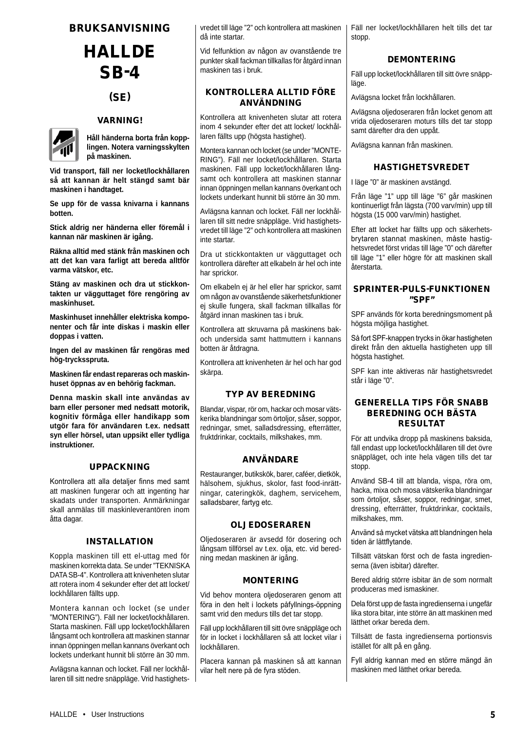## **HALLDE** SB-4

## (SE)

## VARNING!



**Håll händerna borta från kopplingen. Notera varningsskylten på maskinen.**

**Vid transport, fäll ner locket/lockhållaren så att kannan är helt stängd samt bär maskinen i handtaget.**

**Se upp för de vassa knivarna i kannans botten.**

**Stick aldrig ner händerna eller föremål i kannan när maskinen är igång.**

**Räkna alltid med stänk från maskinen och att det kan vara farligt att bereda alltför varma vätskor, etc.**

**Stäng av maskinen och dra ut stickkontakten ur vägguttaget före rengöring av maskinhuset.**

**Maskinhuset innehåller elektriska komponenter och får inte diskas i maskin eller doppas i vatten.**

**Ingen del av maskinen får rengöras med hög-trycksspruta.**

**Maskinen får endast repareras och maskinhuset öppnas av en behörig fackman.**

**Denna maskin skall inte användas av barn eller personer med nedsatt motorik, kognitiv förmåga eller handikapp som utgör fara för användaren t.ex. nedsatt syn eller hörsel, utan uppsikt eller tydliga instruktioner.**

## UPPACKNING

Kontrollera att alla detaljer finns med samt att maskinen fungerar och att ingenting har skadats under transporten. Anmärkningar skall anmälas till maskinleverantören inom åtta dagar.

#### INSTALLATION

Koppla maskinen till ett el-uttag med för maskinen korrekta data. Se under "TEKNISKA DATA SB-4". Kontrollera att knivenheten slutar att rotera inom 4 sekunder efter det att locket/ lockhållaren fällts upp.

Montera kannan och locket (se under "MONTERING"). Fäll ner locket/lockhållaren. Starta maskinen. Fäll upp locket/lockhållaren långsamt och kontrollera att maskinen stannar innan öppningen mellan kannans överkant och lockets underkant hunnit bli större än 30 mm.

Avlägsna kannan och locket. Fäll ner lockhållaren till sitt nedre snäppläge. Vrid hastighetsvredet till läge "2" och kontrollera att maskinen då inte startar.

Vid felfunktion av någon av ovanstående tre punkter skall fackman tillkallas för åtgärd innan maskinen tas i bruk.

## KONTROLLERA ALLTID FÖRE ANVÄNDNING

Kontrollera att knivenheten slutar att rotera inom 4 sekunder efter det att locket/ lockhållaren fällts upp (högsta hastighet).

Montera kannan och locket (se under "MONTE-RING"). Fäll ner locket/lockhållaren. Starta maskinen. Fäll upp locket/lockhållaren långsamt och kontrollera att maskinen stannar innan öppningen mellan kannans överkant och lockets underkant hunnit bli större än 30 mm.

Avlägsna kannan och locket. Fäll ner lockhållaren till sitt nedre snäppläge. Vrid hastighetsvredet till läge "2" och kontrollera att maskinen inte startar.

Dra ut stickkontakten ur vägguttaget och kontrollera därefter att elkabeln är hel och inte har sprickor.

Om elkabeln ej är hel eller har sprickor, samt om någon av ovanstående säkerhetsfunktioner ej skulle fungera, skall fackman tillkallas för åtgärd innan maskinen tas i bruk.

Kontrollera att skruvarna på maskinens bakoch undersida samt hattmuttern i kannans botten är åtdragna.

Kontrollera att knivenheten är hel och har god skärpa.

## TYP AV BEREDNING

Blandar, vispar, rör om, hackar och mosar vätskerika blandningar som örtoljor, såser, soppor, redningar, smet, salladsdressing, efterrätter, fruktdrinkar, cocktails, milkshakes, mm.

#### ANVÄNDARE

Restauranger, butikskök, barer, caféer, dietkök, hälsohem, sjukhus, skolor, fast food-inrättningar, cateringkök, daghem, servicehem, salladsbarer, fartyg etc.

## OLJEDOSERAREN

Oljedoseraren är avsedd för dosering och långsam tillförsel av t.ex. olja, etc. vid beredning medan maskinen är igång.

## MONTERING

Vid behov montera oljedoseraren genom att föra in den helt i lockets påfyllnings-öppning samt vrid den medurs tills det tar stopp.

Fäll upp lockhållaren till sitt övre snäppläge och för in locket i lockhållaren så att locket vilar i lockhållaren.

Placera kannan på maskinen så att kannan vilar helt nere på de fyra stöden.

Fäll ner locket/lockhållaren helt tills det tar stopp.

### DEMONTERING

Fäll upp locket/lockhållaren till sitt övre snäppläge.

Avlägsna locket från lockhållaren.

Avlägsna oljedoseraren från locket genom att vrida oljedoseraren moturs tills det tar stopp samt därefter dra den uppåt.

Avlägsna kannan från maskinen.

## HASTIGHETSVREDET

I läge "0" är maskinen avstängd.

Från läge "1" upp till läge "6" går maskinen kontinuerligt från lägsta (700 varv/min) upp till högsta (15 000 varv/min) hastighet.

Efter att locket har fällts upp och säkerhetsbrytaren stannat maskinen, måste hastighetsvredet först vridas till läge "0" och därefter till läge "1" eller högre för att maskinen skall återstarta

## SPRINTER-PULS-FUNKTIONEN "SPF"

SPF används för korta beredningsmoment på högsta möjliga hastighet.

Så fort SPF-knappen trycks in ökar hastigheten direkt från den aktuella hastigheten upp till högsta hastighet.

SPF kan inte aktiveras när hastighetsvredet står i läge "0".

## GENERELLA TIPS FÖR SNABB BEREDNING OCH BÄSTA RESULTAT

För att undvika dropp på maskinens baksida, fäll endast upp locket/lockhållaren till det övre snäppläget, och inte hela vägen tills det tar stopp.

Använd SB-4 till att blanda, vispa, röra om, hacka, mixa och mosa vätskerika blandningar som örtoljor, såser, soppor, redningar, smet, dressing, efterrätter, fruktdrinkar, cocktails, milkshakes, mm.

Använd så mycket vätska att blandningen hela tiden är lättflytande.

Tillsätt vätskan först och de fasta ingredienserna (även isbitar) därefter.

Bered aldrig större isbitar än de som normalt produceras med ismaskiner.

Dela först upp de fasta ingredienserna i ungefär lika stora bitar, inte större än att maskinen med lätthet orkar bereda dem.

Tillsätt de fasta ingredienserna portionsvis istället för allt på en gång.

Fyll aldrig kannan med en större mängd än maskinen med lätthet orkar bereda.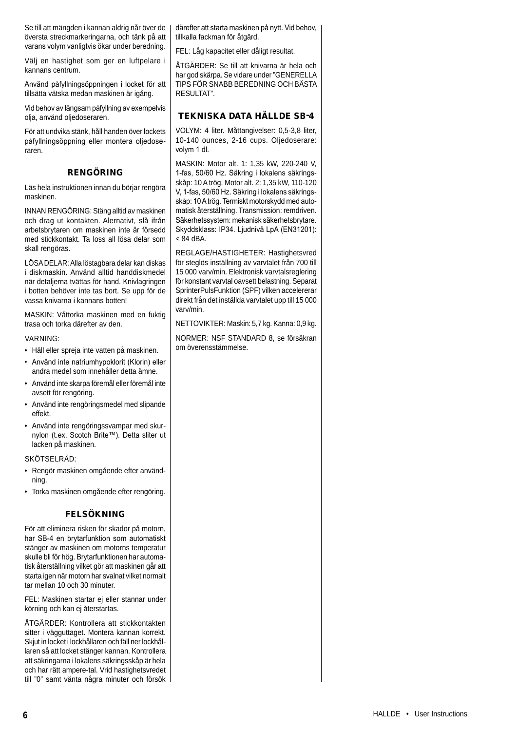Se till att mängden i kannan aldrig når över de översta streckmarkeringarna, och tänk på att varans volym vanligtvis ökar under beredning.

Välj en hastighet som ger en luftpelare i kannans centrum.

Använd påfyllningsöppningen i locket för att tillsätta vätska medan maskinen är igång.

Vid behov av långsam påfyllning av exempelvis olia, använd oliedoseraren.

För att undvika stänk, håll handen över lockets påfyllningsöppning eller montera oljedoseraren.

## RENGÖRING

Läs hela instruktionen innan du börjar rengöra maskinen.

INNAN RENGÖRING: Stäng alltid av maskinen och drag ut kontakten. Alernativt, slå ifrån arbetsbrytaren om maskinen inte är försedd med stickkontakt. Ta loss all lösa delar som skall rengöras.

LÖSA DELAR: Alla löstagbara delar kan diskas i diskmaskin. Använd alltid handdiskmedel när detaljerna tvättas för hand. Knivlagringen i botten behöver inte tas bort. Se upp för de vassa knivarna i kannans botten!

MASKIN: Våttorka maskinen med en fuktig trasa och torka därefter av den.

#### VARNING:

- Häll eller spreja inte vatten på maskinen.
- Använd inte natriumhypoklorit (Klorin) eller andra medel som innehåller detta ämne.
- Använd inte skarpa föremål eller föremål inte avsett för rengöring.
- Använd inte rengöringsmedel med slipande effekt.
- Använd inte rengöringssvampar med skurnylon (t.ex. Scotch Brite™). Detta sliter ut lacken på maskinen.

#### SKÖTSELRÅD:

- Rengör maskinen omgående efter användning.
- Torka maskinen omgående efter rengöring.

## FELSÖKNING

För att eliminera risken för skador på motorn, har SB-4 en brytarfunktion som automatiskt stänger av maskinen om motorns temperatur skulle bli för hög. Brytarfunktionen har automatisk återställning vilket gör att maskinen går att starta igen när motorn har svalnat vilket normalt tar mellan 10 och 30 minuter.

FEL: Maskinen startar ej eller stannar under körning och kan ej återstartas.

ÅTGÄRDER: Kontrollera att stickkontakten sitter i vägguttaget. Montera kannan korrekt. Skjut in locket i lockhållaren och fäll ner lockhållaren så att locket stänger kannan. Kontrollera att säkringarna i lokalens säkringsskåp är hela och har rätt ampere-tal. Vrid hastighetsvredet till "0" samt vänta några minuter och försök

därefter att starta maskinen på nytt. Vid behov, tillkalla fackman för åtgärd.

FEL: Låg kapacitet eller dåligt resultat.

ÅTGÄRDER: Se till att knivarna är hela och har god skärpa. Se vidare under "GENERELLA TIPS FÖR SNABB BEREDNING OCH BÄSTA RESULTAT"

## TEKNISKA DATA HÄLLDE SB-4

VOLYM: 4 liter. Måttangivelser: 0,5-3,8 liter, 10-140 ounces, 2-16 cups. Oljedoserare: volym 1 dl.

MASKIN: Motor alt. 1: 1,35 kW, 220-240 V, 1-fas, 50/60 Hz. Säkring i lokalens säkringsskåp: 10 A trög. Motor alt. 2: 1,35 kW, 110-120 V, 1-fas, 50/60 Hz. Säkring i lokalens säkringsskåp: 10 A trög. Termiskt motorskydd med automatisk återställning. Transmission: remdriven. Säkerhetssystem: mekanisk säkerhetsbrytare. Skyddsklass: IP34. Ljudnivå LpA (EN31201):  $< 84$  dBA.

REGLAGE/HASTIGHETER: Hastighetsvred för steglös inställning av varvtalet från 700 till 15 000 varv/min. Elektronisk varvtalsreglering för konstant varvtal oavsett belastning. Separat SprinterPulsFunktion (SPF) vilken accelererar direkt från det inställda varvtalet upp till 15 000 varv/min.

NETTOVIKTER: Maskin: 5,7 kg. Kanna: 0,9 kg.

NORMER: NSF STANDARD 8, se försäkran om överensstämmelse.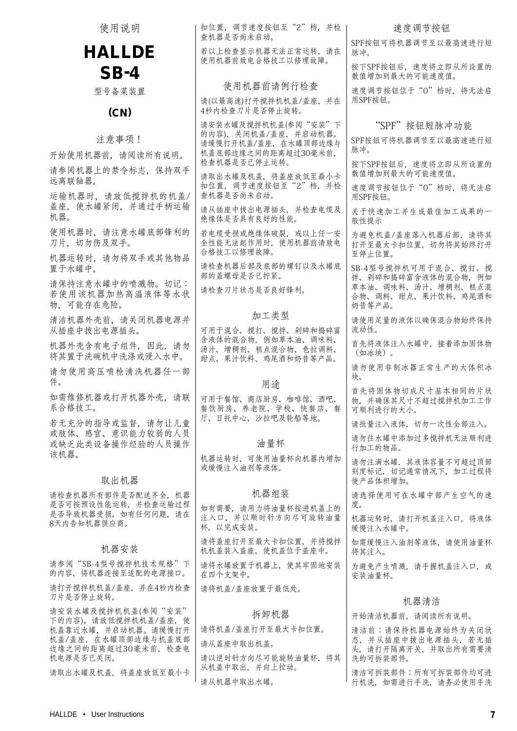| 使用说明                                                                           | 扣位置, 调节速度按钮至"2"档, 并检<br>查机器是否尚未启动。                              | 速度调节按钮                                                                   |
|--------------------------------------------------------------------------------|-----------------------------------------------------------------|--------------------------------------------------------------------------|
| <b>HALLDE</b>                                                                  | 若以上检查显示机器无法正常运转, 请在                                             | SPF按钮可将机器调节至以最高速进行短<br>脉冲。                                               |
| $SB-4$                                                                         | 使用机器前致电合格技工以修理故障。                                               | 按下SPF按钮后, 速度将立即从所设置的<br>数值增加到最大的可能速度值。                                   |
| 型号备菜装置                                                                         | 使用机器前请例行检查                                                      | 速度调节按钮位于"0"档时, 将无法启<br>用SPF按钮。                                           |
| (CN)                                                                           | 请(以最高速)打开搅拌机机盖/盖座,并在<br>4秒内检查刀片是否停止旋转。                          |                                                                          |
| 注意事项!                                                                          | 请安装水罐及搅拌机机盖(参阅"安装"下<br>的内容),关闭机盖/盖座,并启动机器。                      | "SPF"按钮短脉冲功能<br>SPF按钮可将机器调节至以最高速进行短                                      |
| 开始使用机器前,请阅读所有说明。                                                               | 请缓慢打开机盖/盖座, 在水罐顶部边缘与<br>机盖底部边缘之间的距离超过30毫米前,                     | 脉冲。                                                                      |
| 请参阅机器上的禁令标志, 保持双手<br>远离联轴器。                                                    | 检查机器是否已停止运转。<br>请取出水罐及机盖, 将盖座放低至最小卡                             | 按下SPF按钮后, 速度将立即从所设置的<br>数值增加到最大的可能速度值。                                   |
| 运输机器时,请放低搅拌机的机盖/                                                               | 扣位置, 调节速度按钮至"2"档, 并检<br>查机器是否尚未启动。                              | 速度调节按钮位于"0"档时, 将无法启<br>用SPF按钮。                                           |
| 盖座, 使水罐紧闭, 并通过手柄运输<br>机器。                                                      | 请从插座中拔出电源插头, 并检查电缆及<br>绝缘体是否具有良好的性能。                            | 关于快速加工并生成最佳加工成果的一<br>般性提示                                                |
| 使用机器时, 请注意水罐底部锋利的<br>刀片, 切勿伤及双手。                                               | 若电缆受损或绝缘体破裂, 或以上任一安<br>全性能无法起作用时, 使用机器前请致电<br>合格技工以修理故障。        | 为避免机盖/盖座落入机器后部, 请将其<br>打开至最大卡扣位置, 切勿将其始终打开<br>至停止位置。                     |
| 机器运转时, 请勿将双手或其他物品<br>置于水罐中。                                                    | 请检查机器后部及底部的螺钉以及水罐底<br>部的盖螺母是否已拧紧。                               | SB-4型号搅拌机可用于混合、搅打、搅<br>拌、剁碎和捣碎富含液体的混合物, 例如                               |
| 请保持注意水罐中的喷溅物。切记:<br>若使用该机器加热高温液体等水状<br>物,可能存在危险。                               | 请检查刀片状态是否良好锋利。                                                  | 草本油、调味料、汤汁、增稠剂、糕点混<br>合物、调料、甜点、果汁饮料、鸡尾酒和<br>奶昔等产品。                       |
| 清洁机器外壳前, 请关闭机器电源并<br>从插座中拔出电源插头。                                               | 加工类型<br>可用于混合、搅打、搅拌、剁碎和捣碎富                                      | 请使用足量的液体以确保混合物始终保持<br>流动性。                                               |
| 机器外壳含有电子组件, 因此, 请勿<br>将其置于洗碗机中洗涤或浸入水中。                                         | 含液体的混合物, 例如草本油、调味料、<br>汤汁、增稠剂、糕点混合物、色拉调料、<br>甜点、果汁饮料、鸡尾酒和奶昔等产品。 | 首先将液体注入水罐中, 接着添加固体物<br>(如冰块)。                                            |
| 请勿使用高压喷枪清洗机器任一部<br>件。                                                          | 用途                                                              | 请勿使用非制冰器正常生产的大体积冰<br>块。                                                  |
| 如需维修机器或打开机器外壳, 请联<br>系合格技工。                                                    | 可用于餐馆、商店厨房、咖啡馆、酒吧、<br>餐饮厨房、养老院、学校、快餐店、餐                         | 首先将固体物切成尺寸基本相同的片状<br>物,并确保其尺寸不超过搅拌机加工工作<br>可顺利进行的大小。                     |
| 若无充分的指导或监督,请勿让儿童<br>或肢体、感官、意识能力较弱的人员                                           | 厅、日托中心、沙拉吧及轮船等地。                                                | 请批量注入液体, 切勿一次性全部注入。                                                      |
| 或缺乏此类设备操作经验的人员操作<br>该机器。                                                       | 油量杯                                                             | 请勿往水罐中添加过多搅拌机无法顺利进<br>行加工的物品。                                            |
| 取出机器                                                                           | 机器运转时, 可使用油量杯向机器内增加<br>或缓慢注入油剂等液体。                              | 请勿注满水罐, 其液体容量不可超过顶部<br>刻度标记, 切记通常情况下, 加工过程将<br>使产品体积增加。                  |
| 请检查机器所有部件是否配送齐全, 机器<br>是否可按预设性能运转,并检查运输过程                                      | 机器组装                                                            | 请选择使用可在水罐中部产生空气的速<br>度。                                                  |
| 是否导致机器受损。如有任何问题,请在<br>8天内告知机器供应商。                                              | 如有需要,请用力将油量杯按进机盖上的<br>注入口,并以顺时针方向尽可旋转油量<br>杯, 以完成安装。            | 机器运转时, 请打开机盖注入口, 将液体<br>缓慢注入水罐中。                                         |
| 机器安装                                                                           | 请将盖座打开至最大卡扣位置, 并将搅拌<br>机机盖装入盖座, 使机盖位于盖座中。                       | 如需缓慢注入油剂等液体, 请使用油量杯<br>将其注入。                                             |
| 请参阅"SB-4型号搅拌机技术规格"下<br>的内容, 将机器连接至适配的电源接口。                                     | 请将水罐放置于机器上, 使其牢固地安装<br>在四个支架中。                                  | 为避免产生喷溅,请手握机盖注入口,或<br>安装油量杯。                                             |
| 请打开搅拌机机盖/盖座, 并在4秒内检查<br>刀片是否停止旋转。                                              | 请将机盖/盖座放置于最低处。                                                  | 机器清洁                                                                     |
| 请安装水罐及搅拌机机盖(参阅"安装"<br>下的内容)。请放低搅拌机机盖/盖座, 使                                     | 拆卸机器                                                            | 开始清洁机器前,请阅读所有说明。                                                         |
| 机盖靠近水罐, 并启动机器。请缓慢打开<br>机盖/盖座, 在水罐顶部边缘与机盖底部<br>边缘之间的距离超过30毫米前, 检查电<br>机电源是否已关闭。 | 请将机盖/盖座打开至最大卡扣位置。<br>请从盖座中取出机盖。<br>请以逆时针方向尽可能旋转油量杯, 将其          | 清洁前:请保持机器电源始终为关闭状<br>态,并从插座中拔出电源插头,若无插<br>头,请打开隔离开关,并取出所有需要清<br>洗的可拆装部件。 |
| 请取出水罐及机盖, 将盖座放低至最小卡                                                            | 从机盖中取出,并向上拉动。<br>请从机器中取出水罐。                                     | 清洁可拆装部件:所有可拆装部件均可进<br>行机洗, 如需进行手洗, 请务必使用手洗                               |
|                                                                                |                                                                 |                                                                          |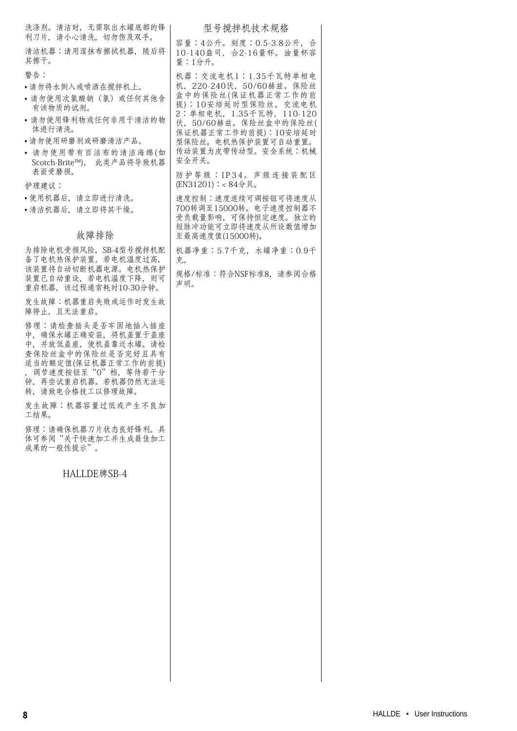| 洗涤剂。清洁时, 无需取出水罐底部的锋                                                                                                                                                           | 型号搅拌机技术规格                                                                                                                |  |
|-------------------------------------------------------------------------------------------------------------------------------------------------------------------------------|--------------------------------------------------------------------------------------------------------------------------|--|
| 利刀片,请小心清洗,切勿伤及双手。<br>清洁机器:请用湿抹布擦拭机器, 随后将                                                                                                                                      | 容量:4公升。刻度:0.5-3.8公升, 合<br>10-140盎司, 合2-16量杯。油量杯容                                                                         |  |
| 其擦干。                                                                                                                                                                          | 量:1分升。                                                                                                                   |  |
| 警告:<br>•请勿将水倒入或喷洒在搅拌机上。<br>• 请勿使用次氯酸钠(氯)或任何其他含<br>有该物质的试剂。                                                                                                                    | 机器:交流电机1:1.35千瓦特单相电<br>机, 220-240伏, 50/60赫兹。保险丝<br>盒中的保险丝(保证机器正常工作的前<br>提): 10安培延时型保险丝。交流电机<br>2: 单相电机, 1.35千瓦特, 110-120 |  |
| • 请勿使用锋利物或任何非用于清洁的物<br>体讲行清洗。                                                                                                                                                 | 伏, 50/60赫兹。保险丝盒中的保险丝(<br>保证机器正常工作的前提):10安培延时                                                                             |  |
| •请勿使用研磨剂或研磨清洁产品。                                                                                                                                                              | 型保险丝。电机热保护装置可自动重置。                                                                                                       |  |
| • 请勿使用带有百洁布的清洁海绵(如<br>Scotch-Brite™), 此类产品将导致机器<br>表面受磨损。                                                                                                                     | 传动装置为皮带传动型。安全系统:机械<br>安全开关。<br>防护等级: IP34。声级连接装配区                                                                        |  |
| 护理建议:                                                                                                                                                                         | (EN31201): < 84分贝。                                                                                                       |  |
| •使用机器后,请立即进行清洗。<br>•清洁机器后, 请立即将其干燥。                                                                                                                                           | 速度控制:速度连续可调按钮可将速度从<br>700转调至15000转。电子速度控制器不<br>受负载量影响,可保持恒定速度。独立的<br>短脉冲功能可立即将速度从所设数值增加                                  |  |
| 故障排除                                                                                                                                                                          | 至最高速度值(15000转)。                                                                                                          |  |
| 为排除电机受损风险, SB-4型号搅拌机配<br>备了电机热保护装置, 若电机温度过高,<br>该装置将自动切断机器电源。电机热保护                                                                                                            | 机器净重:5.7千克, 水罐净重:0.9千<br>克。                                                                                              |  |
| 装置已自动重设, 若电机温度下降, 则可<br>重启机器,该过程通常耗时10-30分钟。                                                                                                                                  | 规格/标准:符合NSF标准8, 请参阅合格<br>声明。                                                                                             |  |
| 发生故障:机器重启失败或运作时发生故<br>障停止, 且无法重启。                                                                                                                                             |                                                                                                                          |  |
| 修理:请检查插头是否牢固地插入插座<br>中, 确保水罐正确安装, 将机盖置于盖座<br>中,并放低盖座,使机盖靠近水罐。请检<br>查保险丝盒中的保险丝是否完好且具有<br>适当的额定值(保证机器正常工作的前提)<br>, 调节速度按钮至"0"档, 等待若干分<br>钟, 再尝试重启机器。若机器仍然无法运<br>转,请致电合格技工以修理故障。 |                                                                                                                          |  |
| 发生故障:机器容量过低或产生不良加<br>工结果。                                                                                                                                                     |                                                                                                                          |  |
| 修理:请确保机器刀片状态良好锋利。具<br>体可参阅"关于快速加工并生成最佳加工<br>成果的一般性提示"。                                                                                                                        |                                                                                                                          |  |
| HALLDE牌SB-4                                                                                                                                                                   |                                                                                                                          |  |
|                                                                                                                                                                               |                                                                                                                          |  |
|                                                                                                                                                                               |                                                                                                                          |  |
|                                                                                                                                                                               |                                                                                                                          |  |
|                                                                                                                                                                               |                                                                                                                          |  |
|                                                                                                                                                                               |                                                                                                                          |  |
|                                                                                                                                                                               |                                                                                                                          |  |
|                                                                                                                                                                               |                                                                                                                          |  |
|                                                                                                                                                                               |                                                                                                                          |  |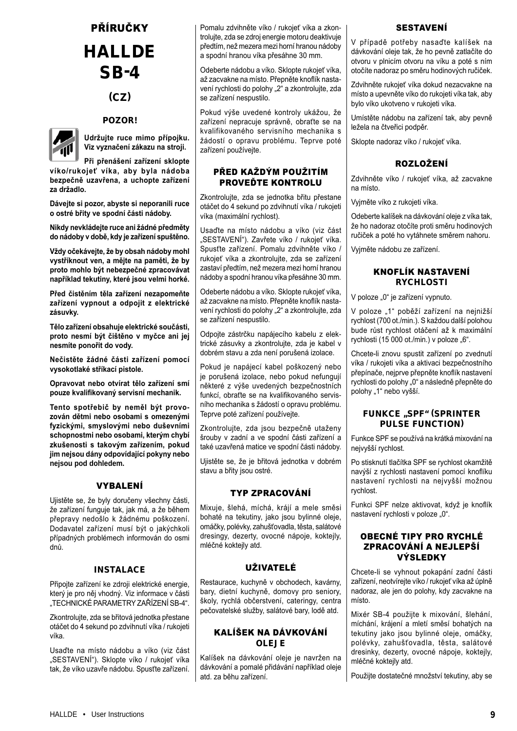## PŘÍRUČKY HALLDE SB-4

## (CZ)

## POZOR!



**Udržujte ruce mimo přípojku. Viz vyznačení zákazu na stroji.**

**Při přenášení zařízení sklopte víko/rukojeť víka, aby byla nádoba bezpečně uzavřena, a uchopte zařízení za držadlo.**

**Dávejte si pozor, abyste si neporanili ruce o ostré břity ve spodní části nádoby.**

**Nikdy nevkládejte ruce ani žádné předměty do nádoby v době, kdy je zařízení spuštěno.**

**Vždy očekávejte, že by obsah nádoby mohl vystříknout ven, a mějte na paměti, že by proto mohlo být nebezpečné zpracovávat například tekutiny, které jsou velmi horké.**

**Před čistěním těla zařízení nezapomeňte zařízení vypnout a odpojit z elektrické zásuvky.**

**Tělo zařízení obsahuje elektrické součásti, proto nesmí být čištěno v myčce ani jej nesmíte ponořit do vody.**

**Nečistěte žádné části zařízení pomocí vysokotlaké stříkací pistole.**

**Opravovat nebo otvírat tělo zařízení smí pouze kvalifikovaný servisní mechanik.**

**Tento spotřebič by neměl být provozován dětmi nebo osobami s omezenými fyzickými, smyslovými nebo duševními schopnostmi nebo osobami, kterým chybí zkušenosti s takovým zařízením, pokud jim nejsou dány odpovídající pokyny nebo nejsou pod dohledem.**

## VYBALENÍ

Ujistěte se, že byly doručeny všechny části, že zařízení funguje tak, jak má, a že během přepravy nedošlo k žádnému poškození. Dodavatel zařízení musí být o jakýchkoli případných problémech informován do osmi dnů.

## INSTALACE

Připojte zařízení ke zdroji elektrické energie, který je pro něj vhodný. Viz informace v části "TECHNICKÉ PARAMETRY ZAŘÍZENÍ SB-4".

Zkontrolujte, zda se břitová jednotka přestane otáčet do 4 sekund po zdvihnutí víka / rukojeti víka.

Usaďte na místo nádobu a víko (viz část "SESTAVENÍ"). Sklopte víko / rukojeť víka tak, že víko uzavře nádobu. Spusťte zařízení. Pomalu zdvihněte víko / rukojeť víka a zkontrolujte, zda se zdroj energie motoru deaktivuje předtím, než mezera mezi horní hranou nádoby a spodní hranou víka přesáhne 30 mm.

Odeberte nádobu a víko. Sklopte rukojeť víka, až zacvakne na místo. Přepněte knoflík nastavení rychlosti do polohy "2" a zkontrolujte, zda se zařízení nespustilo.

Pokud výše uvedené kontroly ukážou, že zařízení nepracuje správně, obraťte se na kvalifikovaného servisního mechanika s žádostí o opravu problému. Teprve poté zařízení používejte.

## PŘED KAŽDÝM POUŽITÍM PROVEĎTE KONTROLU

Zkontrolujte, zda se jednotka břitu přestane otáčet do 4 sekund po zdvihnutí víka / rukojeti víka (maximální rychlost).

Usaďte na místo nádobu a víko (viz část "SESTAVENÍ"). Zavřete víko / rukojeť víka. Spusťte zařízení. Pomalu zdvihněte víko / rukojeť víka a zkontrolujte, zda se zařízení zastaví předtím, než mezera mezi horní hranou nádoby a spodní hranou víka přesáhne 30 mm.

Odeberte nádobu a víko. Sklopte rukojeť víka, až zacvakne na místo. Přepněte knoflík nastavení rychlosti do polohy "2" a zkontrolujte, zda se zařízení nespustilo.

Odpojte zástrčku napájecího kabelu z elektrické zásuvky a zkontrolujte, zda je kabel v dobrém stavu a zda není porušená izolace.

Pokud je napájecí kabel poškozený nebo je porušená izolace, nebo pokud nefungují některé z výše uvedených bezpečnostních funkcí, obraťte se na kvalifikovaného servisního mechanika s žádostí o opravu problému. Teprve poté zařízení používejte.

Zkontrolujte, zda jsou bezpečně utaženy šrouby v zadní a ve spodní části zařízení a také uzavřená matice ve spodní části nádoby.

Ujistěte se, že je břitová jednotka v dobrém stavu a břity jsou ostré.

## TYP ZPRACOVÁNÍ

Mixuje, šlehá, míchá, krájí a mele směsi bohaté na tekutiny, jako jsou bylinné oleje, omáčky, polévky, zahušťovadla, těsta, salátové dresingy, dezerty, ovocné nápoje, koktejly, mléčné koktejly atd.

## UŽIVATELÉ

Restaurace, kuchyně v obchodech, kavárny, bary, dietní kuchyně, domovy pro seniory, školy, rychlá občerstvení, cateringy, centra pečovatelské služby, salátové bary, lodě atd.

## KALÍŠEK NA DÁVKOVÁNÍ OLEJE

Kalíšek na dávkování oleje je navržen na dávkování a pomalé přidávání například oleje atd. za běhu zařízení.

## SESTAVENÍ

V případě potřeby nasaďte kalíšek na dávkování oleje tak, že ho pevně zatlačíte do otvoru v plnicím otvoru na víku a poté s ním otočíte nadoraz po směru hodinových ručiček.

Zdvihněte rukojeť víka dokud nezacvakne na místo a upevněte víko do rukojeti víka tak, aby bylo víko ukotveno v rukojeti víka.

Umístěte nádobu na zařízení tak, aby pevně ležela na čtveřici podpěr.

Sklopte nadoraz víko / rukojeť víka.

## ROZLOŽENÍ

Zdvihněte víko / rukojeť víka, až zacvakne na místo.

Vyjměte víko z rukojeti víka.

Odeberte kalíšek na dávkování oleje z víka tak, že ho nadoraz otočíte proti směru hodinových ručiček a poté ho vytáhnete směrem nahoru.

Vyjměte nádobu ze zařízení.

## KNOFLÍK NASTAVENÍ RYCHLOSTI

V poloze "0" je zařízení vypnuto.

V poloze "1" poběží zařízení na nejnižší rychlost (700 ot./min.). S každou další polohou bude růst rychlost otáčení až k maximální rychlosti (15 000 ot./min.) v poloze " $6$ ".

Chcete-li znovu spustit zařízení po zvednutí víka / rukojeti víka a aktivaci bezpečnostního přepínače, nejprve přepněte knoflík nastavení rychlosti do polohy "0" a následně přepněte do polohy "1" nebo vyšší.

## FUNKCE "SPF" (SPRINTER PULSE FUNCTION)

Funkce SPF se používá na krátká mixování na nejvyšší rychlost.

Po stisknutí tlačítka SPF se rychlost okamžitě navýší z rychlosti nastavení pomocí knoflíku nastavení rychlosti na nejvyšší možnou rychlost.

Funkci SPF nelze aktivovat, když je knoflík nastavení rychlosti v poloze "0".

## OBECNÉ TIPY PRO RYCHLÉ ZPRACOVÁNÍ A NEJLEPŠÍ VÝSLEDKY

Chcete-li se vyhnout pokapání zadní části zařízení, neotvírejte víko / rukojeť víka až úplně nadoraz, ale jen do polohy, kdy zacvakne na místo.

Mixér SB-4 použijte k mixování, šlehání, míchání, krájení a mletí směsí bohatých na tekutiny jako jsou bylinné oleje, omáčky, polévky, zahušťovadla, těsta, salátové dresinky, dezerty, ovocné nápoje, koktejly, mléčné koktejly atd.

Použijte dostatečné množství tekutiny, aby se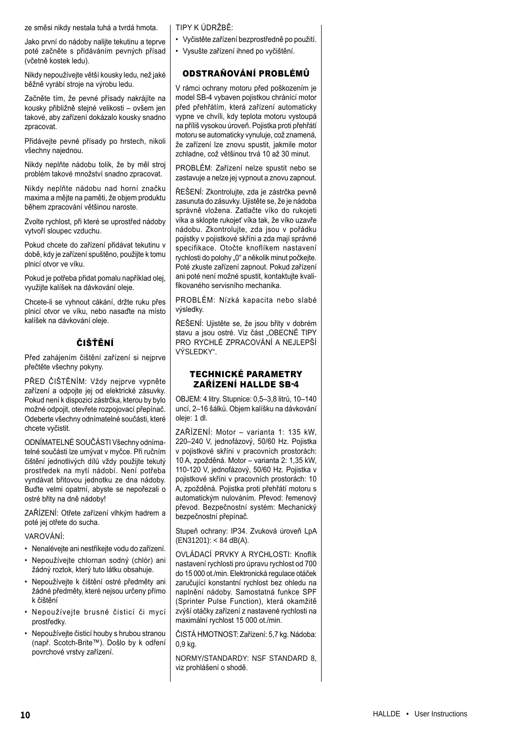ze směsi nikdy nestala tuhá a tvrdá hmota.

Jako první do nádoby nalijte tekutinu a teprve poté začněte s přidáváním pevných přísad (včetně kostek ledu).

Nikdy nepoužívejte větší kousky ledu, než jaké běžně vyrábí stroje na výrobu ledu.

Začněte tím, že pevné přísady nakrájíte na kousky přibližně stejné velikosti – ovšem jen takové, aby zařízení dokázalo kousky snadno zpracovat.

Přidávejte pevné přísady po hrstech, nikoli všechny najednou.

Nikdy neplňte nádobu tolik, že by měl stroj problém takové množství snadno zpracovat.

Nikdy neplňte nádobu nad horní značku maxima a mějte na paměti, že objem produktu během zpracování většinou naroste.

Zvolte rychlost, při které se uprostřed nádoby vytvoří sloupec vzduchu.

Pokud chcete do zařízení přidávat tekutinu v době, kdy je zařízení spuštěno, použijte k tomu plnicí otvor ve víku.

Pokud je potřeba přidat pomalu například olej, využijte kalíšek na dávkování oleje.

Chcete-li se vyhnout cákání, držte ruku přes plnicí otvor ve víku, nebo nasaďte na místo kalíšek na dávkování oleje.

## ČIŠŤĚNÍ

Před zahájením čištění zařízení si nejprve přečtěte všechny pokyny.

PŘED ČIŠTĚNÍM: Vždy nejprve vypněte zařízení a odpojte jej od elektrické zásuvky. Pokud není k dispozici zástrčka, kterou by bylo možné odpojit, otevřete rozpojovací přepínač. Odeberte všechny odnímatelné součásti, které chcete vyčistit.

ODNÍMATELNÉ SOUČÁSTI Všechny odnímatelné součásti lze umývat v myčce. Při ručním čištění jednotlivých dílů vždy použijte tekutý prostředek na mytí nádobí. Není potřeba vyndávat břitovou jednotku ze dna nádoby. Buďte velmi opatrní, abyste se nepořezali o ostré břity na dně nádoby!

ZAŘÍZENÍ: Otřete zařízení vlhkým hadrem a poté jej otřete do sucha.

VAROVÁNÍ:

- Nenalévejte ani nestříkejte vodu do zařízení.
- Nepoužívejte chlornan sodný (chlór) ani žádný roztok, který tuto látku obsahuje.
- Nepoužívejte k čištění ostré předměty ani žádné předměty, které nejsou určeny přímo k čištění
- Nepoužívejte brusné čisticí či mycí prostředky.
- Nepoužívejte čisticí houby s hrubou stranou (např. Scotch-Brite™). Došlo by k odření povrchové vrstvy zařízení.

TIPY K ÚDRŽBĚ:

- Vyčistěte zařízení bezprostředně po použití.
- Vysušte zařízení ihned po vyčištění.

## ODSTRAŇOVÁNÍ PROBLÉMŮ

V rámci ochrany motoru před poškozením je model SB-4 vybaven pojistkou chránící motor před přehřátím, která zařízení automaticky vypne ve chvíli, kdy teplota motoru vystoupá na příliš vysokou úroveň. Pojistka proti přehřátí motoru se automaticky vynuluje, což znamená, že zařízení lze znovu spustit, jakmile motor zchladne, což většinou trvá 10 až 30 minut.

PROBLÉM: Zařízení nelze spustit nebo se zastavuje a nelze jej vypnout a znovu zapnout.

ŘEŠENÍ: Zkontrolujte, zda je zástrčka pevně zasunuta do zásuvky. Ujistěte se, že je nádoba správně vložena. Zatlačte víko do rukojeti víka a sklopte rukojeť víka tak, že víko uzavře nádobu. Zkontrolujte, zda jsou v pořádku pojistky v pojistkové skříni a zda mají správné specifikace. Otočte knoflíkem nastavení rychlosti do polohy "0" a několik minut počkejte. Poté zkuste zařízení zapnout. Pokud zařízení ani poté není možné spustit, kontaktujte kvalifikovaného servisního mechanika.

PROBLÉM: Nízká kapacita nebo slabé výsledky.

ŘEŠENÍ: Ujistěte se, že jsou břity v dobrém stavu a jsou ostré. Viz část "OBECNÉ TIPY PRO RYCHLÉ ZPRACOVÁNÍ A NEJLEPŠÍ VÝSLEDKY".

## TECHNICKÉ PARAMETRY ZAŘÍZENÍ HALLDE SB-4

OBJEM: 4 litry. Stupnice: 0,5–3,8 litrů, 10–140 uncí, 2–16 šálků. Objem kalíšku na dávkování oleje: 1 dl.

ZAŘÍZENÍ: Motor – varianta 1: 135 kW, 220–240 V, jednofázový, 50/60 Hz. Pojistka v pojistkové skříni v pracovních prostorách: 10 A, zpožděná. Motor – varianta 2: 1,35 kW, 110-120 V, jednofázový, 50/60 Hz. Pojistka v pojistkové skříni v pracovních prostorách: 10 A, zpožděná. Pojistka proti přehřátí motoru s automatickým nulováním. Převod: řemenový převod. Bezpečnostní systém: Mechanický bezpečnostní přepínač.

Stupeň ochrany: IP34. Zvuková úroveň LpA (EN31201): < 84 dB(A).

OVLÁDACÍ PRVKY A RYCHLOSTI: Knoflík nastavení rychlosti pro úpravu rychlost od 700 do 15 000 ot./min. Elektronická regulace otáček zaručující konstantní rychlost bez ohledu na naplnění nádoby. Samostatná funkce SPF (Sprinter Pulse Function), která okamžitě zvýší otáčky zařízení z nastavené rychlosti na maximální rychlost 15 000 ot./min.

ČISTÁ HMOTNOST: Zařízení: 5,7 kg. Nádoba: 0,9 kg.

NORMY/STANDARDY: NSF STANDARD 8, viz prohlášení o shodě.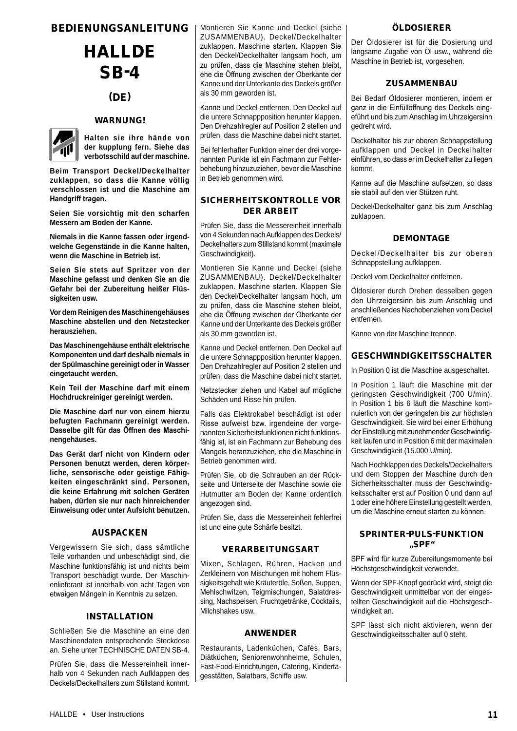## BEDIENUNGSANLEITUNG

## **HALLDE** SB-4

## (DE)

## **WARNUNG!**



**Halten sie ihre hände von der kupplung fern. Siehe das verbotsschild auf der maschine.**

**Beim Transport Deckel/Deckelhalter zuklappen, so dass die Kanne völlig verschlossen ist und die Maschine am Handgriff tragen.**

**Seien Sie vorsichtig mit den scharfen Messern am Boden der Kanne.**

**Niemals in die Kanne fassen oder irgendwelche Gegenstände in die Kanne halten, wenn die Maschine in Betrieb ist.**

**Seien Sie stets auf Spritzer von der Maschine gefasst und denken Sie an die Gefahr bei der Zubereitung heißer Flüssigkeiten usw.**

**Vor dem Reinigen des Maschinengehäuses Maschine abstellen und den Netzstecker herausziehen.**

**Das Maschinengehäuse enthält elektrische Komponenten und darf deshalb niemals in der Spülmaschine gereinigt oder in Wasser eingetaucht werden.**

**Kein Teil der Maschine darf mit einem Hochdruckreiniger gereinigt werden.**

**Die Maschine darf nur von einem hierzu befugten Fachmann gereinigt werden. Dasselbe gilt für das Öffnen des Maschinengehäuses.**

**Das Gerät darf nicht von Kindern oder Personen benutzt werden, deren körperliche, sensorische oder geistige Fähigkeiten eingeschränkt sind. Personen, die keine Erfahrung mit solchen Geräten haben, dürfen sie nur nach hinreichender Einweisung oder unter Aufsicht benutzen.**

## AUSPACKEN

Vergewissern Sie sich, dass sämtliche Teile vorhanden und unbeschädigt sind, die Maschine funktionsfähig ist und nichts beim Transport beschädigt wurde. Der Maschinenlieferant ist innerhalb von acht Tagen von etwaigen Mängeln in Kenntnis zu setzen.

## INSTALLATION

Schließen Sie die Maschine an eine den Maschinendaten entsprechende Steckdose an. Siehe unter TECHNISCHE DATEN SB-4.

Prüfen Sie, dass die Messereinheit innerhalb von 4 Sekunden nach Aufklappen des Deckels/Deckelhalters zum Stillstand kommt.

Montieren Sie Kanne und Deckel (siehe ZUSAMMENBAU). Deckel/Deckelhalter zuklappen. Maschine starten. Klappen Sie den Deckel/Deckelhalter langsam hoch, um zu prüfen, dass die Maschine stehen bleibt, ehe die Öffnung zwischen der Oberkante der Kanne und der Unterkante des Deckels größer als 30 mm geworden ist.

Kanne und Deckel entfernen. Den Deckel auf die untere Schnappposition herunter klappen. Den Drehzahlregler auf Position 2 stellen und prüfen, dass die Maschine dabei nicht startet.

Bei fehlerhafter Funktion einer der drei vorgenannten Punkte ist ein Fachmann zur Fehlerbehebung hinzuzuziehen, bevor die Maschine in Betrieb genommen wird.

#### SICHERHEITSKONTROLLE VOR DER ARBEIT

Prüfen Sie, dass die Messereinheit innerhalb von 4 Sekunden nach Aufklappen des Deckels/ Deckelhalters zum Stillstand kommt (maximale Geschwindigkeit).

Montieren Sie Kanne und Deckel (siehe ZUSAMMENBAU). Deckel/Deckelhalter zuklappen. Maschine starten. Klappen Sie den Deckel/Deckelhalter langsam hoch, um zu prüfen, dass die Maschine stehen bleibt, ehe die Öffnung zwischen der Oberkante der Kanne und der Unterkante des Deckels größer als 30 mm geworden ist.

Kanne und Deckel entfernen. Den Deckel auf die untere Schnappposition herunter klappen. Den Drehzahlregler auf Position 2 stellen und prüfen, dass die Maschine dabei nicht startet.

Netzstecker ziehen und Kabel auf mögliche Schäden und Risse hin prüfen.

Falls das Elektrokabel beschädigt ist oder Risse aufweist bzw. irgendeine der vorgenannten Sicherheitsfunktionen nicht funktionsfähig ist, ist ein Fachmann zur Behebung des Mangels heranzuziehen, ehe die Maschine in Betrieb genommen wird.

Prüfen Sie, ob die Schrauben an der Rückseite und Unterseite der Maschine sowie die Hutmutter am Boden der Kanne ordentlich angezogen sind.

Prüfen Sie, dass die Messereinheit fehlerfrei ist und eine gute Schärfe besitzt.

## VERARBEITUNGSART

Mixen, Schlagen, Rühren, Hacken und Zerkleinern von Mischungen mit hohem Flüssigkeitsgehalt wie Kräuteröle, Soßen, Suppen, Mehlschwitzen, Teigmischungen, Salatdressing, Nachspeisen, Fruchtgetränke, Cocktails, Milchshakes usw.

#### ANWENDER

Restaurants, Ladenküchen, Cafés, Bars, Diätküchen, Seniorenwohnheime, Schulen, Fast-Food-Einrichtungen, Catering, Kindertagesstätten, Salatbars, Schiffe usw.

#### ÖLDOSIERER

Der Öldosierer ist für die Dosierung und langsame Zugabe von Öl usw., während die Maschine in Betrieb ist, vorgesehen.

## ZUSAMMENBAU

Bei Bedarf Öldosierer montieren, indem er ganz in die Einfüllöffnung des Deckels eingeführt und bis zum Anschlag im Uhrzeigersinn gedreht wird.

Deckelhalter bis zur oberen Schnappstellung aufklappen und Deckel in Deckelhalter einführen, so dass er im Deckelhalter zu liegen kommt.

Kanne auf die Maschine aufsetzen, so dass sie stabil auf den vier Stützen ruht.

Deckel/Deckelhalter ganz bis zum Anschlag zuklappen.

## DEMONTAGE

Deckel/Deckelhalter bis zur oberen Schnappstellung aufklappen.

Deckel vom Deckelhalter entfernen.

Öldosierer durch Drehen desselben gegen den Uhrzeigersinn bis zum Anschlag und anschließendes Nachobenziehen vom Deckel entfernen.

Kanne von der Maschine trennen.

## GESCHWINDIGKEITSSCHALTER

In Position 0 ist die Maschine ausgeschaltet.

In Position 1 läuft die Maschine mit der geringsten Geschwindigkeit (700 U/min). In Position 1 bis 6 läuft die Maschine kontinuierlich von der geringsten bis zur höchsten Geschwindigkeit. Sie wird bei einer Erhöhung der Einstellung mit zunehmender Geschwindigkeit laufen und in Position 6 mit der maximalen Geschwindigkeit (15.000 U/min).

Nach Hochklappen des Deckels/Deckelhalters und dem Stoppen der Maschine durch den Sicherheitsschalter muss der Geschwindigkeitsschalter erst auf Position 0 und dann auf 1 oder eine höhere Einstellung gestellt werden, um die Maschine erneut starten zu können.

## SPRINTER-PULS-FUNKTION "SPF"

SPF wird für kurze Zubereitungsmomente bei Höchstgeschwindigkeit verwendet.

Wenn der SPF-Knopf gedrückt wird, steigt die Geschwindigkeit unmittelbar von der eingestellten Geschwindigkeit auf die Höchstgeschwindigkeit an.

SPF lässt sich nicht aktivieren, wenn der Geschwindigkeitsschalter auf 0 steht.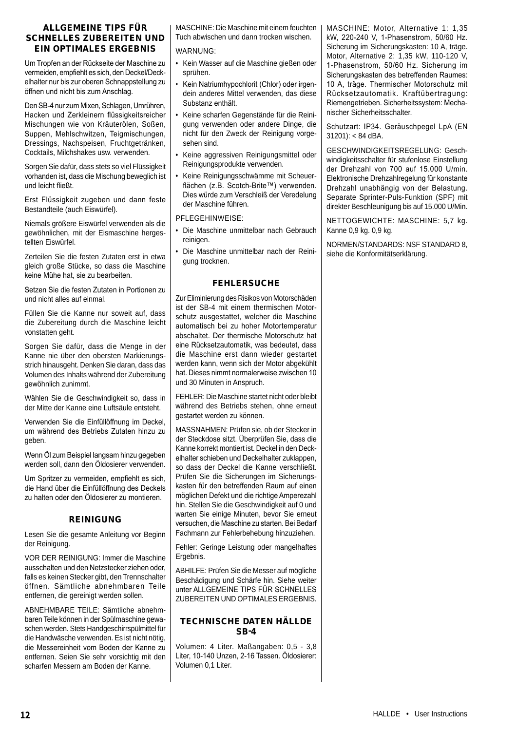#### ALLGEMEINE TIPS FÜR SCHNELLES ZUBEREITEN UND EIN OPTIMALES ERGEBNIS

Um Tropfen an der Rückseite der Maschine zu vermeiden, empfiehlt es sich, den Deckel/Deckelhalter nur bis zur oberen Schnappstellung zu öffnen und nicht bis zum Anschlag.

Den SB-4 nur zum Mixen, Schlagen, Umrühren, Hacken und Zerkleinern flüssigkeitsreicher Mischungen wie von Kräuterölen, Soßen, Suppen, Mehlschwitzen, Teigmischungen, Dressings, Nachspeisen, Fruchtgetränken, Cocktails, Milchshakes usw. verwenden.

Sorgen Sie dafür, dass stets so viel Flüssigkeit vorhanden ist, dass die Mischung beweglich ist und leicht fließt.

Erst Flüssigkeit zugeben und dann feste Bestandteile (auch Eiswürfel).

Niemals größere Eiswürfel verwenden als die gewöhnlichen, mit der Eismaschine hergestellten Eiswürfel.

Zerteilen Sie die festen Zutaten erst in etwa gleich große Stücke, so dass die Maschine keine Mühe hat, sie zu bearbeiten.

Setzen Sie die festen Zutaten in Portionen zu und nicht alles auf einmal.

Füllen Sie die Kanne nur soweit auf, dass die Zubereitung durch die Maschine leicht vonstatten geht.

Sorgen Sie dafür, dass die Menge in der Kanne nie über den obersten Markierungsstrich hinausgeht. Denken Sie daran, dass das Volumen des Inhalts während der Zubereitung gewöhnlich zunimmt.

Wählen Sie die Geschwindigkeit so, dass in der Mitte der Kanne eine Luftsäule entsteht.

Verwenden Sie die Einfüllöffnung im Deckel, um während des Betriebs Zutaten hinzu zu geben.

Wenn Öl zum Beispiel langsam hinzu gegeben werden soll, dann den Öldosierer verwenden.

Um Spritzer zu vermeiden, empfiehlt es sich, die Hand über die Einfüllöffnung des Deckels zu halten oder den Öldosierer zu montieren.

## REINIGUNG

Lesen Sie die gesamte Anleitung vor Beginn der Reinigung.

VOR DER REINIGUNG: Immer die Maschine ausschalten und den Netzstecker ziehen oder, falls es keinen Stecker gibt, den Trennschalter öffnen. Sämtliche abnehmbaren Teile entfernen, die gereinigt werden sollen.

ABNEHMBARE TEILE: Sämtliche abnehmbaren Teile können in der Spülmaschine gewaschen werden. Stets Handgeschirrspülmittel für die Handwäsche verwenden. Es ist nicht nötig, die Messereinheit vom Boden der Kanne zu entfernen. Seien Sie sehr vorsichtig mit den scharfen Messern am Boden der Kanne.

MASCHINE: Die Maschine mit einem feuchten Tuch abwischen und dann trocken wischen.

## WARNUNG:

- Kein Wasser auf die Maschine gießen oder sprühen.
- Kein Natriumhypochlorit (Chlor) oder irgendein anderes Mittel verwenden, das diese Substanz enthält.
- Keine scharfen Gegenstände für die Reinigung verwenden oder andere Dinge, die nicht für den Zweck der Reinigung vorgesehen sind.
- Keine aggressiven Reinigungsmittel oder Reinigungsprodukte verwenden.
- Keine Reinigungsschwämme mit Scheuerflächen (z.B. Scotch-Brite™) verwenden. Dies würde zum Verschleiß der Veredelung der Maschine führen.

#### PFLEGEHINWEISE:

- Die Maschine unmittelbar nach Gebrauch reinigen.
- Die Maschine unmittelbar nach der Reinigung trocknen.

## FEHLERSUCHE

Zur Eliminierung des Risikos von Motorschäden ist der SB-4 mit einem thermischen Motorschutz ausgestattet, welcher die Maschine automatisch bei zu hoher Motortemperatur abschaltet. Der thermische Motorschutz hat eine Rücksetzautomatik, was bedeutet, dass die Maschine erst dann wieder gestartet werden kann, wenn sich der Motor abgekühlt hat. Dieses nimmt normalerweise zwischen 10 und 30 Minuten in Anspruch.

FEHLER: Die Maschine startet nicht oder bleibt während des Betriebs stehen, ohne erneut gestartet werden zu können.

MASSNAHMEN: Prüfen sie, ob der Stecker in der Steckdose sitzt. Überprüfen Sie, dass die Kanne korrekt montiert ist. Deckel in den Deckelhalter schieben und Deckelhalter zuklappen, so dass der Deckel die Kanne verschließt. Prüfen Sie die Sicherungen im Sicherungskasten für den betreffenden Raum auf einen möglichen Defekt und die richtige Amperezahl hin. Stellen Sie die Geschwindigkeit auf 0 und warten Sie einige Minuten, bevor Sie erneut versuchen, die Maschine zu starten. Bei Bedarf Fachmann zur Fehlerbehebung hinzuziehen.

Fehler: Geringe Leistung oder mangelhaftes Ergebnis.

ABHILFE: Prüfen Sie die Messer auf mögliche Beschädigung und Schärfe hin. Siehe weiter unter ALLGEMEINE TIPS FÜR SCHNELLES ZUBEREITEN UND OPTIMALES ERGEBNIS.

## TECHNISCHE DATEN HÄLLDE  $SR-A$

Volumen: 4 Liter. Maßangaben: 0,5 - 3,8 Liter, 10-140 Unzen, 2-16 Tassen. Öldosierer: Volumen 0,1 Liter.

MASCHINE: Motor, Alternative 1: 1,35 kW, 220-240 V, 1-Phasenstrom, 50/60 Hz. Sicherung im Sicherungskasten: 10 A, träge. Motor, Alternative 2: 1,35 kW, 110-120 V, 1-Phasenstrom, 50/60 Hz. Sicherung im Sicherungskasten des betreffenden Raumes: 10 A, träge. Thermischer Motorschutz mit Rücksetzautomatik. Kraftübertragung: Riemengetrieben. Sicherheitssystem: Mechanischer Sicherheitsschalter.

Schutzart: IP34. Geräuschpegel LpA (EN 31201): < 84 dBA.

GESCHWINDIGKEITSREGELUNG: Geschwindigkeitsschalter für stufenlose Einstellung der Drehzahl von 700 auf 15.000 U/min. Elektronische Drehzahlregelung für konstante Drehzahl unabhängig von der Belastung. Separate Sprinter-Puls-Funktion (SPF) mit direkter Beschleunigung bis auf 15.000 U/Min.

NETTOGEWICHTE: MASCHINE: 5,7 kg. Kanne 0,9 kg. 0,9 kg.

NORMEN/STANDARDS: NSF STANDARD 8, siehe die Konformitätserklärung.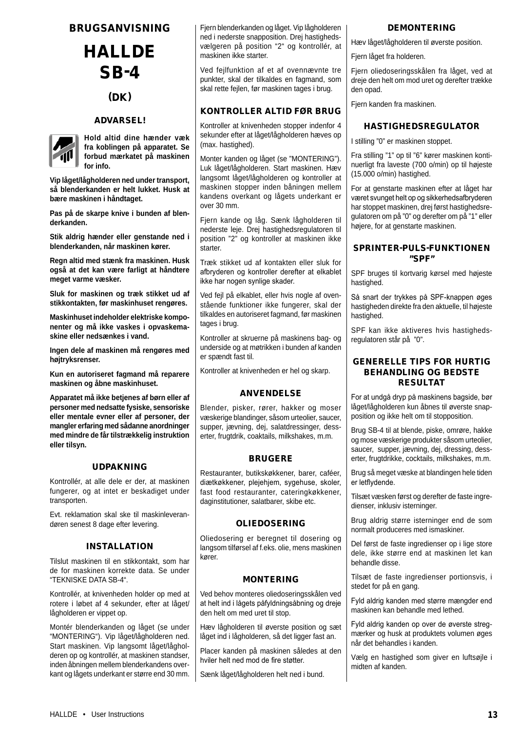## BRUGSANVISNING

**HALLDE** SB-4

(DK)

## ADVARSEL!



**Hold altid dine hænder væk fra koblingen på apparatet. Se forbud mærkatet på maskinen for info.** 

**Vip låget/lågholderen ned under transport, så blenderkanden er helt lukket. Husk at bære maskinen i håndtaget.**

**Pas på de skarpe knive i bunden af blenderkanden.**

**Stik aldrig hænder eller genstande ned i blenderkanden, når maskinen kører.**

**Regn altid med stænk fra maskinen. Husk også at det kan være farligt at håndtere meget varme væsker.**

**Sluk for maskinen og træk stikket ud af stikkontakten, før maskinhuset rengøres.**

**Maskinhuset indeholder elektriske komponenter og må ikke vaskes i opvaskemaskine eller nedsænkes i vand.**

**Ingen dele af maskinen må rengøres med højtryksrenser.**

**Kun en autoriseret fagmand må reparere maskinen og åbne maskinhuset.**

**Apparatet må ikke betjenes af børn eller af personer med nedsatte fysiske, sensoriske eller mentale evner eller af personer, der mangler erfaring med sådanne anordninger med mindre de får tilstrækkelig instruktion eller tilsyn.**

#### UDPAKNING

Kontrollér, at alle dele er der, at maskinen fungerer, og at intet er beskadiget under transporten.

Evt. reklamation skal ske til maskinleverandøren senest 8 dage efter levering.

#### INSTALLATION

Tilslut maskinen til en stikkontakt, som har de for maskinen korrekte data. Se under "TEKNISKE DATA SB-4".

Kontrollér, at knivenheden holder op med at rotere i løbet af 4 sekunder, efter at låget/ lågholderen er vippet op.

Montér blenderkanden og låget (se under "MONTERING"). Vip låget/lågholderen ned. Start maskinen. Vip langsomt låget/lågholderen op og kontrollér, at maskinen standser, inden åbningen mellem blenderkandens overkant og lågets underkant er større end 30 mm. Fjern blenderkanden og låget. Vip lågholderen ned i nederste snapposition. Drej hastighedsvælgeren på position "2" og kontrollér, at maskinen ikke starter.

Ved fejlfunktion af et af ovennævnte tre punkter, skal der tilkaldes en fagmand, som skal rette fejlen, før maskinen tages i brug.

## KONTROLLER ALTID FØR BRUG

Kontroller at knivenheden stopper indenfor 4 sekunder efter at låget/lågholderen hæves op (max. hastighed).

Monter kanden og låget (se "MONTERING"). Luk låget/lågholderen. Start maskinen. Hæv langsomt låget/lågholderen og kontroller at maskinen stopper inden båningen mellem kandens overkant og lågets underkant er over 30 mm.

Fjern kande og låg. Sænk lågholderen til nederste leje. Drej hastighedsregulatoren til position "2" og kontroller at maskinen ikke starter.

Træk stikket ud af kontakten eller sluk for afbryderen og kontroller derefter at elkablet ikke har nogen synlige skader.

Ved fejl på elkablet, eller hvis nogle af ovenstående funktioner ikke fungerer, skal der tilkaldes en autoriseret fagmand, før maskinen tages i brug.

Kontroller at skruerne på maskinens bag- og underside og at møtrikken i bunden af kanden er spændt fast til.

Kontroller at knivenheden er hel og skarp.

## ANVENDELSE

Blender, pisker, rører, hakker og moser væskerige blandinger, såsom urteolier, saucer, supper, jævning, dej, salatdressinger, desserter, frugtdrik, coaktails, milkshakes, m.m.

#### BRUGERE

Restauranter, butikskøkkener, barer, caféer, diætkøkkener, plejehjem, sygehuse, skoler, fast food restauranter, cateringkøkkener, daginstitutioner, salatbarer, skibe etc.

#### OLIEDOSERING

Oliedosering er beregnet til dosering og langsom tilførsel af f.eks. olie, mens maskinen kører.

#### MONTERING

Ved behov monteres oliedoseringsskålen ved at helt ind i lågets påfyldningsåbning og dreje den helt om med uret til stop.

Hæv lågholderen til øverste position og sæt låget ind i lågholderen, så det ligger fast an.

Placer kanden på maskinen således at den hviler helt ned mod de fire støtter.

Sænk låget/lågholderen helt ned i bund.

### DEMONTERING

Hæv låget/lågholderen til øverste position.

Fiern låget fra holderen.

Fjern oliedoseringsskålen fra låget, ved at dreje den helt om mod uret og derefter trække den opad.

Fjern kanden fra maskinen.

## HASTIGHEDSREGULATOR

I stilling "0" er maskinen stoppet.

Fra stilling "1" op til "6" kører maskinen kontinuerligt fra laveste (700 o/min) op til højeste (15.000 o/min) hastighed.

For at genstarte maskinen efter at låget har været svunget helt op og sikkerhedsafbryderen har stoppet maskinen, drej først hastighedsregulatoren om på "0" og derefter om på "1" eller højere, for at genstarte maskinen.

#### SPRINTER-PULS-FUNKTIONEN "SPF"

SPF bruges til kortvarig kørsel med højeste hastighed.

Så snart der trykkes på SPF-knappen øges hastigheden direkte fra den aktuelle, til højeste hastighed.

SPF kan ikke aktiveres hvis hastighedsregulatoren står på "0".

### GENERELLE TIPS FOR HURTIG BEHANDLING OG BEDSTE RESULTAT

For at undgå dryp på maskinens bagside, bør låget/lågholderen kun åbnes til øverste snapposition og ikke helt om til stopposition.

Brug SB-4 til at blende, piske, omrøre, hakke og mose væskerige produkter såsom urteolier, saucer, supper, jævning, dej, dressing, desserter, frugtdrikke, cocktails, milkshakes, m.m.

Brug så meget væske at blandingen hele tiden er letflydende.

Tilsæt væsken først og derefter de faste ingredienser, inklusiv isterninger.

Brug aldrig større isterninger end de som normalt produceres med ismaskiner.

Del først de faste ingredienser op i lige store dele, ikke større end at maskinen let kan behandle disse.

Tilsæt de faste ingredienser portionsvis, i stedet for på en gang.

Fyld aldrig kanden med større mængder end maskinen kan behandle med lethed.

Fyld aldrig kanden op over de øverste stregmærker og husk at produktets volumen øges når det behandles i kanden.

Vælg en hastighed som giver en luftsøjle i midten af kanden.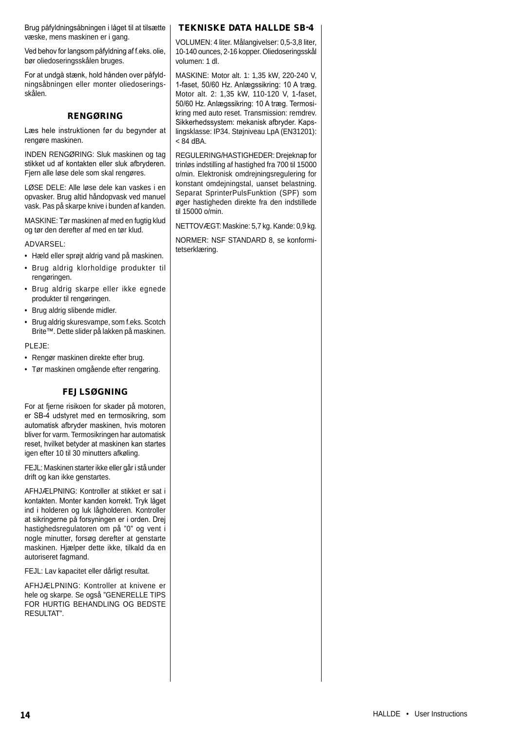Brug påfyldningsåbningen i låget til at tilsætte væske, mens maskinen er i gang.

Ved behov for langsom påfyldning af f.eks. olie, bør oliedoseringsskålen bruges.

For at undgå stænk, hold hånden over påfyldningsåbningen eller monter oliedoseringsskålen.

## RENGØRING

Læs hele instruktionen før du begynder at rengøre maskinen.

INDEN RENGØRING: Sluk maskinen og tag stikket ud af kontakten eller sluk afbryderen. Fjern alle løse dele som skal rengøres.

LØSE DELE: Alle løse dele kan vaskes i en opvasker. Brug altid håndopvask ved manuel vask. Pas på skarpe knive i bunden af kanden.

MASKINE: Tør maskinen af med en fugtig klud og tør den derefter af med en tør klud.

ADVARSEL:

- Hæld eller sprøjt aldrig vand på maskinen.
- Brug aldrig klorholdige produkter til rengøringen.
- Brug aldrig skarpe eller ikke egnede produkter til rengøringen.
- Brug aldrig slibende midler.
- Brug aldrig skuresvampe, som f.eks. Scotch Brite™. Dette slider på lakken på maskinen.

PLEJE:

- Rengør maskinen direkte efter brug.
- Tør maskinen omgående efter rengøring.

## FEJLSØGNING

For at fjerne risikoen for skader på motoren, er SB-4 udstyret med en termosikring, som automatisk afbryder maskinen, hvis motoren bliver for varm. Termosikringen har automatisk reset, hvilket betyder at maskinen kan startes igen efter 10 til 30 minutters afkøling.

FEJL: Maskinen starter ikke eller går i stå under drift og kan ikke genstartes.

AFHJÆLPNING: Kontroller at stikket er sat i kontakten. Monter kanden korrekt. Tryk låget ind i holderen og luk lågholderen. Kontroller at sikringerne på forsyningen er i orden. Drej hastighedsregulatoren om på "0" og vent i nogle minutter, forsøg derefter at genstarte maskinen. Hjælper dette ikke, tilkald da en autoriseret fagmand.

FEJL: Lav kapacitet eller dårligt resultat.

AFHJÆLPNING: Kontroller at knivene er hele og skarpe. Se også "GENERELLE TIPS FOR HURTIG BEHANDLING OG BEDSTE RESULTAT".

## TEKNISKE DATA HALLDE SB-4

VOLUMEN: 4 liter. Målangivelser: 0,5-3,8 liter, 10-140 ounces, 2-16 kopper. Oliedoseringsskål volumen: 1 dl.

MASKINE: Motor alt. 1: 1,35 kW, 220-240 V, 1-faset, 50/60 Hz. Anlægssikring: 10 A træg. Motor alt. 2: 1,35 kW, 110-120 V, 1-faset, 50/60 Hz. Anlægssikring: 10 A træg. Termosikring med auto reset. Transmission: remdrev. Sikkerhedssystem: mekanisk afbryder. Kapslingsklasse: IP34. Støjniveau LpA (EN31201):  $< 84$  dBA.

REGULERING/HASTIGHEDER: Drejeknap for trinløs indstilling af hastighed fra 700 til 15000 o/min. Elektronisk omdrejningsregulering for konstant omdejningstal, uanset belastning. Separat SprinterPulsFunktion (SPF) som øger hastigheden direkte fra den indstillede til 15000 o/min.

NETTOVÆGT: Maskine: 5,7 kg. Kande: 0,9 kg.

NORMER: NSF STANDARD 8, se konformitetserklæring.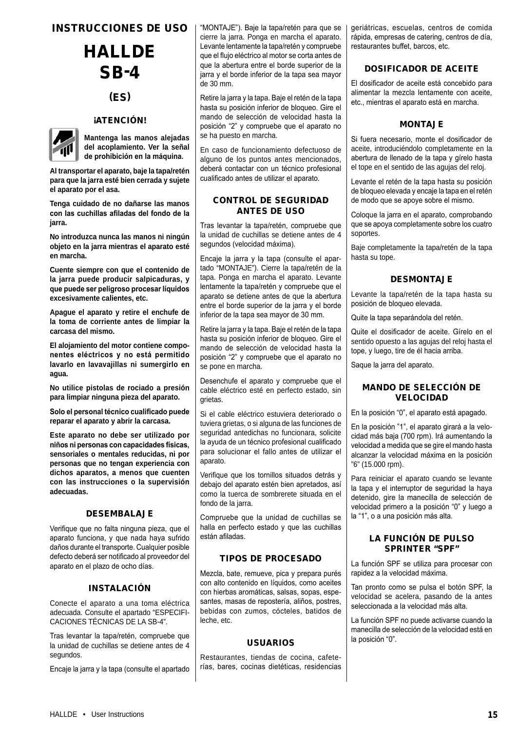## INSTRUCCIONES DE USO

# **HALLDE** SB-4

## (ES)

## **iATENCIÓN!**



**Mantenga las manos alejadas del acoplamiento. Ver la señal de prohibición en la máquina.**

**Al transportar el aparato, baje la tapa/retén para que la jarra esté bien cerrada y sujete el aparato por el asa.**

**Tenga cuidado de no dañarse las manos con las cuchillas afiladas del fondo de la jarra.**

**No introduzca nunca las manos ni ningún objeto en la jarra mientras el aparato esté en marcha.**

**Cuente siempre con que el contenido de la jarra puede producir salpicaduras, y que puede ser peligroso procesar líquidos excesivamente calientes, etc.**

**Apague el aparato y retire el enchufe de la toma de corriente antes de limpiar la carcasa del mismo.**

**El alojamiento del motor contiene componentes eléctricos y no está permitido lavarlo en lavavajillas ni sumergirlo en agua.**

**No utilice pistolas de rociado a presión para limpiar ninguna pieza del aparato.**

**Solo el personal técnico cualificado puede reparar el aparato y abrir la carcasa.**

**Este aparato no debe ser utilizado por niños ni personas con capacidades físicas, sensoriales o mentales reducidas, ni por personas que no tengan experiencia con dichos aparatos, a menos que cuenten con las instrucciones o la supervisión adecuadas.**

#### DESEMBALAJE

Verifique que no falta ninguna pieza, que el aparato funciona, y que nada haya sufrido daños durante el transporte. Cualquier posible defecto deberá ser notificado al proveedor del aparato en el plazo de ocho días.

#### INSTALACIÓN

Conecte el aparato a una toma eléctrica adecuada. Consulte el apartado "ESPECIFI-CACIONES TÉCNICAS DE LA SB-4".

Tras levantar la tapa/retén, compruebe que la unidad de cuchillas se detiene antes de 4 segundos.

Encaje la jarra y la tapa (consulte el apartado

"MONTAJE"). Baje la tapa/retén para que se cierre la jarra. Ponga en marcha el aparato. Levante lentamente la tapa/retén y compruebe que el flujo eléctrico al motor se corta antes de que la abertura entre el borde superior de la jarra y el borde inferior de la tapa sea mayor de 30 mm.

Retire la jarra y la tapa. Baje el retén de la tapa hasta su posición inferior de bloqueo. Gire el mando de selección de velocidad hasta la posición "2" y compruebe que el aparato no se ha puesto en marcha.

En caso de funcionamiento defectuoso de alguno de los puntos antes mencionados, deberá contactar con un técnico profesional cualificado antes de utilizar el aparato.

#### CONTROL DE SEGURIDAD ANTES DE USO

Tras levantar la tapa/retén, compruebe que la unidad de cuchillas se detiene antes de 4 segundos (velocidad máxima).

Encaje la jarra y la tapa (consulte el apartado "MONTAJE"). Cierre la tapa/retén de la tapa. Ponga en marcha el aparato. Levante lentamente la tapa/retén y compruebe que el aparato se detiene antes de que la abertura entre el borde superior de la jarra y el borde inferior de la tapa sea mayor de 30 mm.

Retire la jarra y la tapa. Baje el retén de la tapa hasta su posición inferior de bloqueo. Gire el mando de selección de velocidad hasta la posición "2" y compruebe que el aparato no se pone en marcha.

Desenchufe el aparato y compruebe que el cable eléctrico esté en perfecto estado, sin grietas.

Si el cable eléctrico estuviera deteriorado o tuviera grietas, o si alguna de las funciones de seguridad antedichas no funcionara, solicite la ayuda de un técnico profesional cualificado para solucionar el fallo antes de utilizar el aparato.

Verifique que los tornillos situados detrás y debajo del aparato estén bien apretados, así como la tuerca de sombrerete situada en el fondo de la jarra.

Compruebe que la unidad de cuchillas se halla en perfecto estado y que las cuchillas están afiladas.

## TIPOS DE PROCESADO

Mezcla, bate, remueve, pica y prepara purés con alto contenido en líquidos, como aceites con hierbas aromáticas, salsas, sopas, espesantes, masas de repostería, aliños, postres, bebidas con zumos, cócteles, batidos de leche, etc.

#### USUARIOS

Restaurantes, tiendas de cocina, cafeterías, bares, cocinas dietéticas, residencias geriátricas, escuelas, centros de comida rápida, empresas de catering, centros de día, restaurantes buffet, barcos, etc.

## DOSIFICADOR DE ACEITE

El dosificador de aceite está concebido para alimentar la mezcla lentamente con aceite, etc., mientras el aparato está en marcha.

#### **MONTAJE**

Si fuera necesario, monte el dosificador de aceite, introduciéndolo completamente en la abertura de llenado de la tapa y gírelo hasta el tope en el sentido de las agujas del reloj.

Levante el retén de la tapa hasta su posición de bloqueo elevada y encaje la tapa en el retén de modo que se apoye sobre el mismo.

Coloque la jarra en el aparato, comprobando que se apoya completamente sobre los cuatro soportes.

Baje completamente la tapa/retén de la tapa hasta su tope.

## **DESMONTAJE**

Levante la tapa/retén de la tapa hasta su posición de bloqueo elevada.

Quite la tapa separándola del retén.

Quite el dosificador de aceite. Gírelo en el sentido opuesto a las agujas del reloj hasta el tope, y luego, tire de él hacia arriba.

Saque la jarra del aparato.

## MANDO DE SELECCIÓN DE VELOCIDAD

En la posición "0", el aparato está apagado.

En la posición "1", el aparato girará a la velocidad más baja (700 rpm). Irá aumentando la velocidad a medida que se gire el mando hasta alcanzar la velocidad máxima en la posición "6" (15.000 rpm).

Para reiniciar el aparato cuando se levante la tapa y el interruptor de seguridad la haya detenido, gire la manecilla de selección de velocidad primero a la posición "0" y luego a la "1", o a una posición más alta.

#### LA FUNCIÓN DE PULSO SPRINTER "SPF"

La función SPF se utiliza para procesar con rapidez a la velocidad máxima.

Tan pronto como se pulsa el botón SPF, la velocidad se acelera, pasando de la antes seleccionada a la velocidad más alta.

La función SPF no puede activarse cuando la manecilla de selección de la velocidad está en la posición "0".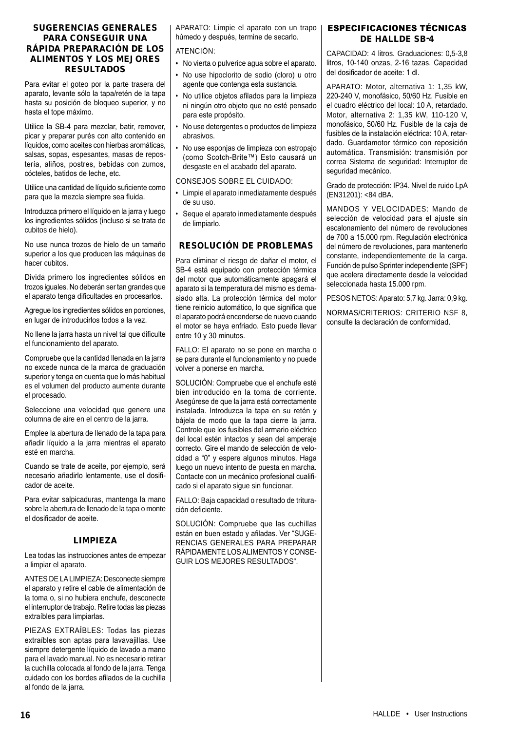### SUGERENCIAS GENERALES PARA CONSEGUIR UNA RÁPIDA PREPARACIÓN DE LOS ALIMENTOS Y LOS MEJORES RESULTADOS

Para evitar el goteo por la parte trasera del aparato, levante sólo la tapa/retén de la tapa hasta su posición de bloqueo superior, y no hasta el tope máximo.

Utilice la SB-4 para mezclar, batir, remover, picar y preparar purés con alto contenido en líquidos, como aceites con hierbas aromáticas, salsas, sopas, espesantes, masas de repostería, aliños, postres, bebidas con zumos, cócteles, batidos de leche, etc.

Utilice una cantidad de líquido suficiente como para que la mezcla siempre sea fluida.

Introduzca primero el líquido en la jarra y luego los ingredientes sólidos (incluso si se trata de cubitos de hielo).

No use nunca trozos de hielo de un tamaño superior a los que producen las máquinas de hacer cubitos.

Divida primero los ingredientes sólidos en trozos iguales. No deberán ser tan grandes que el aparato tenga dificultades en procesarlos.

Agregue los ingredientes sólidos en porciones, en lugar de introducirlos todos a la vez.

No llene la jarra hasta un nivel tal que dificulte el funcionamiento del aparato.

Compruebe que la cantidad llenada en la jarra no excede nunca de la marca de graduación superior y tenga en cuenta que lo más habitual es el volumen del producto aumente durante el procesado.

Seleccione una velocidad que genere una columna de aire en el centro de la jarra.

Emplee la abertura de llenado de la tapa para añadir líquido a la jarra mientras el aparato esté en marcha.

Cuando se trate de aceite, por ejemplo, será necesario añadirlo lentamente, use el dosificador de aceite.

Para evitar salpicaduras, mantenga la mano sobre la abertura de llenado de la tapa o monte el dosificador de aceite.

## LIMPIEZA

Lea todas las instrucciones antes de empezar a limpiar el aparato.

ANTES DE LA LIMPIEZA: Desconecte siempre el aparato y retire el cable de alimentación de la toma o, si no hubiera enchufe, desconecte el interruptor de trabajo. Retire todas las piezas extraíbles para limpiarlas.

PIEZAS EXTRAÍBLES: Todas las piezas extraíbles son aptas para lavavajillas. Use siempre detergente líquido de lavado a mano para el lavado manual. No es necesario retirar la cuchilla colocada al fondo de la jarra. Tenga cuidado con los bordes afilados de la cuchilla al fondo de la jarra.

APARATO: Limpie el aparato con un trapo húmedo y después, termine de secarlo.

### ATENCIÓN:

- No vierta o pulverice agua sobre el aparato.
- No use hipoclorito de sodio (cloro) u otro agente que contenga esta sustancia.
- No utilice objetos afilados para la limpieza ni ningún otro objeto que no esté pensado para este propósito.
- No use detergentes o productos de limpieza abrasivos.
- No use esponjas de limpieza con estropajo (como Scotch-Brite™) Esto causará un desgaste en el acabado del aparato.

CONSEJOS SOBRE EL CUIDADO:

- Limpie el aparato inmediatamente después de su uso.
- Seque el aparato inmediatamente después de limpiarlo.

## RESOLUCIÓN DE PROBLEMAS

Para eliminar el riesgo de dañar el motor, el SB-4 está equipado con protección térmica del motor que automáticamente apagará el aparato si la temperatura del mismo es demasiado alta. La protección térmica del motor tiene reinicio automático, lo que significa que el aparato podrá encenderse de nuevo cuando el motor se haya enfriado. Esto puede llevar entre 10 y 30 minutos.

FALLO: El aparato no se pone en marcha o se para durante el funcionamiento y no puede volver a ponerse en marcha.

SOLUCIÓN: Compruebe que el enchufe esté bien introducido en la toma de corriente. Asegúrese de que la jarra está correctamente instalada. Introduzca la tapa en su retén y bájela de modo que la tapa cierre la jarra. Controle que los fusibles del armario eléctrico del local estén intactos y sean del amperaje correcto. Gire el mando de selección de velocidad a "0" y espere algunos minutos. Haga luego un nuevo intento de puesta en marcha. Contacte con un mecánico profesional cualificado si el aparato sigue sin funcionar.

FALLO: Baja capacidad o resultado de trituración deficiente.

SOLUCIÓN: Compruebe que las cuchillas están en buen estado y afiladas. Ver "SUGE-RENCIAS GENERALES PARA PREPARAR RÁPIDAMENTE LOS ALIMENTOS Y CONSE-GUIR LOS MEJORES RESULTADOS".

## ESPECIFICACIONES TÉCNICAS DE HALLDE SB-4

CAPACIDAD: 4 litros. Graduaciones: 0,5-3,8 litros, 10-140 onzas, 2-16 tazas. Capacidad del dosificador de aceite: 1 dl.

APARATO: Motor, alternativa 1: 1,35 kW, 220-240 V, monofásico, 50/60 Hz. Fusible en el cuadro eléctrico del local: 10 A, retardado. Motor, alternativa 2: 1,35 kW, 110-120 V, monofásico, 50/60 Hz. Fusible de la caja de fusibles de la instalación eléctrica: 10 A, retardado. Guardamotor térmico con reposición automática. Transmisión: transmisión por correa Sistema de seguridad: Interruptor de seguridad mecánico.

Grado de protección: IP34. Nivel de ruido LpA (EN31201): <84 dBA.

MANDOS Y VELOCIDADES: Mando de selección de velocidad para el ajuste sin escalonamiento del número de revoluciones de 700 a 15.000 rpm. Regulación electrónica del número de revoluciones, para mantenerlo constante, independientemente de la carga. Función de pulso Sprinter independiente (SPF) que acelera directamente desde la velocidad seleccionada hasta 15.000 rpm.

PESOS NETOS: Aparato: 5,7 kg. Jarra: 0,9 kg.

NORMAS/CRITERIOS: CRITERIO NSF 8, consulte la declaración de conformidad.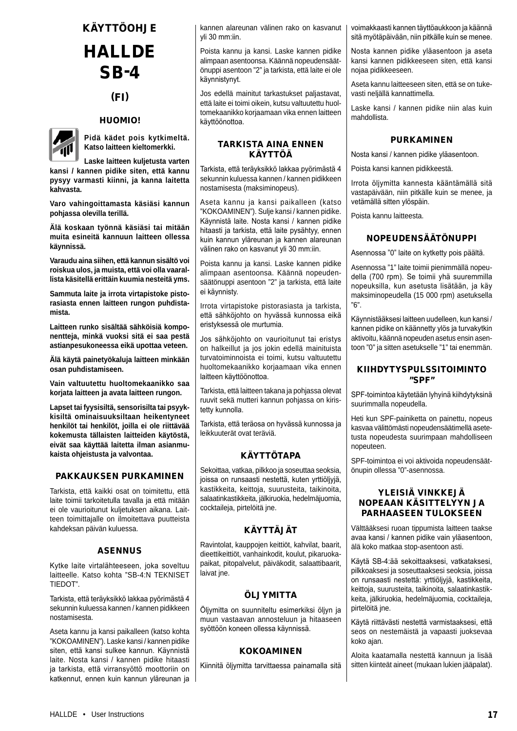## **KÄYTTÖOHJE**

## **HALLDE** SB-4

## (FI)

#### HUOMIO!



**Pidä kädet pois kytkimeltä. Katso laitteen kieltomerkki.**

**Laske laitteen kuljetusta varten kansi / kannen pidike siten, että kannu pysyy varmasti kiinni, ja kanna laitetta kahvasta.**

**Varo vahingoittamasta käsiäsi kannun pohjassa olevilla terillä.**

**Älä koskaan työnnä käsiäsi tai mitään muita esineitä kannuun laitteen ollessa käynnissä.**

**Varaudu aina siihen, että kannun sisältö voi roiskua ulos, ja muista, että voi olla vaarallista käsitellä erittäin kuumia nesteitä yms.**

**Sammuta laite ja irrota virtapistoke pistorasiasta ennen laitteen rungon puhdistamista.**

**Laitteen runko sisältää sähköisiä komponentteja, minkä vuoksi sitä ei saa pestä astianpesukoneessa eikä upottaa veteen.**

**Älä käytä painetyökaluja laitteen minkään osan puhdistamiseen.**

**Vain valtuutettu huoltomekaanikko saa korjata laitteen ja avata laitteen rungon.**

**Lapset tai fyysisiltä, sensorisilta tai psyykkisiltä ominaisuuksiltaan heikentyneet henkilöt tai henkilöt, joilla ei ole riittävää kokemusta tällaisten laitteiden käytöstä, eivät saa käyttää laitetta ilman asianmukaista ohjeistusta ja valvontaa.**

## PAKKAUKSEN PURKAMINEN

Tarkista, että kaikki osat on toimitettu, että laite toimii tarkoitetulla tavalla ja että mitään ei ole vaurioitunut kuljetuksen aikana. Laitteen toimittajalle on ilmoitettava puutteista kahdeksan päivän kuluessa.

## ASENNUS

Kytke laite virtalähteeseen, joka soveltuu laitteelle. Katso kohta "SB-4:N TEKNISET TIEDOT".

Tarkista, että teräyksikkö lakkaa pyörimästä 4 sekunnin kuluessa kannen / kannen pidikkeen nostamisesta.

Aseta kannu ja kansi paikalleen (katso kohta "KOKOAMINEN"). Laske kansi / kannen pidike siten, että kansi sulkee kannun. Käynnistä laite. Nosta kansi / kannen pidike hitaasti ja tarkista, että virransyöttö moottoriin on katkennut, ennen kuin kannun yläreunan ja kannen alareunan välinen rako on kasvanut yli 30 mm:iin.

Poista kannu ja kansi. Laske kannen pidike alimpaan asentoonsa. Käännä nopeudensäätönuppi asentoon "2" ja tarkista, että laite ei ole käynnistynyt.

Jos edellä mainitut tarkastukset paljastavat, että laite ei toimi oikein, kutsu valtuutettu huoltomekaanikko korjaamaan vika ennen laitteen käyttöönottoa.

## TARKISTA AINA ENNEN **KÄYTTÖÄ**

Tarkista, että teräyksikkö lakkaa pyörimästä 4 sekunnin kuluessa kannen / kannen pidikkeen nostamisesta (maksiminopeus).

Aseta kannu ja kansi paikalleen (katso "KOKOAMINEN"). Sulje kansi / kannen pidike. Käynnistä laite. Nosta kansi / kannen pidike hitaasti ja tarkista, että laite pysähtyy, ennen kuin kannun yläreunan ja kannen alareunan välinen rako on kasvanut yli 30 mm:iin.

Poista kannu ja kansi. Laske kannen pidike alimpaan asentoonsa. Käännä nopeudensäätönuppi asentoon "2" ja tarkista, että laite ei käynnisty.

Irrota virtapistoke pistorasiasta ja tarkista, että sähköjohto on hyvässä kunnossa eikä eristyksessä ole murtumia.

Jos sähköjohto on vaurioitunut tai eristys on halkeillut ja jos jokin edellä mainituista turvatoiminnoista ei toimi, kutsu valtuutettu huoltomekaanikko korjaamaan vika ennen laitteen käyttöönottoa.

Tarkista, että laitteen takana ja pohjassa olevat ruuvit sekä mutteri kannun pohjassa on kiristetty kunnolla.

Tarkista, että teräosa on hyvässä kunnossa ja leikkuuterät ovat teräviä.

#### **KÄYTTÖTAPA**

Sekoittaa, vatkaa, pilkkoo ja soseuttaa seoksia, joissa on runsaasti nestettä, kuten yrttiöljyjä, kastikkeita, keittoja, suurusteita, taikinoita, salaatinkastikkeita, jälkiruokia, hedelmäjuomia, cocktaileja, pirtelöitä jne.

## KÄYTTÄJÄT

Ravintolat, kauppojen keittiöt, kahvilat, baarit, dieettikeittiöt, vanhainkodit, koulut, pikaruokapaikat, pitopalvelut, päiväkodit, salaattibaarit, laivat ine.

## ÖLJYMITTA

Öljymitta on suunniteltu esimerkiksi öljyn ja muun vastaavan annosteluun ja hitaaseen syöttöön koneen ollessa käynnissä.

#### **KOKOAMINEN**

Kiinnitä öljymitta tarvittaessa painamalla sitä

voimakkaasti kannen täyttöaukkoon ja käännä sitä myötäpäivään, niin pitkälle kuin se menee.

Nosta kannen pidike yläasentoon ja aseta kansi kannen pidikkeeseen siten, että kansi nojaa pidikkeeseen.

Aseta kannu laitteeseen siten, että se on tukevasti neljällä kannattimella.

Laske kansi / kannen pidike niin alas kuin mahdollista.

## **PURKAMINEN**

Nosta kansi / kannen pidike yläasentoon.

Poista kansi kannen pidikkeestä.

Irrota öljymitta kannesta kääntämällä sitä vastapäivään, niin pitkälle kuin se menee, ja vetämällä sitten ylöspäin.

Poista kannu laitteesta.

## NOPEUDENSÄÄTÖNUPPI

Asennossa "0" laite on kytketty pois päältä.

Asennossa "1" laite toimii pienimmällä nopeudella (700 rpm). Se toimii yhä suuremmilla nopeuksilla, kun asetusta lisätään, ja käy maksiminopeudella (15 000 rpm) asetuksella "6".

Käynnistääksesi laitteen uudelleen, kun kansi / kannen pidike on käännetty ylös ja turvakytkin aktivoitu, käännä nopeuden asetus ensin asentoon "0" ja sitten asetukselle "1" tai enemmän.

## KIIHDYTYSPULSSITOIMINTO "SPF"

SPF-toimintoa käytetään lyhyinä kiihdytyksinä suurimmalla nopeudella.

Heti kun SPF-painiketta on painettu, nopeus kasvaa välittömästi nopeudensäätimellä asetetusta nopeudesta suurimpaan mahdolliseen nopeuteen.

SPF-toimintoa ei voi aktivoida nopeudensäätönupin ollessa "0"-asennossa.

## YLEISIÄ VINKKEJÄ NOPEAAN KÄSITTELYYN JA PARHAASEEN TULOKSEEN

Välttääksesi ruoan tippumista laitteen taakse avaa kansi / kannen pidike vain yläasentoon, älä koko matkaa stop-asentoon asti.

Käytä SB-4:ää sekoittaaksesi, vatkataksesi, pilkkoaksesi ja soseuttaaksesi seoksia, joissa on runsaasti nestettä: yrttiöljyjä, kastikkeita, keittoja, suurusteita, taikinoita, salaatinkastikkeita, jälkiruokia, hedelmäjuomia, cocktaileja, pirtelöitä jne.

Käytä riittävästi nestettä varmistaaksesi, että seos on nestemäistä ja vapaasti juoksevaa koko ajan.

Aloita kaatamalla nestettä kannuun ja lisää sitten kiinteät aineet (mukaan lukien jääpalat).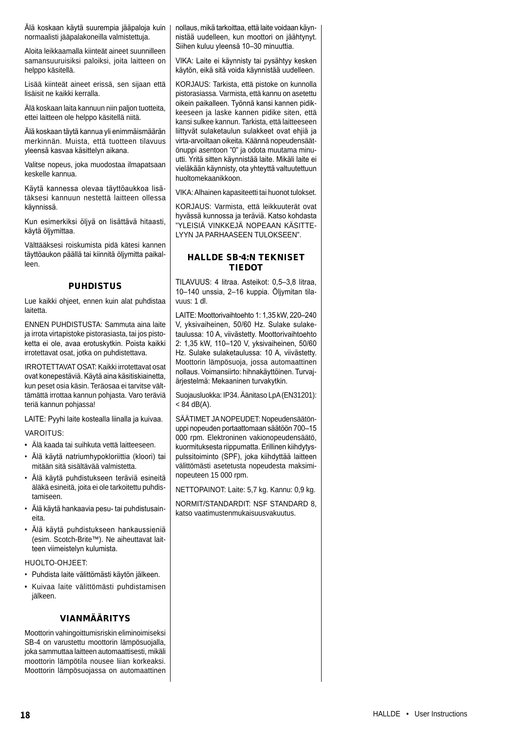Älä koskaan käytä suurempia jääpaloja kuin normaalisti jääpalakoneilla valmistettuja.

Aloita leikkaamalla kiinteät aineet suunnilleen samansuuruisiksi paloiksi, joita laitteen on helppo käsitellä.

Lisää kiinteät aineet erissä, sen sijaan että lisäisit ne kaikki kerralla.

Älä koskaan laita kannuun niin paljon tuotteita, ettei laitteen ole helppo käsitellä niitä.

Älä koskaan täytä kannua yli enimmäismäärän merkinnän. Muista, että tuotteen tilavuus yleensä kasvaa käsittelyn aikana.

Valitse nopeus, joka muodostaa ilmapatsaan keskelle kannua.

Käytä kannessa olevaa täyttöaukkoa lisätäksesi kannuun nestettä laitteen ollessa käynnissä.

Kun esimerkiksi öljyä on lisättävä hitaasti, käytä öljymittaa.

Välttääksesi roiskumista pidä kätesi kannen täyttöaukon päällä tai kiinnitä öljymitta paikalleen.

## **PUHDISTUS**

Lue kaikki ohjeet, ennen kuin alat puhdistaa laitetta.

ENNEN PUHDISTUSTA: Sammuta aina laite ja irrota virtapistoke pistorasiasta, tai jos pistoketta ei ole, avaa erotuskytkin. Poista kaikki irrotettavat osat, jotka on puhdistettava.

IRROTETTAVAT OSAT: Kaikki irrotettavat osat ovat konepestäviä. Käytä aina käsitiskiainetta, kun peset osia käsin. Teräosaa ei tarvitse välttämättä irrottaa kannun pohjasta. Varo teräviä teriä kannun pohjassa!

LAITE: Pyyhi laite kostealla liinalla ja kuivaa.

VAROITUS:

- Älä kaada tai suihkuta vettä laitteeseen.
- Älä käytä natriumhypokloriittia (kloori) tai mitään sitä sisältävää valmistetta.
- Älä käytä puhdistukseen teräviä esineitä äläkä esineitä, joita ei ole tarkoitettu puhdistamiseen.
- Älä käytä hankaavia pesu- tai puhdistusaineita.
- Älä käytä puhdistukseen hankaussieniä (esim. Scotch-Brite™). Ne aiheuttavat laitteen viimeistelyn kulumista.

HUOLTO-OHJEET:

- Puhdista laite välittömästi käytön jälkeen.
- Kuivaa laite välittömästi puhdistamisen jälkeen.

#### VIANMÄÄRITYS

Moottorin vahingoittumisriskin eliminoimiseksi SB-4 on varustettu moottorin lämpösuojalla, joka sammuttaa laitteen automaattisesti, mikäli moottorin lämpötila nousee liian korkeaksi. Moottorin lämpösuojassa on automaattinen nollaus, mikä tarkoittaa, että laite voidaan käynnistää uudelleen, kun moottori on jäähtynyt. Siihen kuluu yleensä 10–30 minuuttia.

VIKA: Laite ei käynnisty tai pysähtyy kesken käytön, eikä sitä voida käynnistää uudelleen.

KORJAUS: Tarkista, että pistoke on kunnolla pistorasiassa. Varmista, että kannu on asetettu oikein paikalleen. Työnnä kansi kannen pidikkeeseen ja laske kannen pidike siten, että kansi sulkee kannun. Tarkista, että laitteeseen liittyvät sulaketaulun sulakkeet ovat ehjiä ja virta-arvoiltaan oikeita. Käännä nopeudensäätönuppi asentoon "0" ja odota muutama minuutti. Yritä sitten käynnistää laite. Mikäli laite ei vieläkään käynnisty, ota yhteyttä valtuutettuun huoltomekaanikkoon.

VIKA: Alhainen kapasiteetti tai huonot tulokset.

KORJAUS: Varmista, että leikkuuterät ovat hyvässä kunnossa ja teräviä. Katso kohdasta "YLEISIÄ VINKKEJÄ NOPEAAN KÄSITTE-LYYN JA PARHAASEEN TULOKSEEN".

## HALLDE SB-4:N TEKNISET TIEDOT

TILAVUUS: 4 litraa. Asteikot: 0,5–3,8 litraa, 10–140 unssia, 2–16 kuppia. Öljymitan tilavuus: 1 dl.

LAITE: Moottorivaihtoehto 1: 1,35 kW, 220–240 V, yksivaiheinen, 50/60 Hz. Sulake sulaketaulussa: 10 A, viivästetty. Moottorivaihtoehto 2: 1,35 kW, 110–120 V, yksivaiheinen, 50/60 Hz. Sulake sulaketaulussa: 10 A, viivästetty. Moottorin lämpösuoja, jossa automaattinen nollaus. Voimansiirto: hihnakäyttöinen. Turvajärjestelmä: Mekaaninen turvakytkin.

Suojausluokka: IP34. Äänitaso LpA (EN31201):  $< 84$  dB(A).

SÄÄTIMET JA NOPEUDET: Nopeudensäätönuppi nopeuden portaattomaan säätöön 700–15 000 rpm. Elektroninen vakionopeudensäätö, kuormituksesta riippumatta. Erillinen kiihdytyspulssitoiminto (SPF), joka kiihdyttää laitteen välittömästi asetetusta nopeudesta maksiminopeuteen 15 000 rpm.

NETTOPAINOT: Laite: 5,7 kg. Kannu: 0,9 kg.

NORMIT/STANDARDIT: NSF STANDARD 8, katso vaatimustenmukaisuusvakuutus.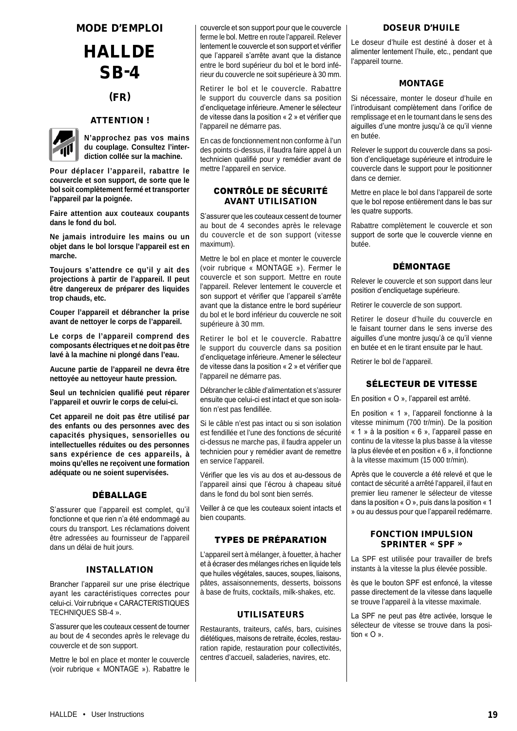## MODE D'EMPLOI

## **HALLDE** SB-4

## (FR)

## ATTENTION !



**N'approchez pas vos mains du couplage. Consultez l'interdiction collée sur la machine.** 

**Pour déplacer l'appareil, rabattre le couvercle et son support, de sorte que le bol soit complètement fermé et transporter l'appareil par la poignée.**

**Faire attention aux couteaux coupants dans le fond du bol.**

**Ne jamais introduire les mains ou un objet dans le bol lorsque l'appareil est en marche.**

**Toujours s'attendre ce qu'il y ait des projections à partir de l'appareil. Il peut être dangereux de préparer des liquides trop chauds, etc.**

**Couper l'appareil et débrancher la prise avant de nettoyer le corps de l'appareil.**

**Le corps de l'appareil comprend des composants électriques et ne doit pas être lavé à la machine ni plongé dans l'eau.**

**Aucune partie de l'appareil ne devra être nettoyée au nettoyeur haute pression.**

**Seul un technicien qualifié peut réparer l'appareil et ouvrir le corps de celui-ci.**

**Cet appareil ne doit pas être utilisé par des enfants ou des personnes avec des capacités physiques, sensorielles ou intellectuelles réduites ou des personnes sans expérience de ces appareils, à moins qu'elles ne reçoivent une formation adéquate ou ne soient supervisées.**

## DÉBALLAGE

S'assurer que l'appareil est complet, qu'il fonctionne et que rien n'a été endommagé au cours du transport. Les réclamations doivent être adressées au fournisseur de l'appareil dans un délai de huit jours.

## INSTALLATION

Brancher l'appareil sur une prise électrique ayant les caractéristiques correctes pour celui-ci. Voir rubrique « CARACTERISTIQUES TECHNIQUES SB-4 ».

S'assurer que les couteaux cessent de tourner au bout de 4 secondes après le relevage du couvercle et de son support.

Mettre le bol en place et monter le couvercle (voir rubrique « MONTAGE »). Rabattre le couvercle et son support pour que le couvercle ferme le bol. Mettre en route l'appareil. Relever lentement le couvercle et son support et vérifier que l'appareil s'arrête avant que la distance entre le bord supérieur du bol et le bord inférieur du couvercle ne soit supérieure à 30 mm.

Retirer le bol et le couvercle. Rabattre le support du couvercle dans sa position d'encliquetage inférieure. Amener le sélecteur de vitesse dans la position « 2 » et vérifier que l'appareil ne démarre pas.

En cas de fonctionnement non conforme à l'un des points ci-dessus, il faudra faire appel à un technicien qualifié pour y remédier avant de mettre l'appareil en service.

## CONTRÔLE DE SÉCURITÉ AVANT UTILISATION

S'assurer que les couteaux cessent de tourner au bout de 4 secondes après le relevage du couvercle et de son support (vitesse maximum).

Mettre le bol en place et monter le couvercle (voir rubrique « MONTAGE »). Fermer le couvercle et son support. Mettre en route l'appareil. Relever lentement le couvercle et son support et vérifier que l'appareil s'arrête avant que la distance entre le bord supérieur du bol et le bord inférieur du couvercle ne soit supérieure à 30 mm.

Retirer le bol et le couvercle. Rabattre le support du couvercle dans sa position d'encliquetage inférieure. Amener le sélecteur de vitesse dans la position « 2 » et vérifier que l'appareil ne démarre pas.

Débrancher le câble d'alimentation et s'assurer ensuite que celui-ci est intact et que son isolation n'est pas fendillée.

Si le câble n'est pas intact ou si son isolation est fendillée et l'une des fonctions de sécurité ci-dessus ne marche pas, il faudra appeler un technicien pour y remédier avant de remettre en service l'appareil.

Vérifier que les vis au dos et au-dessous de l'appareil ainsi que l'écrou à chapeau situé dans le fond du bol sont bien serrés.

Veiller à ce que les couteaux soient intacts et bien coupants.

## TYPES DE PRÉPARATION

L'appareil sert à mélanger, à fouetter, à hacher et à écraser des mélanges riches en liquide tels que huiles végétales, sauces, soupes, liaisons, pâtes, assaisonnements, desserts, boissons à base de fruits, cocktails, milk-shakes, etc.

## UTILISATEURS

Restaurants, traiteurs, cafés, bars, cuisines diététiques, maisons de retraite, écoles, restauration rapide, restauration pour collectivités, centres d'accueil, saladeries, navires, etc.

#### DOSEUR D'HUILE

Le doseur d'huile est destiné à doser et à alimenter lentement l'huile, etc., pendant que l'appareil tourne.

## MONTAGE

Si nécessaire, monter le doseur d'huile en l'introduisant complètement dans l'orifice de remplissage et en le tournant dans le sens des aiguilles d'une montre jusqu'à ce qu'il vienne en butée.

Relever le support du couvercle dans sa position d'encliquetage supérieure et introduire le couvercle dans le support pour le positionner dans ce dernier.

Mettre en place le bol dans l'appareil de sorte que le bol repose entièrement dans le bas sur les quatre supports.

Rabattre complètement le couvercle et son support de sorte que le couvercle vienne en butée.

## DÉMONTAGE

Relever le couvercle et son support dans leur position d'encliquetage supérieure.

Retirer le couvercle de son support.

Retirer le doseur d'huile du couvercle en le faisant tourner dans le sens inverse des aiguilles d'une montre jusqu'à ce qu'il vienne en butée et en le tirant ensuite par le haut.

Retirer le bol de l'appareil.

## SÉLECTEUR DE VITESSE

En position « O », l'appareil est arrêté.

En position « 1 », l'appareil fonctionne à la vitesse minimum (700 tr/min). De la position « 1 » à la position « 6 », l'appareil passe en continu de la vitesse la plus basse à la vitesse la plus élevée et en position « 6 », il fonctionne à la vitesse maximum (15 000 tr/min).

Après que le couvercle a été relevé et que le contact de sécurité a arrêté l'appareil, il faut en premier lieu ramener le sélecteur de vitesse dans la position « O », puis dans la position « 1 » ou au dessus pour que l'appareil redémarre.

## FONCTION IMPULSION SPRINTER « SPF »

La SPF est utilisée pour travailler de brefs instants à la vitesse la plus élevée possible.

ès que le bouton SPF est enfoncé, la vitesse passe directement de la vitesse dans laquelle se trouve l'appareil à la vitesse maximale.

La SPF ne peut pas être activée, lorsque le sélecteur de vitesse se trouve dans la position « O ».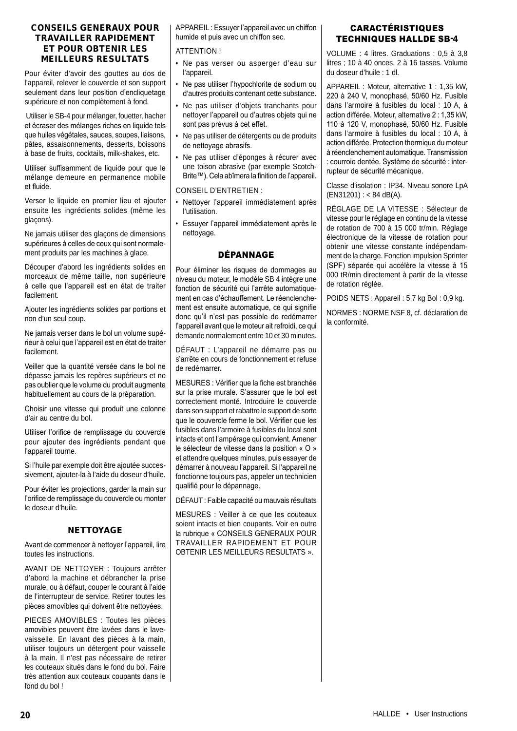## CONSEILS GENERAUX POUR TRAVAILLER RAPIDEMENT ET POUR OBTENIR LES MEILLEURS RESULTATS

Pour éviter d'avoir des gouttes au dos de l'appareil, relever le couvercle et son support seulement dans leur position d'encliquetage supérieure et non complètement à fond.

 Utiliser le SB-4 pour mélanger, fouetter, hacher et écraser des mélanges riches en liquide tels que huiles végétales, sauces, soupes, liaisons, pâtes, assaisonnements, desserts, boissons à base de fruits, cocktails, milk-shakes, etc.

Utiliser suffisamment de liquide pour que le mélange demeure en permanence mobile et fluide.

Verser le liquide en premier lieu et ajouter ensuite les ingrédients solides (même les glaçons).

Ne jamais utiliser des glaçons de dimensions supérieures à celles de ceux qui sont normalement produits par les machines à glace.

Découper d'abord les ingrédients solides en morceaux de même taille, non supérieure à celle que l'appareil est en état de traiter facilement.

Ajouter les ingrédients solides par portions et non d'un seul coup.

Ne jamais verser dans le bol un volume supérieur à celui que l'appareil est en état de traiter facilement.

Veiller que la quantité versée dans le bol ne dépasse jamais les repères supérieurs et ne pas oublier que le volume du produit augmente habituellement au cours de la préparation.

Choisir une vitesse qui produit une colonne d'air au centre du bol.

Utiliser l'orifice de remplissage du couvercle pour ajouter des ingrédients pendant que l'appareil tourne.

Si l'huile par exemple doit être ajoutée successivement, ajouter-la à l'aide du doseur d'huile.

Pour éviter les projections, garder la main sur l'orifice de remplissage du couvercle ou monter le doseur d'huile.

## **NETTOYAGE**

Avant de commencer à nettoyer l'appareil, lire toutes les instructions.

AVANT DE NETTOYER : Toujours arrêter d'abord la machine et débrancher la prise murale, ou à défaut, couper le courant à l'aide de l'interrupteur de service. Retirer toutes les pièces amovibles qui doivent être nettoyées.

PIECES AMOVIBLES : Toutes les pièces amovibles peuvent être lavées dans le lavevaisselle. En lavant des pièces à la main, utiliser toujours un détergent pour vaisselle à la main. Il n'est pas nécessaire de retirer les couteaux situés dans le fond du bol. Faire très attention aux couteaux coupants dans le fond du bol !

APPAREIL : Essuyer l'appareil avec un chiffon humide et puis avec un chiffon sec.

ATTENTION !

- Ne pas verser ou asperger d'eau sur l'appareil.
- Ne pas utiliser l'hypochlorite de sodium ou d'autres produits contenant cette substance.
- Ne pas utiliser d'objets tranchants pour nettoyer l'appareil ou d'autres objets qui ne sont pas prévus à cet effet.
- Ne pas utiliser de détergents ou de produits de nettoyage abrasifs.
- Ne pas utiliser d'éponges à récurer avec une toison abrasive (par exemple Scotch-Brite™). Cela abîmera la finition de l'appareil.

#### CONSEIL D'ENTRETIEN :

- Nettoyer l'appareil immédiatement après l'utilisation.
- Essuyer l'appareil immédiatement après le nettoyage.

## DÉPANNAGE

Pour éliminer les risques de dommages au niveau du moteur, le modèle SB 4 intègre une fonction de sécurité qui l'arrête automatiquement en cas d'échauffement. Le réenclenchement est ensuite automatique, ce qui signifie donc qu'il n'est pas possible de redémarrer l'appareil avant que le moteur ait refroidi, ce qui demande normalement entre 10 et 30 minutes.

DÉFAUT : L'appareil ne démarre pas ou s'arrête en cours de fonctionnement et refuse de redémarrer.

MESURES : Vérifier que la fiche est branchée sur la prise murale. S'assurer que le bol est correctement monté. Introduire le couvercle dans son support et rabattre le support de sorte que le couvercle ferme le bol. Vérifier que les fusibles dans l'armoire à fusibles du local sont intacts et ont l'ampérage qui convient. Amener le sélecteur de vitesse dans la position « O » et attendre quelques minutes, puis essayer de démarrer à nouveau l'appareil. Si l'appareil ne fonctionne toujours pas, appeler un technicien qualifié pour le dépannage.

DÉFAUT : Faible capacité ou mauvais résultats

MESURES : Veiller à ce que les couteaux soient intacts et bien coupants. Voir en outre la rubrique « CONSEILS GENERAUX POUR TRAVAILLER RAPIDEMENT ET POUR OBTENIR LES MEILLEURS RESULTATS ».

## CARACTÉRISTIQUES TECHNIQUES HALLDE SB-4

VOLUME : 4 litres. Graduations : 0,5 à 3,8 litres ; 10 à 40 onces, 2 à 16 tasses. Volume du doseur d'huile : 1 dl.

APPAREIL : Moteur, alternative 1 : 1,35 kW, 220 à 240 V, monophasé, 50/60 Hz. Fusible dans l'armoire à fusibles du local : 10 A, à action différée. Moteur, alternative 2 : 1,35 kW, 110 à 120 V, monophasé, 50/60 Hz. Fusible dans l'armoire à fusibles du local : 10 A, à action différée. Protection thermique du moteur à réenclenchement automatique. Transmission : courroie dentée. Système de sécurité : interrupteur de sécurité mécanique.

Classe d'isolation : IP34. Niveau sonore LpA  $(EN31201)$  : < 84 dB(A).

RÉGLAGE DE LA VITESSE : Sélecteur de vitesse pour le réglage en continu de la vitesse de rotation de 700 à 15 000 tr/min. Réglage électronique de la vitesse de rotation pour obtenir une vitesse constante indépendamment de la charge. Fonction impulsion Sprinter (SPF) séparée qui accélère la vitesse à 15 000 tR/min directement à partir de la vitesse de rotation réglée.

POIDS NETS : Appareil : 5,7 kg Bol : 0,9 kg.

NORMES : NORME NSF 8, cf. déclaration de la conformité.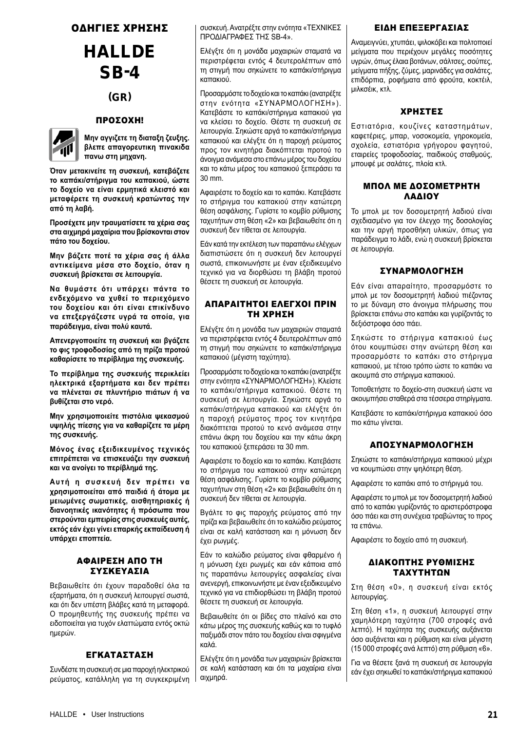## ΟΔΗΓΙΕΣ ΧΡΗΣΗΣ

## **HALLDE** SB-4

## (GR)

## ΠΡΟΣΟΧΗ!



**Μην αγγιζετε τη διαταξη ζευξης. βλεπε απαγορευτικη πινακιδα πανω στη μηχανη.**

**Όταν μετακινείτε τη συσκευή, κατεβάζετε το καπάκι/στήριγμα του καπακιού, ώστε το δοχείο να είναι ερμητικά κλειστό και μεταφέρετε τη συσκευή κρατώντας την από τη λαβή.**

**Προσέχετε μην τραυματίσετε τα χέρια σας στα αιχμηρά μαχαίρια που βρίσκονται στον πάτο του δοχείου.**

**Μην βάζετε ποτέ τα χέρια σας ή άλλα αντικείμενα μέσα στο δοχείο, όταν η συσκευή βρίσκεται σε λειτουργία.**

**Να θυμάστε ότι υπάρχει πάντα το ενδεχόμενο να χυθεί το περιεχόμενο του δοχείου και ότι είναι επικίνδυνο να επεξεργάζεστε υγρά τα οποία, για παράδειγμα, είναι πολύ καυτά.**

**Απενεργοποιείτε τη συσκευή και βγάζετε το φις τροφοδοσίας από τη πρίζα προτού καθαρίσετε το περίβλημα της συσκευής.**

**Το περίβλημα της συσκευής περικλείει ηλεκτρικά εξαρτήματα και δεν πρέπει να πλένεται σε πλυντήριο πιάτων ή να βυθίζεται στο νερό.**

**Μην χρησιμοποιείτε πιστόλια ψεκασμού υψηλής πίεσης για να καθαρίζετε τα μέρη της συσκευής.**

**Μόνος ένας εξειδικευμένος τεχνικός επιτρέπεται να επισκευάζει την συσκευή και να ανοίγει το περίβλημά της.**

**Αυτή η συσκευή δεν πρέπει να χρησιμοποιείται από παιδιά ή άτομα με μειωμένες σωματικές, αισθητηριακές ή διανοητικές ικανότητες ή πρόσωπα που στερούνται εμπειρίας στις συσκευές αυτές, εκτός εάν έχει γίνει επαρκής εκπαίδευση ή υπάρχει εποπτεία.**

## ΑΦΑΙΡΕΣΗ ΑΠΟ ΤΗ ΣΥΣΚΕΥΑΣΙΑ

Βεβαιωθείτε ότι έχουν παραδοθεί όλα τα εξαρτήματα, ότι η συσκευή λειτουργεί σωστά, και ότι δεν υπέστη βλάβες κατά τη μεταφορά. Ο προμηθευτής της συσκευής πρέπει να ειδοποιείται για τυχόν ελαττώματα εντός οκτώ ημερών.

## ΕΓΚΑΤΑΣΤΑΣΗ

Συνδέστε τη συσκευή σε μια παροχή ηλεκτρικού ρεύματος, κατάλληλη για τη συγκεκριμένη συσκευή. Ανατρέξτε στην ενότητα «ΤΕΧΝΙΚΕΣ ΠΡΟΔΙΑΓΡΑΦΕΣ ΤΗΣ SB-4».

Ελέγξτε ότι η μονάδα μαχαιριών σταματά να περιστρέφεται εντός 4 δευτερολέπτων από τη στιγμή που σηκώνετε το καπάκι/στήριγμα καπακιού.

Προσαρμόστε το δοχείο και το καπάκι (ανατρέξτε στην ενότητα «ΣΥΝΑΡΜΟΛΟΓΗΣΗ»). Κατεβάστε το καπάκι/στήριγμα καπακιού για να κλείσει το δοχείο. Θέστε τη συσκευή σε λειτουργία. Σηκώστε αργά το καπάκι/στήριγμα καπακιού και ελέγξτε ότι η παροχή ρεύματος προς τον κινητήρα διακόπτεται προτού το άνοιγμα ανάμεσα στο επάνω μέρος του δοχείου και το κάτω μέρος του καπακιού ξεπεράσει τα 30 mm.

Αφαιρέστε το δοχείο και το καπάκι. Κατεβάστε το στήριγμα του καπακιού στην κατώτερη θέση ασφάλισης. Γυρίστε το κομβίο ρύθμισης ταχυτήτων στη θέση «2» και βεβαιωθείτε ότι η συσκευή δεν τίθεται σε λειτουργία.

Εάν κατά την εκτέλεση των παραπάνω ελέγχων διαπιστώσετε ότι η συσκευή δεν λειτουργεί σωστά, επικοινωνήστε με έναν εξειδικευμένο τεχνικό για να διορθώσει τη βλάβη προτού θέσετε τη συσκευή σε λειτουργία.

## ΑΠΑΡΑΙΤΗΤΟΙ ΕΛΕΓΧΟΙ ΠΡΙΝ ΤΗ ΧΡΗΣΗ

Ελέγξτε ότι η μονάδα των μαχαιριών σταματά να περιστρέφεται εντός 4 δευτερολέπτων από τη στιγμή που σηκώνετε το καπάκι/στήριγμα καπακιού (μέγιστη ταχύτητα).

Προσαρμόστε το δοχείο και το καπάκι (ανατρέξτε στην ενότητα «ΣΥΝΑΡΜΟΛΟΓΗΣΗ»). Κλείστε το καπάκι/στήριγμα καπακιού. Θέστε τη συσκευή σε λειτουργία. Σηκώστε αργά το καπάκι/στήριγμα καπακιού και ελέγξτε ότι η παροχή ρεύματος προς τον κινητήρα διακόπτεται προτού το κενό ανάμεσα στην επάνω άκρη του δοχείου και την κάτω άκρη του καπακιού ξεπεράσει τα 30 mm.

Αφαιρέστε το δοχείο και το καπάκι. Κατεβάστε το στήριγμα του καπακιού στην κατώτερη θέση ασφάλισης. Γυρίστε το κομβίο ρύθμισης ταχυτήτων στη θέση «2» και βεβαιωθείτε ότι η συσκευή δεν τίθεται σε λειτουργία.

Βγάλτε το φις παροχής ρεύματος από την πρίζα και βεβαιωθείτε ότι το καλώδιο ρεύματος είναι σε καλή κατάσταση και η μόνωση δεν έχει ρωγμές.

Εάν το καλώδιο ρεύματος είναι φθαρμένο ή η μόνωση έχει ρωγμές και εάν κάποια από τις παραπάνω λειτουργίες ασφαλείας είναι ανενεργή, επικοινωνήστε με έναν εξειδικευμένο τεχνικό για να επιδιορθώσει τη βλάβη προτού θέσετε τη συσκευή σε λειτουργία.

Βεβαιωθείτε ότι οι βίδες στο πλαϊνό και στο κάτω μέρος της συσκευής καθώς και το τυφλό παξιμάδι στον πάτο του δοχείου είναι σφιγμένα καλά.

Ελέγξτε ότι η μονάδα των μαχαιριών βρίσκεται σε καλή κατάσταση και ότι τα μαχαίρια είναι αιχμηρά.

## ΕΙΔΗ ΕΠΕΞΕΡΓΑΣΙΑΣ

Αναμειγνύει, χτυπάει, ψιλοκόβει και πολτοποιεί μείγματα που περιέχουν μεγάλες ποσότητες υγρών, όπως έλαια βοτάνων, σάλτσες, σούπες, μείγματα πήξης, ζύμες, μαρινάδες για σαλάτες, επιδόρπια, ροφήματα από φρούτα, κοκτέιλ, μιλκσέικ, κτλ.

## ΧΡΗΣΤΕΣ

Εστιατόρια, κουζίνες καταστημάτων, καφετέριες, μπαρ, νοσοκομεία, γηροκομεία, σχολεία, εστιατόρια γρήγορου φαγητού, εταιρείες τροφοδοσίας, παιδικούς σταθμούς, μπουφέ με σαλάτες, πλοία κτλ.

## ΜΠΟΛ ΜΕ ΔΟΣΟΜΕΤΡΗΤΗ ΛΑΔΙΟΥ

Το μπολ με τον δοσομετρητή λαδιού είναι σχεδιασμένο για τον έλεγχο της δοσολογίας και την αργή προσθήκη υλικών, όπως για παράδειγμα το λάδι, ενώ η συσκευή βρίσκεται σε λειτουργία.

## ΣΥΝΑΡΜΟΛΟΓΗΣΗ

Εάν είναι απαραίτητο, προσαρμόστε το μπολ με τον δοσομετρητή λαδιού πιέζοντας το με δύναμη στο άνοιγμα πλήρωσης που βρίσκεται επάνω στο καπάκι και γυρίζοντάς το δεξιόστροφα όσο πάει.

Σηκώστε το στήριγμα καπακιού έως ότου κουμπώσει στην ανώτερη θέση και προσαρμόστε το καπάκι στο στήριγμα καπακιού, με τέτοιο τρόπο ώστε το καπάκι να ακουμπά στο στήριγμα καπακιού.

Τοποθετήστε το δοχείο-στη συσκευή ώστε να ακουμπήσει σταθερά στα τέσσερα στηρίγματα.

Κατεβάστε το καπάκι/στήριγμα καπακιού όσο πιο κάτω γίνεται.

## ΑΠΟΣΥΝΑΡΜΟΛΟΓΗΣΗ

Σηκώστε το καπάκι/στήριγμα καπακιού μέχρι να κουμπώσει στην ψηλότερη θέση.

Αφαιρέστε το καπάκι από το στήριγμά του.

Αφαιρέστε το μπολ με τον δοσομετρητή λαδιού από το καπάκι γυρίζοντάς το αριστερόστροφα όσο πάει και στη συνέχεια τραβώντας το προς τα επάνω.

Αφαιρέστε το δοχείο από τη συσκευή.

## ΔΙΑΚΟΠΤΗΣ ΡΥΘΜΙΣΗΣ ΤΑΧΥΤΗΤΩΝ

Στη θέση «0», η συσκευή είναι εκτός λειτουργίας.

Στη θέση «1», η συσκευή λειτουργεί στην χαμηλότερη ταχύτητα (700 στροφές ανά λεπτό). Η ταχύτητα της συσκευής αυξάνεται όσο αυξάνεται και η ρύθμιση και είναι μέγιστη (15 000 στροφές ανά λεπτό) στη ρύθμιση «6».

Για να θέσετε ξανά τη συσκευή σε λειτουργία εάν έχει σηκωθεί το καπάκι/στήριγμα καπακιού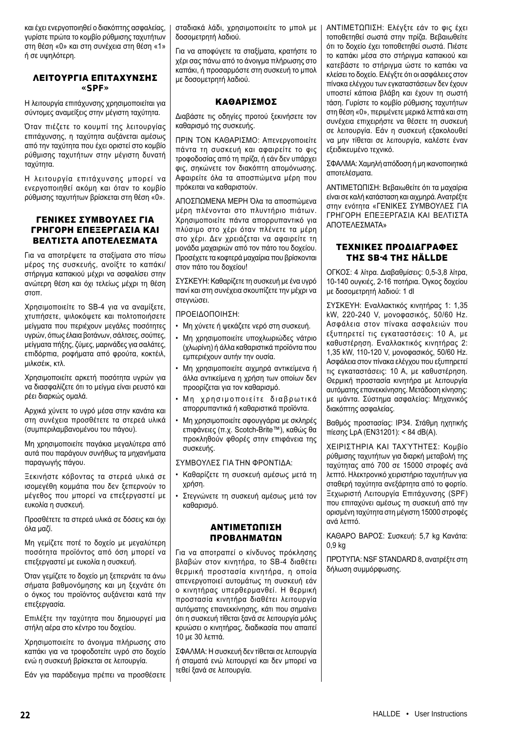και έχει ενεργοποιηθεί ο διακόπτης ασφαλείας, γυρίστε πρώτα το κομβίο ρύθμισης ταχυτήτων στη θέση «0» και στη συνέχεια στη θέση «1» ή σε υψηλότερη.

## ΛΕΙΤΟΥΡΓΙΑ ΕΠΙΤΑΧΥΝΣΗΣ «SPF»

Η λειτουργία επιτάχυνσης χρησιμοποιείται για σύντομες αναμείξεις στην μέγιστη ταχύτητα.

Όταν πιέζετε το κουμπί της λειτουργίας επιτάχυνσης, η ταχύτητα αυξάνεται αμέσως από την ταχύτητα που έχει οριστεί στο κομβίο ρύθμισης ταχυτήτων στην μέγιστη δυνατή ταχύτητα.

Η λειτουργία επιτάχυνσης μπορεί να ενεργοποιηθεί ακόμη και όταν το κομβίο ρύθμισης ταχυτήτων βρίσκεται στη θέση «0».

## ΓΕΝΙΚΕΣ ΣΥΜΒΟΥΛΕΣ ΓΙΑ ΓΡΗΓΟΡΗ ΕΠΕΞΕΡΓΑΣΙΑ ΚΑΙ ΒΕΛΤΙΣΤΑ ΑΠΟΤΕΛΕΣΜΑΤΑ

Για να αποτρέψετε τα σταξίματα στο πίσω μέρος της συσκευής, ανοίξτε το καπάκι/ στήριγμα καπακιού μέχρι να ασφαλίσει στην ανώτερη θέση και όχι τελείως μέχρι τη θέση στοπ.

Χρησιμοποιείτε το SB-4 για να αναμίξετε, χτυπήσετε, ψιλοκόψετε και πολτοποιήσετε μείγματα που περιέχουν μεγάλες ποσότητες υγρών, όπως έλαια βοτάνων, σάλτσες, σούπες, μείγματα πήξης, ζύμες, μαρινάδες για σαλάτες, επιδόρπια, ροφήματα από φρούτα, κοκτέιλ, μιλκσέικ, κτλ.

Χρησιμοποιείτε αρκετή ποσότητα υγρών για να διασφαλίζετε ότι το μείγμα είναι ρευστό και ρέει διαρκώς ομαλά.

Αρχικά χύνετε το υγρό μέσα στην κανάτα και στη συνέχεια προσθέτετε τα στερεά υλικά (συμπεριλαμβανομένου του πάγου).

Μη χρησιμοποιείτε παγάκια μεγαλύτερα από αυτά που παράγουν συνήθως τα μηχανήματα παραγωγής πάγου.

Ξεκινήστε κόβοντας τα στερεά υλικά σε ισομεγέθη κομμάτια που δεν ξεπερνούν το μέγεθος που μπορεί να επεξεργαστεί με ευκολία η συσκευή.

Προσθέτετε τα στερεά υλικά σε δόσεις και όχι όλα μαζί.

Μη γεμίζετε ποτέ το δοχείο με μεγαλύτερη ποσότητα προϊόντος από όση μπορεί να επεξεργαστεί με ευκολία η συσκευή.

Όταν γεμίζετε το δοχείο μη ξεπερνάτε τα άνω σήματα βαθμονόμησης και μη ξεχνάτε ότι ο όγκος του προϊόντος αυξάνεται κατά την επεξεργασία.

Επιλέξτε την ταχύτητα που δημιουργεί μια στήλη αέρα στο κέντρο του δοχείου.

Χρησιμοποιείτε το άνοιγμα πλήρωσης στο καπάκι για να τροφοδοτείτε υγρό στο δοχείο ενώ η συσκευή βρίσκεται σε λειτουργία.

Εάν για παράδειγμα πρέπει να προσθέσετε

σταδιακά λάδι, χρησιμοποιείτε το μπολ με δοσομετρητή λαδιού.

Για να αποφύγετε τα σταξίματα, κρατήστε το χέρι σας πάνω από το άνοιγμα πλήρωσης στο καπάκι, ή προσαρμόστε στη συσκευή το μπολ με δοσομετρητή λαδιού.

## ΚΑΘΑΡΙΣΜΟΣ

Διαβάστε τις οδηγίες προτού ξεκινήσετε τον καθαρισμό της συσκευής.

ΠΡΙΝ ΤΟΝ ΚΑΘΑΡΙΣΜΟ: Απενεργοποιείτε πάντα τη συσκευή και αφαιρείτε το φις τροφοδοσίας από τη πρίζα, ή εάν δεν υπάρχει φις, σηκώνετε τον διακόπτη απομόνωσης. Αφαιρείτε όλα τα αποσπώμενα μέρη που πρόκειται να καθαριστούν.

ΑΠΟΣΠΩΜΕΝΑ ΜΕΡΗ Όλα τα αποσπώμενα μέρη πλένονται στο πλυντήριο πιάτων. Χρησιμοποιείτε πάντα απορρυπαντικό για πλύσιμο στο χέρι όταν πλένετε τα μέρη στο χέρι. Δεν χρειάζεται να αφαιρείτε τη μονάδα μαχαιριών από τον πάτο του δοχείου. Προσέχετε τα κοφτερά μαχαίρια που βρίσκονται στον πάτο του δοχείου!

ΣΥΣΚΕΥΗ: Καθαρίζετε τη συσκευή με ένα υγρό πανί και στη συνέχεια σκουπίζετε την μέχρι να στεγνώσει.

ΠΡΟΕΙΔΟΠΟΙΗΣΗ:

- Μη χύνετε ή ψεκάζετε νερό στη συσκευή.
- Μη χρησιμοποιείτε υποχλωριώδες νάτριο (χλωρίνη) ή άλλα καθαριστικά προϊόντα που εμπεριέχουν αυτήν την ουσία.
- Μη χρησιμοποιείτε αιχμηρά αντικείμενα ή άλλα αντικείμενα η χρήση των οποίων δεν προορίζεται για τον καθαρισμό.
- Μη χρησιμοποιείτε διαβρωτικά απορρυπαντικά ή καθαριστικά προϊόντα.
- Μη χρησιμοποιείτε σφουγγάρια με σκληρές επιφάνειες (π.χ. Scotch-Brite™), καθώς θα προκληθούν φθορές στην επιφάνεια της συσκευής.

ΣΥΜΒΟΥΛΕΣ ΓΙΑ ΤΗΝ ΦΡΟΝΤΙΔΑ:

- Καθαρίζετε τη συσκευή αμέσως μετά τη χρήση.
- Στεγνώνετε τη συσκευή αμέσως μετά τον καθαρισμό.

## ΑΝΤΙΜΕΤΩΠΙΣΗ ΠΡΟΒΛΗΜΑΤΩΝ

Για να αποτραπεί ο κίνδυνος πρόκλησης βλαβών στον κινητήρα, το SB-4 διαθέτει θερμική προστασία κινητήρα, η οποία απενεργοποιεί αυτομάτως τη συσκευή εάν ο κινητήρας υπερθερμανθεί. Η θερμική προστασία κινητήρα διαθέτει λειτουργία αυτόματης επανεκκίνησης, κάτι που σημαίνει ότι η συσκευή τίθεται ξανά σε λειτουργία μόλις κρυώσει ο κινητήρας, διαδικασία που απαιτεί 10 με 30 λεπτά.

ΣΦΑΛΜΑ: Η συσκευή δεν τίθεται σε λειτουργία ή σταματά ενώ λειτουργεί και δεν μπορεί να τεθεί ξανά σε λειτουργία.

ΑΝΤΙΜΕΤΩΠΙΣΗ: Ελέγξτε εάν το φις έχει τοποθετηθεί σωστά στην πρίζα. Βεβαιωθείτε ότι το δοχείο έχει τοποθετηθεί σωστά. Πιέστε το καπάκι μέσα στο στήριγμα καπακιού και κατεβάστε το στήριγμα ώστε το καπάκι να κλείσει το δοχείο. Ελέγξτε ότι οι ασφάλειες στον πίνακα ελέγχου των εγκαταστάσεων δεν έχουν υποστεί κάποια βλάβη και έχουν τη σωστή τάση. Γυρίστε το κομβίο ρύθμισης ταχυτήτων στη θέση «0», περιμένετε μερικά λεπτά και στη συνέχεια επιχειρήστε να θέσετε τη συσκευή σε λειτουργία. Εάν η συσκευή εξακολουθεί να μην τίθεται σε λειτουργία, καλέστε έναν εξειδικευμένο τεχνικό.

ΣΦΑΛΜΑ: Χαμηλή απόδοση ή μη ικανοποιητικά αποτελέσματα.

ΑΝΤΙΜΕΤΩΠΙΣΗ: Βεβαιωθείτε ότι τα μαχαίρια είναι σε καλή κατάσταση και αιχμηρά. Ανατρέξτε στην ενότητα «ΓΕΝΙΚΕΣ ΣΥΜΒΟΥΛΕΣ ΓΙΑ ΓΡΗΓΟΡΗ ΕΠΕΞΕΡΓΑΣΙΑ ΚΑΙ ΒΕΛΤΙΣΤΑ ΑΠΟΤΕΛΕΣΜΑΤΑ»

## ΤΕΧΝΙΚΕΣ ΠΡΟΔΙΑΓΡΑΦΕΣ ΤΗΣ SB-4 ΤΗΣ HÄLLDE

ΟΓΚΟΣ: 4 λίτρα. Διαβαθμίσεις: 0,5-3,8 λίτρα, 10-140 ουγκιές, 2-16 ποτήρια. Όγκος δοχείου με δοσομετρητή λαδιού: 1 dl

ΣΥΣΚΕΥΗ: Εναλλακτικός κινητήρας 1: 1,35 kW, 220-240 V, μονοφασικός, 50/60 Hz. Ασφάλεια στον πίνακα ασφαλειών που εξυπηρετεί τις εγκαταστάσεις: 10 A, με καθυστέρηση. Εναλλακτικός κινητήρας 2: 1,35 kW, 110-120 V, μονοφασικός, 50/60 Hz. Ασφάλεια στον πίνακα ελέγχου που εξυπηρετεί τις εγκαταστάσεις: 10 A, με καθυστέρηση. Θερμική προστασία κινητήρα με λειτουργία αυτόματης επανεκκίνησης. Μετάδοση κίνησης: με ιμάντα. Σύστημα ασφαλείας: Μηχανικός διακόπτης ασφαλείας.

Βαθμός προστασίας: IP34. Στάθμη ηχητικής πίεσης LpA (EN31201): < 84 dB(A).

ΧΕΙΡΙΣΤΗΡΙΑ ΚΑΙ ΤΑΧΎΤΗΤΕΣ: Κομβίο ρύθμισης ταχυτήτων για διαρκή μεταβολή της ταχύτητας από 700 σε 15000 στροφές ανά λεπτό. Ηλεκτρονικό χειριστήριο ταχυτήτων για σταθερή ταχύτητα ανεξάρτητα από το φορτίο. Ξεχωριστή Λειτουργία Επιτάχυνσης (SPF) που επιταχύνει αμέσως τη συσκευή από την ορισμένη ταχύτητα στη μέγιστη 15000 στροφές ανά λεπτό.

ΚΑΘΑΡΟ ΒΑΡΟΣ: Συσκευή: 5,7 kg Κανάτα: 0,9 kg

ΠΡΌΤΥΠΑ: NSF STANDARD 8, ανατρέξτε στη δήλωση συμμόρφωσης.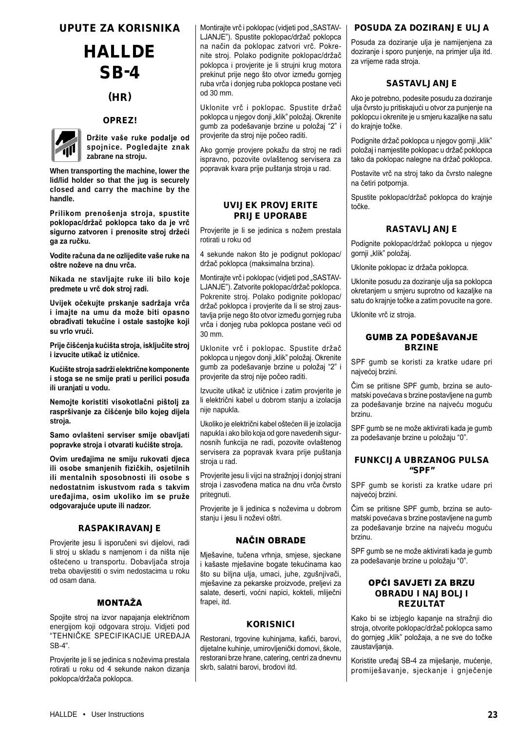## UPUTE ZA KORISNIKA

# **HALLDE** SB-4

## (HR)

## OPREZ!



**Držite vaše ruke podalje od spojnice. Pogledajte znak zabrane na stroju.**

**When transporting the machine, lower the lid/lid holder so that the jug is securely closed and carry the machine by the handle.**

**Prilikom prenošenja stroja, spustite poklopac/držač poklopca tako da je vrč sigurno zatvoren i prenosite stroj držeći ga za ručku.**

**Vodite računa da ne ozlijedite vaše ruke na oštre noževe na dnu vrča.**

**Nikada ne stavljajte ruke ili bilo koje predmete u vrč dok stroj radi.**

**Uvijek očekujte prskanje sadržaja vrča i imajte na umu da može biti opasno obrađivati tekućine i ostale sastojke koji su vrlo vrući.**

**Prije čišćenja kućišta stroja, isključite stroj i izvucite utikač iz utičnice.**

**Kućište stroja sadrži električne komponente i stoga se ne smije prati u perilici posuđa ili uranjati u vodu.**

**Nemojte koristiti visokotlačni pištolj za raspršivanje za čišćenje bilo kojeg dijela stroja.**

**Samo ovlašteni serviser smije obavljati popravke stroja i otvarati kućište stroja.**

**Ovim uređajima ne smiju rukovati djeca ili osobe smanjenih fizičkih, osjetilnih ili mentalnih sposobnosti ili osobe s nedostatnim iskustvom rada s takvim uređajima, osim ukoliko im se pruže odgovarajuće upute ili nadzor.**

#### RASPAKIRAVANJE

Provjerite jesu li isporučeni svi dijelovi, radi li stroj u skladu s namjenom i da ništa nije oštećeno u transportu. Dobavljača stroja treba obavijestiti o svim nedostacima u roku od osam dana.

## MONTAŽA

Spojite stroj na izvor napajanja električnom energijom koji odgovara stroju. Vidjeti pod "TEHNIČKE SPECIFIKACIJE UREĐAJA SB-4".

Provjerite je li se jedinica s noževima prestala rotirati u roku od 4 sekunde nakon dizanja poklopca/držača poklopca.

Montirajte vrč i poklopac (vidjeti pod "SASTAV-LJANJE"). Spustite poklopac/držač poklopca na način da poklopac zatvori vrč. Pokrenite stroj. Polako podignite poklopac/držač poklopca i provjerite je li strujni krug motora prekinut prije nego što otvor između gornjeg ruba vrča i donjeg ruba poklopca postane veći od 30 mm.

Uklonite vrč i poklopac. Spustite držač poklopca u njegov donji "klik" položaj. Okrenite gumb za podešavanje brzine u položaj "2" i provjerite da stroj nije počeo raditi.

Ako gornje provjere pokažu da stroj ne radi ispravno, pozovite ovlaštenog servisera za popravak kvara prije puštanja stroja u rad.

## UVIJEK PROVJERITE PRIJE UPORABE

Provjerite je li se jedinica s nožem prestala rotirati u roku od

4 sekunde nakon što je podignut poklopac/ držač poklopca (maksimalna brzina).

Montirajte vrč i poklopac (vidjeti pod "SASTAV-LJANJE"). Zatvorite poklopac/držač poklopca. Pokrenite stroj. Polako podignite poklopac/ držač poklopca i provjerite da li se stroj zaustavlja prije nego što otvor između gornjeg ruba vrča i donjeg ruba poklopca postane veći od 30 mm.

Uklonite vrč i poklopac. Spustite držač poklopca u njegov donji "klik" položaj. Okrenite gumb za podešavanje brzine u položaj "2" i provjerite da stroj nije počeo raditi.

Izvucite utikač iz utičnice i zatim provjerite je li električni kabel u dobrom stanju a izolacija nije napukla.

Ukoliko je električni kabel oštećen ili je izolacija napukla i ako bilo koja od gore navedenih sigurnosnih funkcija ne radi, pozovite ovlaštenog servisera za popravak kvara prije puštanja stroja u rad.

Provjerite jesu li vijci na stražnjoj i donjoj strani stroja i zasvođena matica na dnu vrča čvrsto pritegnuti.

Provjerite je li jedinica s noževima u dobrom stanju i jesu li noževi oštri.

## NAČIN OBRADE

Mješavine, tučena vrhnja, smjese, sjeckane i kašaste mješavine bogate tekućinama kao što su biljna ulja, umaci, juhe, zgušnjivači, mješavine za pekarske proizvode, preljevi za salate, deserti, voćni napici, kokteli, mliječni frapei, itd.

## **KORISNICI**

Restorani, trgovine kuhinjama, kafići, barovi, dijetalne kuhinje, umirovljenički domovi, škole, restorani brze hrane, catering, centri za dnevnu skrb, salatni barovi, brodovi itd.

## POSUDA ZA DOZIRANJE ULJA

Posuda za doziranje ulja je namijenjena za doziranje i sporo punjenje, na primjer ulja itd. za vrijeme rada stroja.

## SASTAVLJANJE

Ako je potrebno, podesite posudu za doziranje ulja čvrsto ju pritiskajući u otvor za punjenje na poklopcu i okrenite je u smjeru kazaljke na satu do krajnje točke.

Podignite držač poklopca u njegov gornji "klik" položaj i namjestite poklopac u držač poklopca tako da poklopac nalegne na držač poklopca.

Postavite vrč na stroj tako da čvrsto nalegne na četiri potpornja.

Spustite poklopac/držač poklopca do krajnje točke.

## RASTAVLJANJE

Podignite poklopac/držač poklopca u njegov gornji "klik" položaj.

Uklonite poklopac iz držača poklopca.

Uklonite posudu za doziranje ulja sa poklopca okretanjem u smjeru suprotno od kazaljke na satu do krajnje točke a zatim povucite na gore.

Uklonite vrč iz stroja.

## GUMB ZA PODEŠAVANJE BRZINE

SPF gumb se koristi za kratke udare pri najvećoj brzini.

Čim se pritisne SPF gumb, brzina se automatski povećava s brzine postavljene na gumb za podešavanje brzine na najveću moguću brzinu.

SPF gumb se ne može aktivirati kada je gumb za podešavanje brzine u položaju "0".

## FUNKCIJA UBRZANOG PULSA "SPF"

SPF gumb se koristi za kratke udare pri najvećoj brzini.

Čim se pritisne SPF gumb, brzina se automatski povećava s brzine postavljene na gumb za podešavanje brzine na najveću moguću brzinu.

SPF gumb se ne može aktivirati kada je gumb za podešavanje brzine u položaju "0".

## OPĆI SAVJETI ZA BRZU OBRADU I NAJBOLJI REZULTAT

Kako bi se izbjeglo kapanje na stražnji dio stroja, otvorite poklopac/držač poklopca samo do gornjeg "klik" položaja, a ne sve do točke zaustavljanja.

Koristite uređaj SB-4 za miješanje, mućenje, promiješavanje, sjeckanje i gnječenje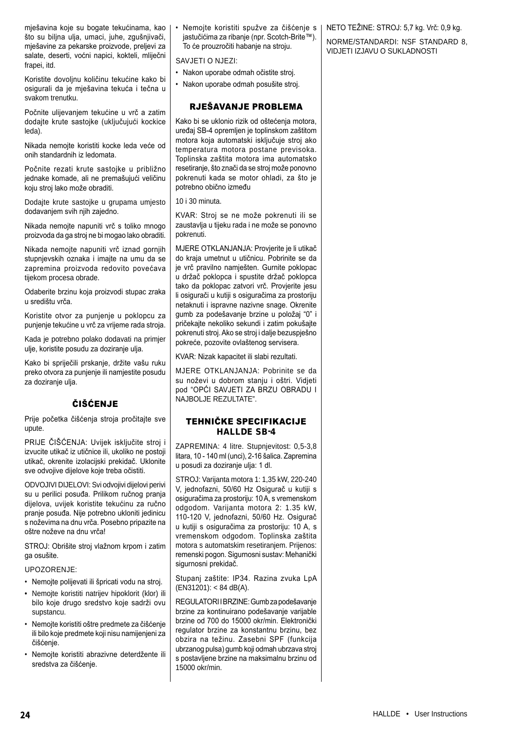mješavina koje su bogate tekućinama, kao što su biljna ulja, umaci, juhe, zgušnjivači, mješavine za pekarske proizvode, preljevi za salate, deserti, voćni napici, kokteli, mliječni frapei, itd.

Koristite dovoljnu količinu tekućine kako bi osigurali da je mješavina tekuća i tečna u svakom trenutku.

Počnite ulijevanjem tekućine u vrč a zatim dodajte krute sastojke (uključujući kockice leda).

Nikada nemojte koristiti kocke leda veće od onih standardnih iz ledomata.

Počnite rezati krute sastojke u približno jednake komade, ali ne premašujući veličinu koju stroj lako može obraditi.

Dodajte krute sastojke u grupama umjesto dodavanjem svih njih zajedno.

Nikada nemojte napuniti vrč s toliko mnogo proizvoda da ga stroj ne bi mogao lako obraditi.

Nikada nemojte napuniti vrč iznad gornjih stupnjevskih oznaka i imajte na umu da se zapremina proizvoda redovito povećava tijekom procesa obrade.

Odaberite brzinu koja proizvodi stupac zraka u središtu vrča.

Koristite otvor za punjenje u poklopcu za punjenje tekućine u vrč za vrijeme rada stroja.

Kada je potrebno polako dodavati na primjer ulje, koristite posudu za doziranje ulja.

Kako bi spriječili prskanje, držite vašu ruku preko otvora za punjenje ili namjestite posudu za doziranje ulja.

## ČIŠĆENJE

Prije početka čišćenja stroja pročitajte sve upute.

PRIJE ČIŠĆENJA: Uvijek isključite stroj i izvucite utikač iz utičnice ili, ukoliko ne postoji utikač, okrenite izolacijski prekidač. Uklonite sve odvojive dijelove koje treba očistiti.

ODVOJIVI DIJELOVI: Svi odvojivi dijelovi perivi su u perilici posuđa. Prilikom ručnog pranja dijelova, uvijek koristite tekućinu za ručno pranje posuđa. Nije potrebno ukloniti jedinicu s noževima na dnu vrča. Posebno pripazite na oštre noževe na dnu vrča!

STROJ: Obrišite stroj vlažnom krpom i zatim ga osušite.

#### UPOZORENJE:

- Nemojte polijevati ili špricati vodu na stroj.
- Nemojte koristiti natrijev hipoklorit (klor) ili bilo koje drugo sredstvo koje sadrži ovu supstancu.
- Nemojte koristiti oštre predmete za čišćenje ili bilo koje predmete koji nisu namijenjeni za čišćenje.
- Nemojte koristiti abrazivne deterdžente ili sredstva za čišćenje.

• Nemojte koristiti spužve za čišćenje s jastučićima za ribanje (npr. Scotch-Brite™). To će prouzročiti habanje na stroju.

SAVJETI O NJEZI:

- Nakon uporabe odmah očistite stroj.
- Nakon uporabe odmah posušite stroj.

## RJEŠAVANJE PROBLEMA

Kako bi se uklonio rizik od oštećenja motora, uređaj SB-4 opremljen je toplinskom zaštitom motora koja automatski isključuje stroj ako temperatura motora postane previsoka. Toplinska zaštita motora ima automatsko resetiranje, što znači da se stroj može ponovno pokrenuti kada se motor ohladi, za što je potrebno obično između

10 i 30 minuta.

KVAR: Stroj se ne može pokrenuti ili se zaustavlja u tijeku rada i ne može se ponovno pokrenuti.

MJERE OTKLANJANJA: Provjerite je li utikač do kraja umetnut u utičnicu. Pobrinite se da je vrč pravilno namješten. Gurnite poklopac u držač poklopca i spustite držač poklopca tako da poklopac zatvori vrč. Provjerite jesu li osigurači u kutiji s osiguračima za prostoriju netaknuti i ispravne nazivne snage. Okrenite gumb za podešavanje brzine u položaj "0" i pričekajte nekoliko sekundi i zatim pokušajte pokrenuti stroj. Ako se stroj i dalje bezuspješno pokreće, pozovite ovlaštenog servisera.

KVAR: Nizak kapacitet ili slabi rezultati.

MJERE OTKLANJANJA: Pobrinite se da su noževi u dobrom stanju i oštri. Vidjeti pod "OPĆI SAVJETI ZA BRZU OBRADU I NAJBOLJE REZULTATE".

## TEHNIČKE SPECIFIKACIJE HALLDE SB-4

ZAPREMINA: 4 litre. Stupnjevitost: 0,5-3,8 litara, 10 - 140 ml (unci), 2-16 šalica. Zapremina u posudi za doziranje ulja: 1 dl.

STROJ: Varijanta motora 1: 1,35 kW, 220-240 V, jednofazni, 50/60 Hz Osigurač u kutiji s osiguračima za prostoriju: 10 A, s vremenskom odgodom. Varijanta motora 2: 1.35 kW, 110-120 V, jednofazni, 50/60 Hz. Osigurač u kutiji s osiguračima za prostoriju: 10 A, s vremenskom odgodom. Toplinska zaštita motora s automatskim resetiranjem. Prijenos: remenski pogon. Sigurnosni sustav: Mehanički sigurnosni prekidač.

Stupanj zaštite: IP34. Razina zvuka LpA (EN31201): < 84 dB(A).

REGULATORI I BRZINE: Gumb za podešavanje brzine za kontinuirano podešavanje varijable brzine od 700 do 15000 okr/min. Elektronički regulator brzine za konstantnu brzinu, bez obzira na težinu. Zasebni SPF (funkcija ubrzanog pulsa) gumb koji odmah ubrzava stroj s postavljene brzine na maksimalnu brzinu od 15000 okr/min.

NETO TEŽINE: STROJ: 5,7 kg. Vrč: 0,9 kg.

NORME/STANDARDI: NSF STANDARD 8, VIDJETI IZJAVU O SUKLADNOSTI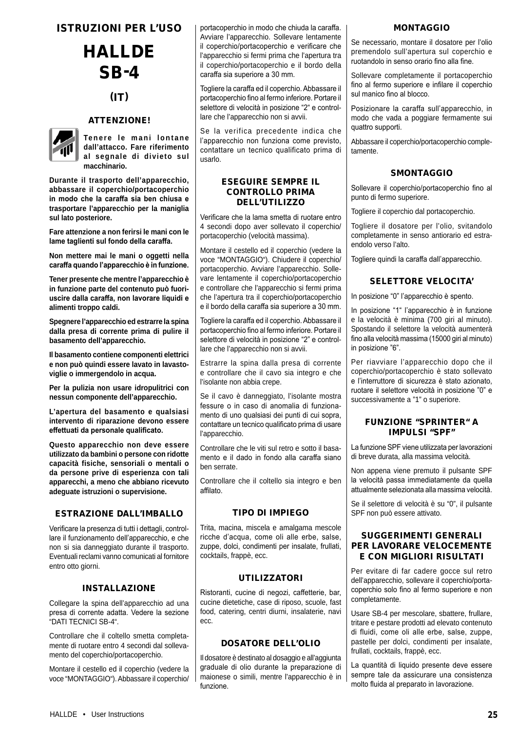ISTRUZIONI PER L'USO

# HALLDE SB-4

## $(T)$

## ATTENZIONE!



**Tenere le mani lontane dall'attacco. Fare riferimento al segnale di divieto sul macchinario.**

**Durante il trasporto dell'apparecchio, abbassare il coperchio/portacoperchio in modo che la caraffa sia ben chiusa e trasportare l'apparecchio per la maniglia sul lato posteriore.**

**Fare attenzione a non ferirsi le mani con le lame taglienti sul fondo della caraffa.**

**Non mettere mai le mani o oggetti nella caraffa quando l'apparecchio è in funzione.**

**Tener presente che mentre l'apparecchio è in funzione parte del contenuto può fuoriuscire dalla caraffa, non lavorare liquidi e alimenti troppo caldi.**

**Spegnere l'apparecchio ed estrarre la spina dalla presa di corrente prima di pulire il basamento dell'apparecchio.**

**Il basamento contiene componenti elettrici e non può quindi essere lavato in lavastoviglie o immergendolo in acqua.**

**Per la pulizia non usare idropulitrici con nessun componente dell'apparecchio.**

**L'apertura del basamento e qualsiasi intervento di riparazione devono essere effettuati da personale qualificato.**

**Questo apparecchio non deve essere utilizzato da bambini o persone con ridotte capacità fisiche, sensoriali o mentali o da persone prive di esperienza con tali apparecchi, a meno che abbiano ricevuto adeguate istruzioni o supervisione.**

## ESTRAZIONE DALL'IMBALLO

Verificare la presenza di tutti i dettagli, controllare il funzionamento dell'apparecchio, e che non si sia danneggiato durante il trasporto. Eventuali reclami vanno comunicati al fornitore entro otto giorni.

## INSTALLAZIONE

Collegare la spina dell'apparecchio ad una presa di corrente adatta. Vedere la sezione "DATI TECNICI SB-4".

Controllare che il coltello smetta completamente di ruotare entro 4 secondi dal sollevamento del coperchio/portacoperchio.

Montare il cestello ed il coperchio (vedere la voce "MONTAGGIO"). Abbassare il coperchio/ portacoperchio in modo che chiuda la caraffa. Avviare l'apparecchio. Sollevare lentamente il coperchio/portacoperchio e verificare che l'apparecchio si fermi prima che l'apertura tra il coperchio/portacoperchio e il bordo della caraffa sia superiore a 30 mm.

Togliere la caraffa ed il coperchio. Abbassare il portacoperchio fino al fermo inferiore. Portare il selettore di velocità in posizione "2" e controllare che l'apparecchio non si avvii.

Se la verifica precedente indica che l'apparecchio non funziona come previsto, contattare un tecnico qualificato prima di usarlo.

## ESEGUIRE SEMPRE IL CONTROLLO PRIMA DELL'UTILIZZO

Verificare che la lama smetta di ruotare entro 4 secondi dopo aver sollevato il coperchio/ portacoperchio (velocità massima).

Montare il cestello ed il coperchio (vedere la voce "MONTAGGIO"). Chiudere il coperchio/ portacoperchio. Avviare l'apparecchio. Sollevare lentamente il coperchio/portacoperchio e controllare che l'apparecchio si fermi prima che l'apertura tra il coperchio/portacoperchio e il bordo della caraffa sia superiore a 30 mm.

Togliere la caraffa ed il coperchio. Abbassare il portacoperchio fino al fermo inferiore. Portare il selettore di velocità in posizione "2" e controllare che l'apparecchio non si avvii.

Estrarre la spina dalla presa di corrente e controllare che il cavo sia integro e che l'isolante non abbia crepe.

Se il cavo è danneggiato, l'isolante mostra fessure o in caso di anomalia di funzionamento di uno qualsiasi dei punti di cui sopra, contattare un tecnico qualificato prima di usare l'apparecchio.

Controllare che le viti sul retro e sotto il basamento e il dado in fondo alla caraffa siano ben serrate.

Controllare che il coltello sia integro e ben affilato.

## TIPO DI IMPIEGO

Trita, macina, miscela e amalgama mescole ricche d'acqua, come oli alle erbe, salse, zuppe, dolci, condimenti per insalate, frullati, cocktails, frappè, ecc.

## UTILIZZATORI

Ristoranti, cucine di negozi, caffetterie, bar, cucine dietetiche, case di riposo, scuole, fast food, catering, centri diurni, insalaterie, navi ecc.

#### DOSATORE DELL'OLIO

Il dosatore è destinato al dosaggio e all'aggiunta graduale di olio durante la preparazione di maionese o simili, mentre l'apparecchio è in funzione.

#### **MONTAGGIO**

Se necessario, montare il dosatore per l'olio premendolo sull'apertura sul coperchio e ruotandolo in senso orario fino alla fine.

Sollevare completamente il portacoperchio fino al fermo superiore e infilare il coperchio sul manico fino al blocco.

Posizionare la caraffa sull'apparecchio, in modo che vada a poggiare fermamente sui quattro supporti.

Abbassare il coperchio/portacoperchio completamente.

## **SMONTAGGIO**

Sollevare il coperchio/portacoperchio fino al punto di fermo superiore.

Togliere il coperchio dal portacoperchio.

Togliere il dosatore per l'olio, svitandolo completamente in senso antiorario ed estraendolo verso l'alto.

Togliere quindi la caraffa dall'apparecchio.

## SELETTORE VELOCITA'

In posizione "0" l'apparecchio è spento.

In posizione "1" l'apparecchio è in funzione e la velocità è minima (700 giri al minuto). Spostando il selettore la velocità aumenterà fino alla velocità massima (15000 giri al minuto) in posizione "6".

Per riavviare l'apparecchio dopo che il coperchio/portacoperchio è stato sollevato e l'interruttore di sicurezza è stato azionato, ruotare il selettore velocità in posizione "0" e successivamente a "1" o superiore.

## FUNZIONE "SPRINTER" A IMPULSI "SPF"

La funzione SPF viene utilizzata per lavorazioni di breve durata, alla massima velocità.

Non appena viene premuto il pulsante SPF la velocità passa immediatamente da quella attualmente selezionata alla massima velocità.

Se il selettore di velocità è su "0", il pulsante SPF non può essere attivato.

## SUGGERIMENTI GENERALI PER LAVORARE VELOCEMENTE E CON MIGLIORI RISULTATI

Per evitare di far cadere gocce sul retro dell'apparecchio, sollevare il coperchio/portacoperchio solo fino al fermo superiore e non completamente.

Usare SB-4 per mescolare, sbattere, frullare, tritare e pestare prodotti ad elevato contenuto di fluidi, come oli alle erbe, salse, zuppe, pastelle per dolci, condimenti per insalate, frullati, cocktails, frappè, ecc.

La quantità di liquido presente deve essere sempre tale da assicurare una consistenza molto fluida al preparato in lavorazione.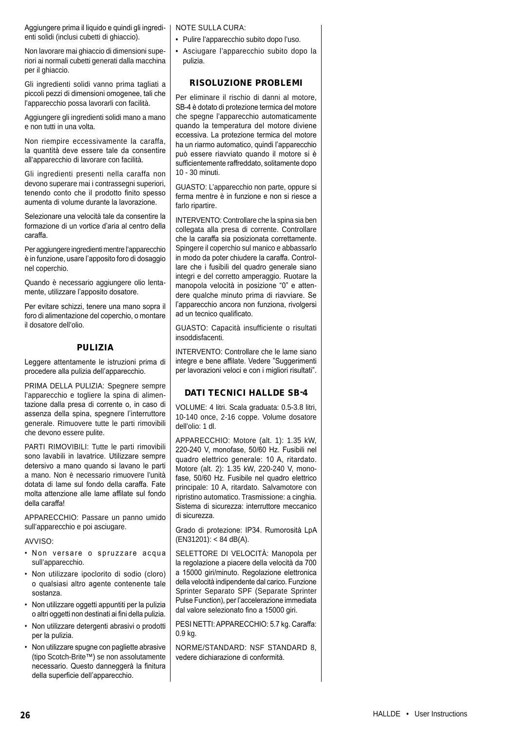Aggiungere prima il liquido e quindi gli ingredienti solidi (inclusi cubetti di ghiaccio).

Non lavorare mai ghiaccio di dimensioni superiori ai normali cubetti generati dalla macchina per il ghiaccio.

Gli ingredienti solidi vanno prima tagliati a piccoli pezzi di dimensioni omogenee, tali che l'apparecchio possa lavorarli con facilità.

Aggiungere gli ingredienti solidi mano a mano e non tutti in una volta.

Non riempire eccessivamente la caraffa, la quantità deve essere tale da consentire all'apparecchio di lavorare con facilità.

Gli ingredienti presenti nella caraffa non devono superare mai i contrassegni superiori, tenendo conto che il prodotto finito spesso aumenta di volume durante la lavorazione.

Selezionare una velocità tale da consentire la formazione di un vortice d'aria al centro della caraffa.

Per aggiungere ingredienti mentre l'apparecchio è in funzione, usare l'apposito foro di dosaggio nel coperchio.

Quando è necessario aggiungere olio lentamente, utilizzare l'apposito dosatore.

Per evitare schizzi, tenere una mano sopra il foro di alimentazione del coperchio, o montare il dosatore dell'olio.

## PULIZIA

Leggere attentamente le istruzioni prima di procedere alla pulizia dell'apparecchio.

PRIMA DELLA PULIZIA: Spegnere sempre l'apparecchio e togliere la spina di alimentazione dalla presa di corrente o, in caso di assenza della spina, spegnere l'interruttore generale. Rimuovere tutte le parti rimovibili che devono essere pulite.

PARTI RIMOVIBILI: Tutte le parti rimovibili sono lavabili in lavatrice. Utilizzare sempre detersivo a mano quando si lavano le parti a mano. Non è necessario rimuovere l'unità dotata di lame sul fondo della caraffa. Fate molta attenzione alle lame affilate sul fondo della caraffa!

APPARECCHIO: Passare un panno umido sull'apparecchio e poi asciugare.

AVVISO:

- Non versare o spruzzare acqua sull'apparecchio.
- Non utilizzare ipoclorito di sodio (cloro) o qualsiasi altro agente contenente tale sostanza.
- Non utilizzare oggetti appuntiti per la pulizia o altri oggetti non destinati ai fini della pulizia.
- Non utilizzare detergenti abrasivi o prodotti per la pulizia.
- Non utilizzare spugne con pagliette abrasive (tipo Scotch-Brite™) se non assolutamente necessario. Questo danneggerà la finitura della superficie dell'apparecchio.

NOTE SULLA CURA:

- Pulire l'apparecchio subito dopo l'uso.
- Asciugare l'apparecchio subito dopo la pulizia.

## RISOLUZIONE PROBLEMI

Per eliminare il rischio di danni al motore, SB-4 è dotato di protezione termica del motore che spegne l'apparecchio automaticamente quando la temperatura del motore diviene eccessiva. La protezione termica del motore ha un riarmo automatico, quindi l'apparecchio può essere riavviato quando il motore si è sufficientemente raffreddato, solitamente dopo 10 - 30 minuti.

GUASTO: L'apparecchio non parte, oppure si ferma mentre è in funzione e non si riesce a farlo ripartire.

INTERVENTO: Controllare che la spina sia ben collegata alla presa di corrente. Controllare che la caraffa sia posizionata correttamente. Spingere il coperchio sul manico e abbassarlo in modo da poter chiudere la caraffa. Controllare che i fusibili del quadro generale siano integri e del corretto amperaggio. Ruotare la manopola velocità in posizione "0" e attendere qualche minuto prima di riavviare. Se l'apparecchio ancora non funziona, rivolgersi ad un tecnico qualificato.

GUASTO: Capacità insufficiente o risultati insoddisfacenti.

INTERVENTO: Controllare che le lame siano integre e bene affilate. Vedere "Suggerimenti per lavorazioni veloci e con i migliori risultati".

## DATI TECNICI HALLDE SB-4

VOLUME: 4 litri. Scala graduata: 0.5-3.8 litri, 10-140 once, 2-16 coppe. Volume dosatore dell'olio: 1 dl.

APPARECCHIO: Motore (alt. 1): 1.35 kW, 220-240 V, monofase, 50/60 Hz. Fusibili nel quadro elettrico generale: 10 A, ritardato. Motore (alt. 2): 1.35 kW, 220-240 V, monofase, 50/60 Hz. Fusibile nel quadro elettrico principale: 10 A, ritardato. Salvamotore con ripristino automatico. Trasmissione: a cinghia. Sistema di sicurezza: interruttore meccanico di sicurezza.

Grado di protezione: IP34. Rumorosità LpA (EN31201): < 84 dB(A).

SELETTORE DI VELOCITÀ: Manopola per la regolazione a piacere della velocità da 700 a 15000 giri/minuto. Regolazione elettronica della velocità indipendente dal carico. Funzione Sprinter Separato SPF (Separate Sprinter Pulse Function), per l'accelerazione immediata dal valore selezionato fino a 15000 giri.

PESI NETTI: APPARECCHIO: 5.7 kg. Caraffa: 0.9 kg.

NORME/STANDARD: NSF STANDARD 8, vedere dichiarazione di conformità.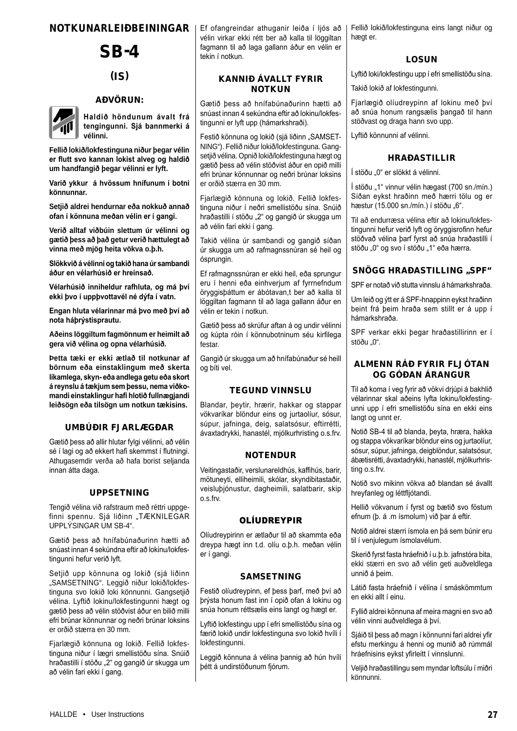## NOTKUNARLEIÐBEININGAR

## SB-4

## $(IS)$

#### AÐVÖRUN:



**Haldið höndunum ávalt frá tengingunni. Sjá bannmerki á vélinni.**

**Fellið lokið/lokfestinguna niður þegar vélin er flutt svo kannan lokist alveg og haldið um handfangið þegar vélinni er lyft.**

**Varið ykkur á hvössum hnífunum í botni könnunnar.**

**Setjið aldrei hendurnar eða nokkuð annað ofan í könnuna meðan vélin er í gangi.**

**Verið alltaf viðbúin slettum úr vélinni og gætið þess að það getur verið hættulegt að vinna með mjög heita vökva o.þ.h.**

**Slökkvið á vélinni og takið hana úr sambandi áður en vélarhúsið er hreinsað.**

**Vélarhúsið inniheldur rafhluta, og má því ekki þvo í uppþvottavél né dýfa í vatn.**

**Engan hluta vélarinnar má þvo með því að nota háþrýstisprautu.**

**Aðeins löggiltum fagmönnum er heimilt að gera við vélina og opna vélarhúsið.**

**Þetta tæki er ekki ætlað til notkunar af börnum eða einstaklingum með skerta líkamlega, skyn- eða andlega getu eða skort á reynslu á tækjum sem þessu, nema viðkomandi einstaklingur hafi hlotið fullnægjandi leiðsögn eða tilsögn um notkun tækisins.**

#### UMBÚÐIR FJARLÆGÐAR

Gætið þess að allir hlutar fylgi vélinni, að vélin sé í lagi og að ekkert hafi skemmst í flutningi. Athugasemdir verða að hafa borist seljanda innan átta daga.

#### UPPSETNING

Tengið vélina við rafstraum með réttri uppgefinni spennu. Sjá liðinn "TÆKNILEGAR UPPLÝSINGAR UM SB-4".

Gætið þess að hnífabúnaðurinn hætti að snúast innan 4 sekúndna eftir að lokinu/lokfestingunni hefur verið lyft.

Setjið upp könnuna og lokið (sjá liðinn "SAMSETNING". Leggið niður lokið/lokfestinguna svo lokið loki könnunni. Gangsetjið vélina. Lyftið lokinu/lokfestingunni hægt og gætið þess að vélin stöðvist áður en bilið milli efri brúnar könnunnar og neðri brúnar loksins er orðið stærra en 30 mm.

Fjarlægið könnuna og lokið. Fellið lokfestinguna niður í lægri smellistöðu sína. Snúið hraðastilli í stöðu "2" og gangið úr skugga um að vélin fari ekki í gang.

Ef ofangreindar athuganir leiða í ljós að vélin virkar ekki rétt ber að kalla til löggiltan fagmann til að laga gallann áður en vélin er tekin í notkun.

## KANNIÐ ÁVALLT FYRIR NOTKUN

Gætið þess að hnífabúnaðurinn hætti að snúast innan 4 sekúndna eftir að lokinu/lokfestingunni er lyft upp (hámarkshraði).

Festið könnuna og lokið (sjá liðinn "SAMSET-NING"). Fellið niður lokið/lokfestinguna. Gangsetjið vélina. Opnið lokið/lokfestinguna hægt og gætið þess að vélin stöðvist áður en opið milli efri brúnar könnunnar og neðri brúnar loksins er orðið stærra en 30 mm.

Fjarlægið könnuna og lokið. Fellið lokfestinguna niður í neðri smellistöðu sína. Snúið hraðastilli í stöðu "2" og gangið úr skugga um að vélin fari ekki í gang.

Takið vélina úr sambandi og gangið síðan úr skugga um að rafmagnssnúran sé heil og ósprungin.

Ef rafmagnssnúran er ekki heil, eða sprungur eru í henni eða einhverjum af fyrrnefndum öryggisþáttum er ábótavan,t ber að kalla til löggiltan fagmann til að laga gallann áður en vélin er tekin í notkun.

Gætið þess að skrúfur aftan á og undir vélinni og kúpta róin í könnubotninum séu kirfilega festar.

Gangið úr skugga um að hnífabúnaður sé heill og bíti vel.

#### TEGUND VINNSLU

Blandar, þeytir, hrærir, hakkar og stappar vökvaríkar blöndur eins og jurtaolíur, sósur, súpur, jafninga, deig, salatsósur, eftirrétti, ávaxtadrykki, hanastél, mjólkurhristing o.s.frv.

#### **NOTENDUR**

Veitingastaðir, verslunareldhús, kaffihús, barir, mötuneyti, elliheimili, skólar, skyndibitastaðir, veisluþjónustur, dagheimili, salatbarir, skip o.s.frv.

#### OLÍUDREYPIR

Olíudreypirinn er ætlaður til að skammta eða dreypa hægt inn t.d. olíu o.þ.h. meðan vélin er í gangi.

#### SAMSETNING

Festið olíudreypinn, ef þess þarf, með því að þrýsta honum fast inn í opið ofan á lokinu og snúa honum réttsælis eins langt og hægt er.

Lyftið lokfestingu upp í efri smellistöðu sína og færið lokið undir lokfestinguna svo lokið hvíli í lokfestingunni.

Leggið könnuna á vélina þannig að hún hvíli þétt á undirstöðunum fjórum.

Fellið lokið/lokfestinguna eins langt niður og hægt er.

#### LOSUN

Lyftið loki/lokfestingu upp í efri smellistöðu sína.

Takið lokið af lokfestingunni.

Fjarlægið olíudreypinn af lokinu með því að snúa honum rangsælis þangað til hann stöðvast og draga hann svo upp.

Lyftið könnunni af vélinni.

#### HRAÐASTILLIR

Í stöðu "0" er slökkt á vélinni.

Í stöðu "1" vinnur vélin hægast (700 sn./mín.) Síðan eykst hraðinn með hærri tölu og er hæstur (15.000 sn./mín.) í stöðu "6".

Til að endurræsa vélina eftir að lokinu/lokfestingunni hefur verið lyft og öryggisrofinn hefur stöðvað vélina þarf fyrst að snúa hraðastilli í stöðu "0" og svo í stöðu "1" eða hærra.

#### SNÖGG HRAÐASTILLING "SPF"

SPF er notað við stutta vinnslu á hámarkshraða.

Um leið og ýtt er á SPF-hnappinn eykst hraðinn beint frá þeim hraða sem stillt er á upp í hámarkshraða.

SPF verkar ekki þegar hraðastillirinn er í stöðu ..0".

### ALMENN RÁÐ FYRIR FLJÓTAN OG GÓÐAN ÁRANGUR

Til að koma í veg fyrir að vökvi drjúpi á bakhlið vélarinnar skal aðeins lyfta lokinu/lokfestingunni upp í efri smellistöðu sína en ekki eins langt og unnt er.

Notið SB-4 til að blanda, þeyta, hræra, hakka og stappa vökvaríkar blöndur eins og jurtaolíur, sósur, súpur, jafninga, deigblöndur, salatsósur, ábætisrétti, ávaxtadrykki, hanastél, mjólkurhristing o.s.frv.

Notið svo mikinn vökva að blandan sé ávallt hreyfanleg og léttfljótandi.

Hellið vökvanum í fyrst og bætið svo föstum efnum (þ. á .m ísmolum) við þar á eftir.

Notið aldrei stærri ísmola en þá sem búnir eru til í venjulegum ísmolavélum.

Skerið fyrst fasta hráefnið í u.þ.b. jafnstóra bita, ekki stærri en svo að vélin geti auðveldlega unnið á þeim.

Látið fasta hráefnið í vélina í smáskömmtum en ekki allt í einu.

Fyllið aldrei könnuna af meira magni en svo að vélin vinni auðveldlega á því.

Sjáið til þess að magn í könnunni fari aldrei yfir efstu merkingu á henni og munið að rúmmál hráefnisins eykst yfirleitt í vinnslunni.

Veljið hraðastillingu sem myndar loftsúlu í miðri könnunni.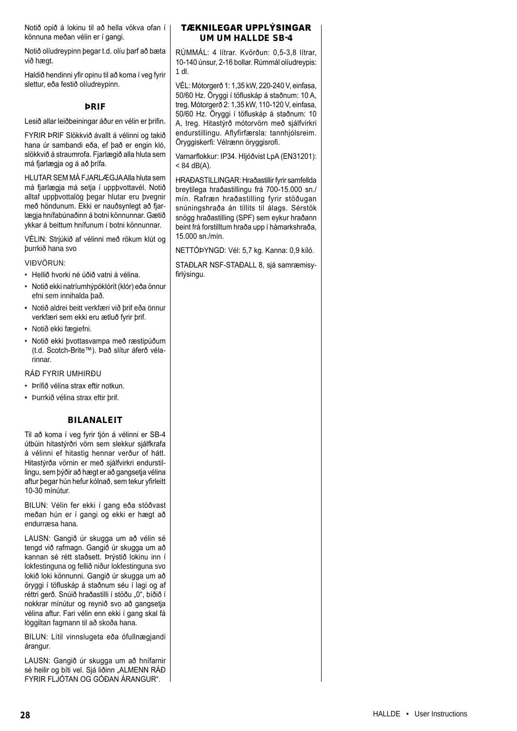Notið opið á lokinu til að hella vökva ofan í könnuna meðan vélin er í gangi.

Notið olíudreypinn þegar t.d. olíu þarf að bæta við hægt.

Haldið hendinni yfir opinu til að koma í veg fyrir slettur, eða festið olíudreypinn.

## ÞRIF

Lesið allar leiðbeiningar áður en vélin er þrifin.

FYRIR ÞRIF Slökkvið ávallt á vélinni og takið hana úr sambandi eða, ef það er engin kló, slökkvið á straumrofa. Fjarlægið alla hluta sem má fjarlægja og á að þrífa.

HLUTAR SEM MÁ FJARLÆGJA Alla hluta sem má fjarlægja má setja í uppþvottavél. Notið alltaf uppþvottalög þegar hlutar eru þvegnir með höndunum. Ekki er nauðsynlegt að fjarlægja hnífabúnaðinn á botni könnunnar. Gætið ykkar á beittum hnífunum í botni könnunnar.

VÉLIN: Strjúkið af vélinni með rökum klút og þurrkið hana svo

#### VIÐVÖRUN:

- Hellið hvorki né úðið vatni á vélina.
- Notið ekki natríumhýpóklórít (klór) eða önnur efni sem innihalda það.
- Notið aldrei beitt verkfæri við þrif eða önnur verkfæri sem ekki eru ætluð fyrir þrif.
- Notið ekki fægiefni.
- Notið ekki þvottasvampa með ræstipúðum (t.d. Scotch-Brite™). Það slítur áferð vélarinnar.

#### RÁÐ FYRIR UMHIRÐU

- Þrífið vélina strax eftir notkun.
- Þurrkið vélina strax eftir þrif.

## BILANALEIT

Til að koma í veg fyrir tjón á vélinni er SB-4 útbúin hitastýrðri vörn sem slekkur sjálfkrafa á vélinni ef hitastig hennar verður of hátt. Hitastýrða vörnin er með sjálfvirkri endurstillingu, sem þýðir að hægt er að gangsetja vélina aftur þegar hún hefur kólnað, sem tekur yfirleitt 10-30 mínútur.

BILUN: Vélin fer ekki í gang eða stöðvast meðan hún er í gangi og ekki er hægt að endurræsa hana.

LAUSN: Gangið úr skugga um að vélin sé tengd við rafmagn. Gangið úr skugga um að kannan sé rétt staðsett. Þrýstið lokinu inn í lokfestinguna og fellið niður lokfestinguna svo lokið loki könnunni. Gangið úr skugga um að öryggi í töfluskáp á staðnum séu í lagi og af réttri gerð. Snúið hraðastilli í stöðu "0", bíðið í nokkrar mínútur og reynið svo að gangsetja vélina aftur. Fari vélin enn ekki í gang skal fá löggiltan fagmann til að skoða hana.

BILUN: Lítil vinnslugeta eða ófullnægjandi árangur.

LAUSN: Gangið úr skugga um að hnífarnir sé heilir og bíti vel. Sjá liðinn "ALMENN RÁÐ FYRIR FLJÓTAN OG GÓÐAN ÁRANGUR".

## TÆKNILEGAR UPPLÝSINGAR UM UM HALLDE SB-4

RÚMMÁL: 4 lítrar. Kvörðun: 0,5-3,8 lítrar, 10-140 únsur, 2-16 bollar. Rúmmál olíudreypis: 1 dl.

VÉL: Mótorgerð 1: 1,35 kW, 220-240 V, einfasa, 50/60 Hz. Öryggi í töfluskáp á staðnum: 10 A, treg. Mótorgerð 2: 1,35 kW, 110-120 V, einfasa, 50/60 Hz. Öryggi í töfluskáp á staðnum: 10 A, treg. Hitastýrð mótorvörn með sjálfvirkri endurstillingu. Aflyfirfærsla: tannhjólsreim. Öryggiskerfi: Vélrænn öryggisrofi.

Varnarflokkur: IP34. Hljóðvist LpA (EN31201):  $< 84$  dB(A).

HRAÐASTILLINGAR: Hraðastillir fyrir samfellda breytilega hraðastillingu frá 700-15.000 sn./ mín. Rafræn hraðastilling fyrir stöðugan snúningshraða án tillits til álags. Sérstök snögg hraðastilling (SPF) sem eykur hraðann beint frá forstilltum hraða upp í hámarkshraða, 15.000 sn./mín.

NETTÓÞYNGD: Vél: 5,7 kg. Kanna: 0,9 kíló.

STAÐLAR NSF-STAÐALL 8, sjá samræmisyfirlýsingu.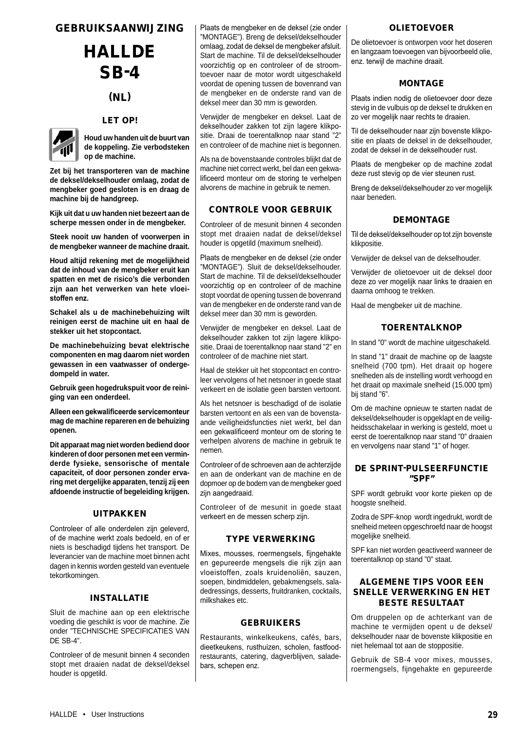## GEBRUIKSAANWIJZING

## **HALLDE** SB-4

## (NL)

## LET OP!



**Houd uw handen uit de buurt van de koppeling. Zie verbodsteken op de machine.**

**Zet bij het transporteren van de machine de deksel/dekselhouder omlaag, zodat de mengbeker goed gesloten is en draag de machine bij de handgreep.**

**Kijk uit dat u uw handen niet bezeert aan de scherpe messen onder in de mengbeker.**

**Steek nooit uw handen of voorwerpen in de mengbeker wanneer de machine draait.**

**Houd altijd rekening met de mogelijkheid dat de inhoud van de mengbeker eruit kan spatten en met de risico's die verbonden zijn aan het verwerken van hete vloeistoffen enz.**

**Schakel als u de machinebehuizing wilt reinigen eerst de machine uit en haal de stekker uit het stopcontact.**

**De machinebehuizing bevat elektrische componenten en mag daarom niet worden gewassen in een vaatwasser of ondergedompeld in water.**

**Gebruik geen hogedrukspuit voor de reiniging van een onderdeel.**

**Alleen een gekwalificeerde servicemonteur mag de machine repareren en de behuizing openen.**

**Dit apparaat mag niet worden bediend door kinderen of door personen met een verminderde fysieke, sensorische of mentale capaciteit, of door personen zonder ervaring met dergelijke apparaten, tenzij zij een afdoende instructie of begeleiding krijgen.**

#### UITPAKKEN

Controleer of alle onderdelen zijn geleverd, of de machine werkt zoals bedoeld, en of er niets is beschadigd tijdens het transport. De leverancier van de machine moet binnen acht dagen in kennis worden gesteld van eventuele tekortkomingen.

## INSTALLATIE

Sluit de machine aan op een elektrische voeding die geschikt is voor de machine. Zie onder "TECHNISCHE SPECIFICATIES VAN DE SB-4".

Controleer of de mesunit binnen 4 seconden stopt met draaien nadat de deksel/deksel houder is opgetild.

Plaats de mengbeker en de deksel (zie onder "MONTAGE"). Breng de deksel/dekselhouder omlaag, zodat de deksel de mengbeker afsluit. Start de machine. Til de deksel/dekselhouder voorzichtig op en controleer of de stroomtoevoer naar de motor wordt uitgeschakeld voordat de opening tussen de bovenrand van de mengbeker en de onderste rand van de deksel meer dan 30 mm is geworden.

Verwijder de mengbeker en deksel. Laat de dekselhouder zakken tot zijn lagere klikpositie. Draai de toerentalknop naar stand "2" en controleer of de machine niet is begonnen.

Als na de bovenstaande controles blijkt dat de machine niet correct werkt, bel dan een gekwalificeerd monteur om de storing te verhelpen alvorens de machine in gebruik te nemen.

## CONTROLE VOOR GEBRUIK

Controleer of de mesunit binnen 4 seconden stopt met draaien nadat de deksel/deksel houder is opgetild (maximum snelheid).

Plaats de mengbeker en de deksel (zie onder "MONTAGE"). Sluit de deksel/dekselhouder. Start de machine. Til de deksel/dekselhouder voorzichtig op en controleer of de machine stopt voordat de opening tussen de bovenrand van de mengbeker en de onderste rand van de deksel meer dan 30 mm is geworden.

Verwijder de mengbeker en deksel. Laat de dekselhouder zakken tot zijn lagere klikpositie. Draai de toerentalknop naar stand "2" en controleer of de machine niet start.

Haal de stekker uit het stopcontact en controleer vervolgens of het netsnoer in goede staat verkeert en de isolatie geen barsten vertoont.

Als het netsnoer is beschadigd of de isolatie barsten vertoont en als een van de bovenstaande veiligheidsfuncties niet werkt, bel dan een gekwalificeerd monteur om de storing te verhelpen alvorens de machine in gebruik te nemen.

Controleer of de schroeven aan de achterzijde en aan de onderkant van de machine en de dopmoer op de bodem van de mengbeker goed zijn aangedraaid.

Controleer of de mesunit in goede staat verkeert en de messen scherp zijn.

## TYPE VERWERKING

Mixes, mousses, roermengsels, fijngehakte en gepureerde mengsels die rijk zijn aan vloeistoffen, zoals kruidenoliën, sauzen, soepen, bindmiddelen, gebakmengsels, saladedressings, desserts, fruitdranken, cocktails, milkshakes etc.

## GEBRUIKERS

Restaurants, winkelkeukens, cafés, bars, dieetkeukens, rusthuizen, scholen, fastfoodrestaurants, catering, dagverblijven, saladebars, schepen enz.

## OLIETOEVOER

De olietoevoer is ontworpen voor het doseren en langzaam toevoegen van bijvoorbeeld olie, enz. terwijl de machine draait.

## MONTAGE

Plaats indien nodig de olietoevoer door deze stevig in de vulbuis op de deksel te drukken en zo ver mogelijk naar rechts te draaien.

Til de dekselhouder naar zijn bovenste klikpositie en plaats de deksel in de dekselhouder, zodat de deksel in de dekselhouder rust.

Plaats de mengbeker op de machine zodat deze rust stevig op de vier steunen rust.

Breng de deksel/dekselhouder zo ver mogelijk naar beneden.

## DEMONTAGE

Til de deksel/dekselhouder op tot zijn bovenste klikpositie.

Verwijder de deksel van de dekselhouder.

Verwijder de olietoevoer uit de deksel door deze zo ver mogelijk naar links te draaien en daarna omhoog te trekken.

Haal de mengbeker uit de machine.

## **TOERENTALKNOP**

In stand "0" wordt de machine uitgeschakeld.

In stand "1" draait de machine op de laagste snelheid (700 tpm). Het draait op hogere snelheden als de instelling wordt verhoogd en het draait op maximale snelheid (15.000 tpm) bij stand "6".

Om de machine opnieuw te starten nadat de deksel/dekselhouder is opgeklapt en de veiligheidsschakelaar in werking is gesteld, moet u eerst de toerentalknop naar stand "0" draaien en vervolgens naar stand "1" of hoger.

## DE SPRINT-PULSEERFUNCTIE "SPF"

SPF wordt gebruikt voor korte pieken op de hoogste snelheid.

Zodra de SPF-knop wordt ingedrukt, wordt de snelheid meteen opgeschroefd naar de hoogst mogelijke snelheid.

SPF kan niet worden geactiveerd wanneer de toerentalknop op stand "0" staat.

## ALGEMENE TIPS VOOR EEN SNELLE VERWERKING EN HET BESTE RESULTAAT

Om druppelen op de achterkant van de machine te vermijden opent u de deksel/ dekselhouder naar de bovenste klikpositie en niet helemaal tot aan de stoppositie.

Gebruik de SB-4 voor mixes, mousses, roermengsels, fijngehakte en gepureerde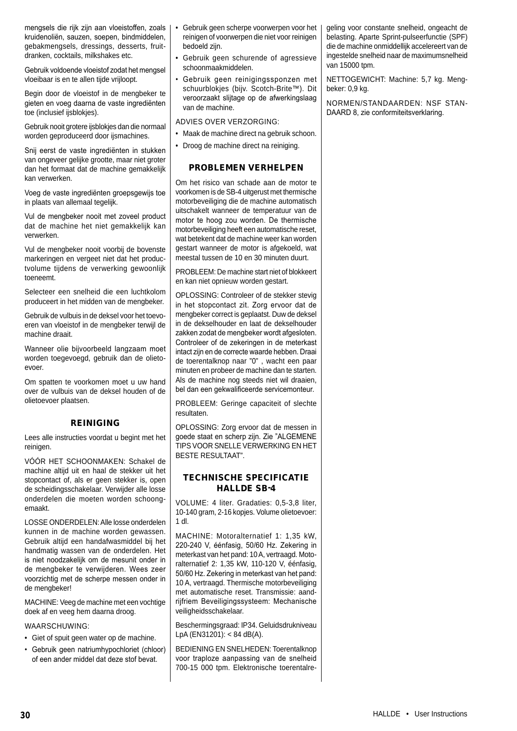mengsels die rijk zijn aan vloeistoffen, zoals kruidenoliën, sauzen, soepen, bindmiddelen, gebakmengsels, dressings, desserts, fruitdranken, cocktails, milkshakes etc.

Gebruik voldoende vloeistof zodat het mengsel vloeibaar is en te allen tijde vrijloopt.

Begin door de vloeistof in de mengbeker te gieten en voeg daarna de vaste ingrediënten toe (inclusief ijsblokjes).

Gebruik nooit grotere ijsblokjes dan die normaal worden geproduceerd door ijsmachines.

Snij eerst de vaste ingrediënten in stukken van ongeveer gelijke grootte, maar niet groter dan het formaat dat de machine gemakkelijk kan verwerken.

Voeg de vaste ingrediënten groepsgewijs toe in plaats van allemaal tegelijk.

Vul de mengbeker nooit met zoveel product dat de machine het niet gemakkelijk kan verwerken.

Vul de mengbeker nooit voorbij de bovenste markeringen en vergeet niet dat het productvolume tijdens de verwerking gewoonlijk toeneemt.

Selecteer een snelheid die een luchtkolom produceert in het midden van de mengbeker.

Gebruik de vulbuis in de deksel voor het toevoeren van vloeistof in de mengbeker terwijl de machine draait.

Wanneer olie bijvoorbeeld langzaam moet worden toegevoegd, gebruik dan de olietoevoer.

Om spatten te voorkomen moet u uw hand over de vulbuis van de deksel houden of de olietoevoer plaatsen.

## REINIGING

Lees alle instructies voordat u begint met het reinigen.

VÓÓR HET SCHOONMAKEN: Schakel de machine altijd uit en haal de stekker uit het stopcontact of, als er geen stekker is, open de scheidingsschakelaar. Verwijder alle losse onderdelen die moeten worden schoongemaakt.

LOSSE ONDERDELEN: Alle losse onderdelen kunnen in de machine worden gewassen. Gebruik altijd een handafwasmiddel bij het handmatig wassen van de onderdelen. Het is niet noodzakelijk om de mesunit onder in de mengbeker te verwijderen. Wees zeer voorzichtig met de scherpe messen onder in de mengbeker!

MACHINE: Veeg de machine met een vochtige doek af en veeg hem daarna droog.

WAARSCHUWING:

- Giet of spuit geen water op de machine.
- Gebruik geen natriumhypochloriet (chloor) of een ander middel dat deze stof bevat.
- Gebruik geen scherpe voorwerpen voor het reinigen of voorwerpen die niet voor reinigen bedoeld zijn.
- Gebruik geen schurende of agressieve schoonmaakmiddelen.
- Gebruik geen reinigingssponzen met schuurblokjes (bijv. Scotch-Brite™). Dit veroorzaakt slijtage op de afwerkingslaag van de machine.

ADVIES OVER VERZORGING:

- Maak de machine direct na gebruik schoon.
- Droog de machine direct na reiniging.

## PROBLEMEN VERHELPEN

Om het risico van schade aan de motor te voorkomen is de SB-4 uitgerust met thermische motorbeveiliging die de machine automatisch uitschakelt wanneer de temperatuur van de motor te hoog zou worden. De thermische motorbeveiliging heeft een automatische reset, wat betekent dat de machine weer kan worden gestart wanneer de motor is afgekoeld, wat meestal tussen de 10 en 30 minuten duurt.

PROBLEEM: De machine start niet of blokkeert en kan niet opnieuw worden gestart.

OPLOSSING: Controleer of de stekker stevig in het stopcontact zit. Zorg ervoor dat de mengbeker correct is geplaatst. Duw de deksel in de dekselhouder en laat de dekselhouder zakken zodat de mengbeker wordt afgesloten. Controleer of de zekeringen in de meterkast intact zijn en de correcte waarde hebben. Draai de toerentalknop naar "0" , wacht een paar minuten en probeer de machine dan te starten. Als de machine nog steeds niet wil draaien, bel dan een gekwalificeerde servicemonteur.

PROBLEEM: Geringe capaciteit of slechte resultaten.

OPLOSSING: Zorg ervoor dat de messen in goede staat en scherp zijn. Zie "ALGEMENE TIPS VOOR SNELLE VERWERKING EN HET BESTE RESULTAAT".

## TECHNISCHE SPECIFICATIE HALLDE SB-4

VOLUME: 4 liter. Gradaties: 0,5-3,8 liter, 10-140 gram, 2-16 kopjes. Volume olietoevoer: 1 dl.

MACHINE: Motoralternatief 1: 1,35 kW, 220-240 V, éénfasig, 50/60 Hz. Zekering in meterkast van het pand: 10 A, vertraagd. Motoralternatief 2: 1,35 kW, 110-120 V, éénfasig, 50/60 Hz. Zekering in meterkast van het pand: 10 A, vertraagd. Thermische motorbeveiliging met automatische reset. Transmissie: aandrijfriem Beveiligingssysteem: Mechanische veiligheidsschakelaar.

Beschermingsgraad: IP34. Geluidsdrukniveau LpA (EN31201): < 84 dB(A).

BEDIENING EN SNELHEDEN: Toerentalknop voor traploze aanpassing van de snelheid 700-15 000 tpm. Elektronische toerentalre-

geling voor constante snelheid, ongeacht de belasting. Aparte Sprint-pulseerfunctie (SPF) die de machine onmiddellijk accelereert van de ingestelde snelheid naar de maximumsnelheid van 15000 tpm.

NETTOGEWICHT: Machine: 5,7 kg. Mengbeker: 0,9 kg.

NORMEN/STANDAARDEN: NSF STAN-DAARD 8, zie conformiteitsverklaring.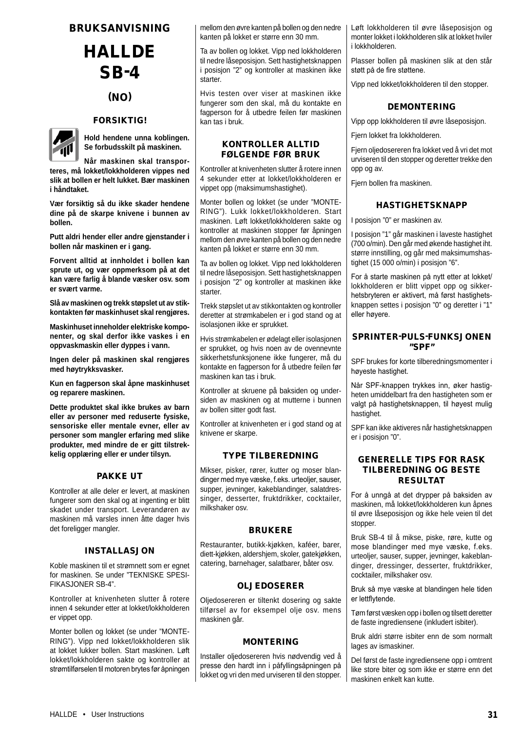## BRUKSANVISNING

# **HALLDE** SB-4

## (NO)

## **FORSIKTIG!**



**Hold hendene unna koblingen. Se forbudsskilt på maskinen.**

**Når maskinen skal transporteres, må lokket/lokkholderen vippes ned slik at bollen er helt lukket. Bær maskinen i håndtaket.**

**Vær forsiktig så du ikke skader hendene dine på de skarpe knivene i bunnen av bollen.**

**Putt aldri hender eller andre gjenstander i bollen når maskinen er i gang.**

**Forvent alltid at innholdet i bollen kan sprute ut, og vær oppmerksom på at det kan være farlig å blande væsker osv. som er svært varme.**

**Slå av maskinen og trekk støpslet ut av stikkontakten før maskinhuset skal rengjøres.**

**Maskinhuset inneholder elektriske komponenter, og skal derfor ikke vaskes i en oppvaskmaskin eller dyppes i vann.**

**Ingen deler på maskinen skal rengjøres med høytrykksvasker.**

**Kun en fagperson skal åpne maskinhuset og reparere maskinen.**

**Dette produktet skal ikke brukes av barn eller av personer med reduserte fysiske, sensoriske eller mentale evner, eller av personer som mangler erfaring med slike produkter, med mindre de er gitt tilstrekkelig opplæring eller er under tilsyn.**

## PAKKE UT

Kontroller at alle deler er levert, at maskinen fungerer som den skal og at ingenting er blitt skadet under transport. Leverandøren av maskinen må varsles innen åtte dager hvis det foreligger mangler.

#### INSTALLASJON

Koble maskinen til et strømnett som er egnet for maskinen. Se under "TEKNISKE SPESI-FIKASJONER SB-4".

Kontroller at knivenheten slutter å rotere innen 4 sekunder etter at lokket/lokkholderen er vippet opp.

Monter bollen og lokket (se under "MONTE-RING"). Vipp ned lokket/lokkholderen slik at lokket lukker bollen. Start maskinen. Løft lokket/lokkholderen sakte og kontroller at strømtilførselen til motoren brytes før åpningen

mellom den øvre kanten på bollen og den nedre kanten på lokket er større enn 30 mm.

Ta av bollen og lokket. Vipp ned lokkholderen til nedre låseposisjon. Sett hastighetsknappen i posisjon "2" og kontroller at maskinen ikke starter.

Hvis testen over viser at maskinen ikke fungerer som den skal, må du kontakte en fagperson for å utbedre feilen før maskinen kan tas i bruk.

## KONTROLLER ALLTID FØLGENDE FØR BRUK

Kontroller at knivenheten slutter å rotere innen 4 sekunder etter at lokket/lokkholderen er vippet opp (maksimumshastighet).

Monter bollen og lokket (se under "MONTE-RING"). Lukk lokket/lokkholderen. Start maskinen. Løft lokket/lokkholderen sakte og kontroller at maskinen stopper før åpningen mellom den øvre kanten på bollen og den nedre kanten på lokket er større enn 30 mm.

Ta av bollen og lokket. Vipp ned lokkholderen til nedre låseposisjon. Sett hastighetsknappen i posisjon "2" og kontroller at maskinen ikke starter.

Trekk støpslet ut av stikkontakten og kontroller deretter at strømkabelen er i god stand og at isolasjonen ikke er sprukket.

Hvis strømkabelen er ødelagt eller isolasjonen er sprukket, og hvis noen av de ovennevnte sikkerhetsfunksjonene ikke fungerer, må du kontakte en fagperson for å utbedre feilen før maskinen kan tas i bruk.

Kontroller at skruene på baksiden og undersiden av maskinen og at mutterne i bunnen av bollen sitter godt fast.

Kontroller at knivenheten er i god stand og at knivene er skarpe.

## TYPE TILBEREDNING

Mikser, pisker, rører, kutter og moser blandinger med mye væske, f.eks. urteoljer, sauser, supper, jevninger, kakeblandinger, salatdressinger, desserter, fruktdrikker, cocktailer, milkshaker osv.

## BRUKERE

Restauranter, butikk-kjøkken, kaféer, barer, diett-kjøkken, aldershjem, skoler, gatekjøkken, catering, barnehager, salatbarer, båter osv.

## OLJEDOSERER

Oljedosereren er tiltenkt dosering og sakte tilførsel av for eksempel olje osv. mens maskinen går.

## MONTERING

Installer oljedosereren hvis nødvendig ved å presse den hardt inn i påfyllingsåpningen på lokket og vri den med urviseren til den stopper. Løft lokkholderen til øvre låseposisjon og monter lokket i lokkholderen slik at lokket hviler i lokkholderen.

Plasser bollen på maskinen slik at den står støtt på de fire støttene.

Vipp ned lokket/lokkholderen til den stopper.

## DEMONTERING

Vipp opp lokkholderen til øvre låseposisjon.

Fjern lokket fra lokkholderen.

Fjern oljedosereren fra lokket ved å vri det mot urviseren til den stopper og deretter trekke den opp og av.

Fjern bollen fra maskinen.

## HASTIGHETSKNAPP

I posisjon "0" er maskinen av.

I posisjon "1" går maskinen i laveste hastighet (700 o/min). Den går med økende hastighet iht. større innstilling, og går med maksimumshastighet (15 000 o/min) i posisjon "6".

For å starte maskinen på nytt etter at lokket/ lokkholderen er blitt vippet opp og sikkerhetsbryteren er aktivert, må først hastighetsknappen settes i posisjon "0" og deretter i "1" eller høyere.

## SPRINTER-PULS-FUNKSJONEN "SPF"

SPF brukes for korte tilberedningsmomenter i høyeste hastighet.

Når SPF-knappen trykkes inn, øker hastigheten umiddelbart fra den hastigheten som er valgt på hastighetsknappen, til høyest mulig hastighet.

SPF kan ikke aktiveres når hastighetsknappen er i posisjon "0".

## GENERELLE TIPS FOR RASK TILBEREDNING OG BESTE RESULTAT

For å unngå at det drypper på baksiden av maskinen, må lokket/lokkholderen kun åpnes til øvre låseposisjon og ikke hele veien til det stopper.

Bruk SB-4 til å mikse, piske, røre, kutte og mose blandinger med mye væske, f.eks. urteoljer, sauser, supper, jevninger, kakeblandinger, dressinger, desserter, fruktdrikker, cocktailer, milkshaker osv.

Bruk så mye væske at blandingen hele tiden er lettflytende.

Tøm først væsken opp i bollen og tilsett deretter de faste ingrediensene (inkludert isbiter).

Bruk aldri større isbiter enn de som normalt lages av ismaskiner.

Del først de faste ingrediensene opp i omtrent like store biter og som ikke er større enn det maskinen enkelt kan kutte.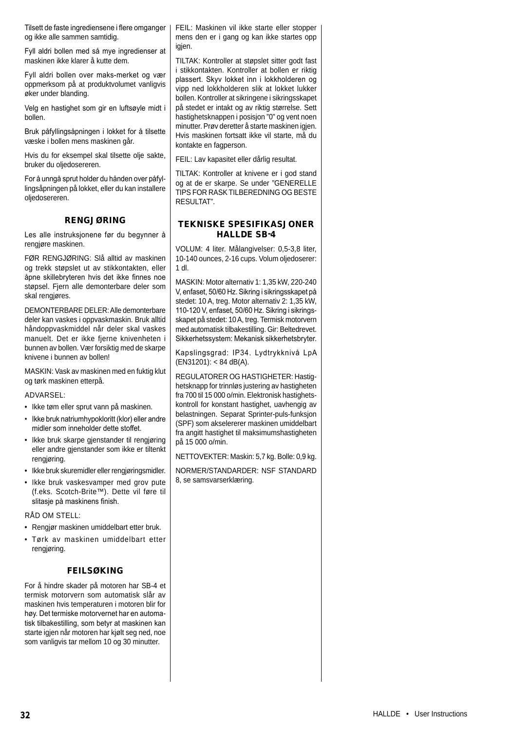Tilsett de faste ingrediensene i flere omganger og ikke alle sammen samtidig.

Fyll aldri bollen med så mye ingredienser at maskinen ikke klarer å kutte dem.

Fyll aldri bollen over maks-merket og vær oppmerksom på at produktvolumet vanligvis øker under blanding.

Velg en hastighet som gir en luftsøyle midt i bollen.

Bruk påfyllingsåpningen i lokket for å tilsette væske i bollen mens maskinen går.

Hvis du for eksempel skal tilsette olje sakte, bruker du oljedosereren.

For å unngå sprut holder du hånden over påfyllingsåpningen på lokket, eller du kan installere oljedosereren.

## RENGJØRING

Les alle instruksjonene før du begynner å rengjøre maskinen.

FØR RENGJØRING: Slå alltid av maskinen og trekk støpslet ut av stikkontakten, eller åpne skillebryteren hvis det ikke finnes noe støpsel. Fjern alle demonterbare deler som skal rengjøres.

DEMONTERBARE DELER: Alle demonterbare deler kan vaskes i oppvaskmaskin. Bruk alltid håndoppvaskmiddel når deler skal vaskes manuelt. Det er ikke fjerne knivenheten i bunnen av bollen. Vær forsiktig med de skarpe knivene i bunnen av bollen!

MASKIN: Vask av maskinen med en fuktig klut og tørk maskinen etterpå.

ADVARSEL:

- Ikke tøm eller sprut vann på maskinen.
- Ikke bruk natriumhypokloritt (klor) eller andre midler som inneholder dette stoffet.
- Ikke bruk skarpe gjenstander til rengjøring eller andre gjenstander som ikke er tiltenkt rengjøring.
- Ikke bruk skuremidler eller rengjøringsmidler.
- Ikke bruk vaskesvamper med grov pute (f.eks. Scotch-Brite™). Dette vil føre til slitasje på maskinens finish.

RÅD OM STELL:

- Rengjør maskinen umiddelbart etter bruk.
- Tørk av maskinen umiddelbart etter rengjøring.

## FEILSØKING

For å hindre skader på motoren har SB-4 et termisk motorvern som automatisk slår av maskinen hvis temperaturen i motoren blir for høy. Det termiske motorvernet har en automatisk tilbakestilling, som betyr at maskinen kan starte igjen når motoren har kjølt seg ned, noe som vanligvis tar mellom 10 og 30 minutter.

FEIL: Maskinen vil ikke starte eller stopper mens den er i gang og kan ikke startes opp igien.

TILTAK: Kontroller at støpslet sitter godt fast i stikkontakten. Kontroller at bollen er riktig plassert. Skyv lokket inn i lokkholderen og vipp ned lokkholderen slik at lokket lukker bollen. Kontroller at sikringene i sikringsskapet på stedet er intakt og av riktig størrelse. Sett hastighetsknappen i posisjon "0" og vent noen minutter. Prøv deretter å starte maskinen igjen. Hvis maskinen fortsatt ikke vil starte, må du kontakte en fagperson.

FEIL: Lav kapasitet eller dårlig resultat.

TILTAK: Kontroller at knivene er i god stand og at de er skarpe. Se under "GENERELLE TIPS FOR RASK TILBEREDNING OG BESTE RESULTAT".

## TEKNISKE SPESIFIKASJONER HALLDE SB-4

VOLUM: 4 liter. Målangivelser: 0,5-3,8 liter, 10-140 ounces, 2-16 cups. Volum oljedoserer: 1 dl.

MASKIN: Motor alternativ 1: 1,35 kW, 220-240 V, enfaset, 50/60 Hz. Sikring i sikringsskapet på stedet: 10 A, treg. Motor alternativ 2: 1,35 kW, 110-120 V, enfaset, 50/60 Hz. Sikring i sikringsskapet på stedet: 10 A, treg. Termisk motorvern med automatisk tilbakestilling. Gir: Beltedrevet. Sikkerhetssystem: Mekanisk sikkerhetsbryter.

Kapslingsgrad: IP34. Lydtrykknivå LpA (EN31201): < 84 dB(A).

REGULATORER OG HASTIGHETER: Hastighetsknapp for trinnløs justering av hastigheten fra 700 til 15 000 o/min. Elektronisk hastighetskontroll for konstant hastighet, uavhengig av belastningen. Separat Sprinter-puls-funksjon (SPF) som akselererer maskinen umiddelbart fra angitt hastighet til maksimumshastigheten på 15 000 o/min.

NETTOVEKTER: Maskin: 5,7 kg. Bolle: 0,9 kg.

NORMER/STANDARDER: NSF STANDARD 8, se samsvarserklæring.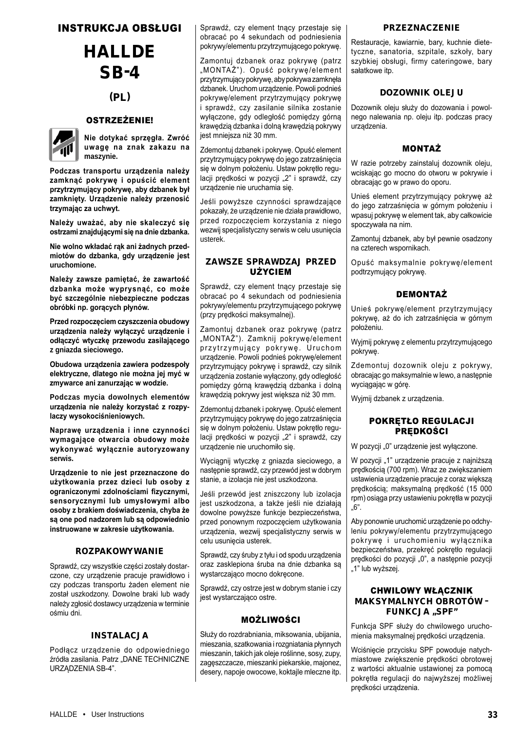## INSTRUKCJA OBSŁUGI

# **HALLDE** SB-4

## (PL)

## OSTRZEŻENIE!



**Nie dotykać sprzęgła. Zwróć uwagę na znak zakazu na maszynie.**

**Podczas transportu urządzenia należy zamknąć pokrywę i opuścić element przytrzymujący pokrywę, aby dzbanek był zamknięty. Urządzenie należy przenosić trzymając za uchwyt.**

**Należy uważać, aby nie skaleczyć się ostrzami znajdującymi się na dnie dzbanka.**

**Nie wolno wkładać rąk ani żadnych przedmiotów do dzbanka, gdy urządzenie jest uruchomione.**

**Należy zawsze pamiętać, że zawartość dzbanka może wyprysnąć, co może być szczególnie niebezpieczne podczas obróbki np. gorących płynów.**

**Przed rozpoczęciem czyszczenia obudowy urządzenia należy wyłączyć urządzenie i odłączyć wtyczkę przewodu zasilającego z gniazda sieciowego.**

**Obudowa urządzenia zawiera podzespoły elektryczne, dlatego nie można jej myć w zmywarce ani zanurzając w wodzie.**

**Podczas mycia dowolnych elementów urządzenia nie należy korzystać z rozpylaczy wysokociśnieniowych.**

**Naprawę urządzenia i inne czynności wymagające otwarcia obudowy może wykonywać wyłącznie autoryzowany serwis.**

**Urządzenie to nie jest przeznaczone do użytkowania przez dzieci lub osoby z ograniczonymi zdolnościami fizycznymi, sensorycznymi lub umysłowymi albo osoby z brakiem doświadczenia, chyba że są one pod nadzorem lub są odpowiednio instruowane w zakresie użytkowania.**

#### ROZPAKOWYWANIE

Sprawdź, czy wszystkie części zostały dostarczone, czy urządzenie pracuje prawidłowo i czy podczas transportu żaden element nie został uszkodzony. Dowolne braki lub wady należy zgłosić dostawcy urządzenia w terminie ośmiu dni.

#### INSTALACJA

Podłącz urządzenie do odpowiedniego źródła zasilania. Patrz "DANE TECHNICZNE URZĄDZENIA SB-4".

Sprawdź, czy element tnący przestaje się obracać po 4 sekundach od podniesienia pokrywy/elementu przytrzymującego pokrywę.

Zamontuj dzbanek oraz pokrywę (patrz "MONTAŻ"). Opuść pokrywę/element przytrzymujący pokrywę, aby pokrywa zamknęła dzbanek. Uruchom urządzenie. Powoli podnieś pokrywę/element przytrzymujący pokrywę i sprawdź, czy zasilanie silnika zostanie wyłączone, gdy odległość pomiędzy górną krawędzią dzbanka i dolną krawędzią pokrywy jest mniejsza niż 30 mm.

Zdemontuj dzbanek i pokrywę. Opuść element przytrzymujący pokrywę do jego zatrzaśnięcia się w dolnym położeniu. Ustaw pokrętło regulacii predkości w pozycji "2" i sprawdź, czy urządzenie nie uruchamia się.

Jeśli powyższe czynności sprawdzające pokazały, że urządzenie nie działa prawidłowo, przed rozpoczęciem korzystania z niego wezwij specjalistyczny serwis w celu usunięcia usterek.

## ZAWSZE SPRAWDZAJ PRZED UŻYCIEM

Sprawdź, czy element tnący przestaje się obracać po 4 sekundach od podniesienia pokrywy/elementu przytrzymującego pokrywę (przy prędkości maksymalnej).

Zamontuj dzbanek oraz pokrywę (patrz "MONTAŻ"). Zamknij pokrywę/element przytrzymujący pokrywę. Uruchom urządzenie. Powoli podnieś pokrywę/element przytrzymujący pokrywę i sprawdź, czy silnik urządzenia zostanie wyłączony, gdy odległość pomiędzy górną krawędzią dzbanka i dolną krawędzią pokrywy jest większa niż 30 mm.

Zdemontuj dzbanek i pokrywę. Opuść element przytrzymujący pokrywę do jego zatrzaśnięcia się w dolnym położeniu. Ustaw pokrętło regulacji prędkości w pozycji "2" i sprawdź, czy urządzenie nie uruchomiło się.

Wyciągnij wtyczkę z gniazda sieciowego, a następnie sprawdź, czy przewód jest w dobrym stanie, a izolacja nie jest uszkodzona.

Jeśli przewód jest zniszczony lub izolacja jest uszkodzona, a także jeśli nie działają dowolne powyższe funkcje bezpieczeństwa, przed ponownym rozpoczęciem użytkowania urządzenia, wezwij specjalistyczny serwis w celu usunięcia usterek.

Sprawdź, czy śruby z tyłu i od spodu urządzenia oraz zasklepiona śruba na dnie dzbanka są wystarczająco mocno dokręcone.

Sprawdź, czy ostrze jest w dobrym stanie i czy jest wystarczająco ostre.

## MOŻLIWOŚCI

Służy do rozdrabniania, miksowania, ubijania, mieszania, szatkowania i rozgniatania płynnych mieszanin, takich jak oleje roślinne, sosy, zupy, zagęszczacze, mieszanki piekarskie, majonez, desery, napoje owocowe, koktajle mleczne itp.

#### PRZEZNACZENIE

Restauracje, kawiarnie, bary, kuchnie dietetyczne, sanatoria, szpitale, szkoły, bary szybkiej obsługi, firmy cateringowe, bary sałatkowe itp.

## DOZOWNIK OLEJU

Dozownik oleju służy do dozowania i powolnego nalewania np. oleju itp. podczas pracy urządzenia.

### MONTAŻ

W razie potrzeby zainstaluj dozownik oleju, wciskając go mocno do otworu w pokrywie i obracając go w prawo do oporu.

Unieś element przytrzymujący pokrywę aż do jego zatrzaśnięcia w górnym położeniu i wpasuj pokrywę w element tak, aby całkowicie spoczywała na nim.

Zamontuj dzbanek, aby był pewnie osadzony na czterech wspornikach.

Opuść maksymalnie pokrywę/element podtrzymujący pokrywę.

## DEMONTAŻ

Unieś pokrywę/element przytrzymujący pokrywę, aż do ich zatrzaśnięcia w górnym położeniu.

Wyjmij pokrywę z elementu przytrzymującego pokrywę.

Zdemontuj dozownik oleju z pokrywy, obracając go maksymalnie w lewo, a następnie wyciągając w górę.

Wyjmij dzbanek z urządzenia.

#### POKRĘTŁO REGULACJI PRĘDKOŚCI

W pozycji "0" urządzenie jest wyłączone.

W pozycji "1" urządzenie pracuje z najniższą prędkością (700 rpm). Wraz ze zwiększaniem ustawienia urządzenie pracuje z coraz większą prędkością; maksymalną prędkość (15 000 rpm) osiąga przy ustawieniu pokrętła w pozycji "6".

Aby ponownie uruchomić urządzenie po odchyleniu pokrywy/elementu przytrzymującego pokrywę i uruchomieniu wyłącznika bezpieczeństwa, przekręć pokrętło regulacji prędkości do pozycji "0", a następnie pozycji "1" lub wyższej.

## CHWILOWY WŁĄCZNIK MAKSYMALNYCH OBROTÓW – **FUNKCJA** "SPF"

Funkcja SPF służy do chwilowego uruchomienia maksymalnej prędkości urządzenia.

Wciśnięcie przycisku SPF powoduje natychmiastowe zwiększenie prędkości obrotowej z wartości aktualnie ustawionej za pomocą pokrętła regulacji do najwyższej możliwej prędkości urządzenia.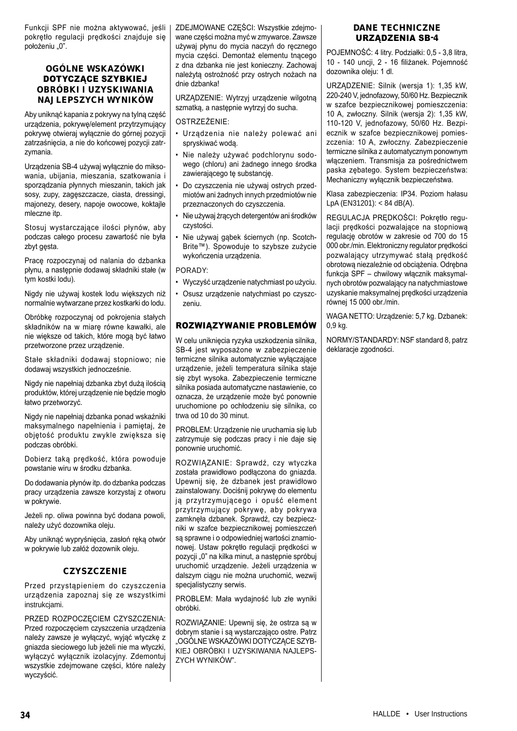Funkcji SPF nie można aktywować, jeśli pokrętło regulacji prędkości znajduje się położeniu "0".

## OGÓLNE WSKAZÓWKI DOTYCZACE SZYBKIEJ OBRÓBKI I UZYSKIWANIA NAJLEPSZYCH WYNIKÓW

Aby uniknąć kapania z pokrywy na tylną część urządzenia, pokrywę/element przytrzymujący pokrywę otwieraj wyłącznie do górnej pozycji zatrzaśnięcia, a nie do końcowej pozycji zatrzymania.

Urządzenia SB-4 używaj wyłącznie do miksowania, ubijania, mieszania, szatkowania i sporządzania płynnych mieszanin, takich jak sosy, zupy, zagęszczacze, ciasta, dressingi, majonezy, desery, napoje owocowe, koktajle mleczne itp.

Stosuj wystarczające ilości płynów, aby podczas całego procesu zawartość nie była zbyt gęsta.

Pracę rozpoczynaj od nalania do dzbanka płynu, a następnie dodawaj składniki stałe (w tym kostki lodu).

Nigdy nie używaj kostek lodu większych niż normalnie wytwarzane przez kostkarki do lodu.

Obróbkę rozpoczynaj od pokrojenia stałych składników na w miarę równe kawałki, ale nie większe od takich, które mogą być łatwo przetworzone przez urządzenie.

Stałe składniki dodawaj stopniowo; nie dodawaj wszystkich jednocześnie.

Nigdy nie napełniaj dzbanka zbyt dużą ilością produktów, której urządzenie nie będzie mogło łatwo przetworzyć.

Nigdy nie napełniaj dzbanka ponad wskaźniki maksymalnego napełnienia i pamiętaj, że objętość produktu zwykle zwiększa się podczas obróbki.

Dobierz taką prędkość, która powoduje powstanie wiru w środku dzbanka.

Do dodawania płynów itp. do dzbanka podczas pracy urządzenia zawsze korzystaj z otworu w pokrywie.

Jeżeli np. oliwa powinna być dodana powoli, należy użyć dozownika oleju.

Aby uniknąć wypryśnięcia, zasłoń ręką otwór w pokrywie lub załóż dozownik oleju.

## **CZYSZCZENIE**

Przed przystąpieniem do czyszczenia urządzenia zapoznaj się ze wszystkimi instrukciami.

PRZED ROZPOCZĘCIEM CZYSZCZENIA: Przed rozpoczęciem czyszczenia urządzenia należy zawsze je wyłączyć, wyjąć wtyczkę z gniazda sieciowego lub jeżeli nie ma wtyczki, wyłączyć wyłącznik izolacyjny. Zdemontuj wszystkie zdejmowane części, które należy wyczyścić.

ZDEJMOWANE CZĘŚCI: Wszystkie zdejmowane części można myć w zmywarce. Zawsze używaj płynu do mycia naczyń do ręcznego mycia części. Demontaż elementu tnącego z dna dzbanka nie jest konieczny. Zachowaj należytą ostrożność przy ostrych nożach na dnie dzbanka!

URZĄDZENIE: Wytrzyj urządzenie wilgotną szmatką, a następnie wytrzyj do sucha.

#### OSTRZEŻENIE:

- Urządzenia nie należy polewać ani spryskiwać wodą.
- Nie należy używać podchlorynu sodowego (chloru) ani żadnego innego środka zawierającego tę substancję.
- Do czyszczenia nie używaj ostrych przedmiotów ani żadnych innych przedmiotów nie przeznaczonych do czyszczenia.
- Nie używaj żrących detergentów ani środków czystości.
- Nie używaj gąbek ściernych (np. Scotch-Brite™). Spowoduje to szybsze zużycie wykończenia urządzenia.

PORADY:

- Wyczyść urządzenie natychmiast po użyciu.
- Osusz urządzenie natychmiast po czyszczeniu.

## ROZWIĄZYWANIE PROBLEMÓW

W celu uniknięcia ryzyka uszkodzenia silnika, SB-4 jest wyposażone w zabezpieczenie termiczne silnika automatycznie wyłączające urządzenie, jeżeli temperatura silnika staje się zbyt wysoka. Zabezpieczenie termiczne silnika posiada automatyczne nastawienie, co oznacza, że urządzenie może być ponownie uruchomione po ochłodzeniu się silnika, co trwa od 10 do 30 minut.

PROBLEM: Urządzenie nie uruchamia się lub zatrzymuje się podczas pracy i nie daje się ponownie uruchomić.

ROZWIĄZANIE: Sprawdź, czy wtyczka została prawidłowo podłączona do gniazda. Upewnij się, że dzbanek jest prawidłowo zainstalowany. Dociśnij pokrywę do elementu ją przytrzymującego i opuść element przytrzymujący pokrywę, aby pokrywa zamknęła dzbanek. Sprawdź, czy bezpieczniki w szafce bezpiecznikowej pomieszczeń są sprawne i o odpowiedniej wartości znamionowej. Ustaw pokrętło regulacji prędkości w pozycji "0" na kilka minut, a następnie spróbuj uruchomić urządzenie. Jeżeli urządzenia w dalszym ciągu nie można uruchomić, wezwij specjalistyczny serwis.

PROBLEM: Mała wydajność lub złe wyniki obróbki.

ROZWIĄZANIE: Upewnij się, że ostrza są w dobrym stanie i są wystarczająco ostre. Patrz "OGÓLNE WSKAZÓWKI DOTYCZĄCE SZYB-KIEJ OBRÓBKI I UZYSKIWANIA NAJLEPS-ZYCH WYNIKÓW".

## DANE TECHNICZNE URZĄDZENIA SB-4

POJEMNOŚĆ: 4 litry. Podziałki: 0,5 - 3,8 litra, 10 - 140 uncji, 2 - 16 filiżanek. Pojemność dozownika oleju: 1 dl.

URZĄDZENIE: Silnik (wersja 1): 1,35 kW, 220-240 V, jednofazowy, 50/60 Hz. Bezpiecznik w szafce bezpiecznikowej pomieszczenia: 10 A, zwłoczny. Silnik (wersja 2): 1,35 kW, 110-120 V, jednofazowy, 50/60 Hz. Bezpiecznik w szafce bezpiecznikowej pomieszczenia: 10 A, zwłoczny. Zabezpieczenie termiczne silnika z automatycznym ponownym włączeniem. Transmisja za pośrednictwem paska zębatego. System bezpieczeństwa: Mechaniczny wyłącznik bezpieczeństwa.

Klasa zabezpieczenia: IP34. Poziom hałasu LpA (EN31201): < 84 dB(A).

REGULACJA PRĘDKOŚCI: Pokrętło regulacji prędkości pozwalające na stopniową regulację obrotów w zakresie od 700 do 15 000 obr./min. Elektroniczny regulator prędkości pozwalający utrzymywać stałą prędkość obrotową niezależnie od obciążenia. Odrębna funkcja SPF – chwilowy włącznik maksymalnych obrotów pozwalający na natychmiastowe uzyskanie maksymalnej prędkości urządzenia równej 15 000 obr./min.

WAGA NETTO: Urządzenie: 5,7 kg. Dzbanek: 0,9 kg.

NORMY/STANDARDY: NSF standard 8, patrz deklaracje zgodności.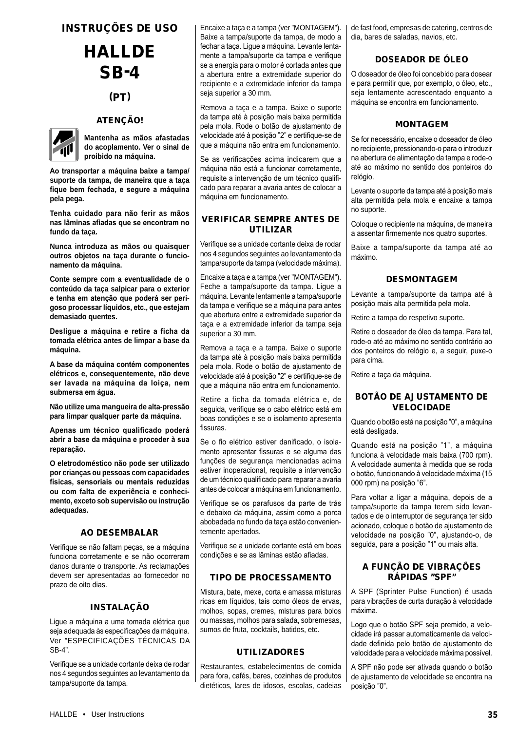## INSTRUÇÕES DE USO

# **HALLDE** SB-4

## (PT)

## ATENÇÃO!



**Mantenha as mãos afastadas do acoplamento. Ver o sinal de proibido na máquina.**

**Ao transportar a máquina baixe a tampa/ suporte da tampa, de maneira que a taça fique bem fechada, e segure a máquina pela pega.**

**Tenha cuidado para não ferir as mãos nas lâminas afiadas que se encontram no fundo da taça.**

**Nunca introduza as mãos ou quaisquer outros objetos na taça durante o funcionamento da máquina.**

**Conte sempre com a eventualidade de o conteúdo da taça salpicar para o exterior e tenha em atenção que poderá ser perigoso processar líquidos, etc., que estejam demasiado quentes.**

**Desligue a máquina e retire a ficha da tomada elétrica antes de limpar a base da máquina.**

**A base da máquina contém componentes elétricos e, consequentemente, não deve ser lavada na máquina da loiça, nem submersa em água.**

**Não utilize uma mangueira de alta-pressão para limpar qualquer parte da máquina.**

**Apenas um técnico qualificado poderá abrir a base da máquina e proceder à sua reparação.**

**O eletrodoméstico não pode ser utilizado por crianças ou pessoas com capacidades físicas, sensoriais ou mentais reduzidas ou com falta de experiência e conhecimento, exceto sob supervisão ou instrução adequadas.**

## AO DESEMBALAR

Verifique se não faltam peças, se a máquina funciona corretamente e se não ocorreram danos durante o transporte. As reclamações devem ser apresentadas ao fornecedor no prazo de oito dias.

## INSTALAÇÃO

Ligue a máquina a uma tomada elétrica que seja adequada às especificações da máquina. Ver "ESPECIFICAÇÕES TÉCNICAS DA SB-4".

Verifique se a unidade cortante deixa de rodar nos 4 segundos seguintes ao levantamento da tampa/suporte da tampa.

Encaixe a taça e a tampa (ver "MONTAGEM"). Baixe a tampa/suporte da tampa, de modo a fechar a taça. Ligue a máquina. Levante lentamente a tampa/suporte da tampa e verifique se a energia para o motor é cortada antes que a abertura entre a extremidade superior do recipiente e a extremidade inferior da tampa seja superior a 30 mm.

Remova a taça e a tampa. Baixe o suporte da tampa até à posição mais baixa permitida pela mola. Rode o botão de ajustamento de velocidade até à posição "2" e certifique-se de que a máquina não entra em funcionamento.

Se as verificações acima indicarem que a máquina não está a funcionar corretamente, requisite a intervenção de um técnico qualificado para reparar a avaria antes de colocar a máquina em funcionamento.

## VERIFICAR SEMPRE ANTES DE UTILIZAR

Verifique se a unidade cortante deixa de rodar nos 4 segundos seguintes ao levantamento da tampa/suporte da tampa (velocidade máxima).

Encaixe a taça e a tampa (ver "MONTAGEM"). Feche a tampa/suporte da tampa. Ligue a máquina. Levante lentamente a tampa/suporte da tampa e verifique se a máquina para antes que abertura entre a extremidade superior da taça e a extremidade inferior da tampa seja superior a 30 mm.

Remova a taça e a tampa. Baixe o suporte da tampa até à posição mais baixa permitida pela mola. Rode o botão de ajustamento de velocidade até à posição "2" e certifique-se de que a máquina não entra em funcionamento.

Retire a ficha da tomada elétrica e, de seguida, verifique se o cabo elétrico está em boas condições e se o isolamento apresenta fissuras.

Se o fio elétrico estiver danificado, o isolamento apresentar fissuras e se alguma das funções de segurança mencionadas acima estiver inoperacional, requisite a intervenção de um técnico qualificado para reparar a avaria antes de colocar a máquina em funcionamento.

Verifique se os parafusos da parte de trás e debaixo da máquina, assim como a porca abobadada no fundo da taça estão convenientemente apertados.

Verifique se a unidade cortante está em boas condições e se as lâminas estão afiadas.

## TIPO DE PROCESSAMENTO

Mistura, bate, mexe, corta e amassa misturas ricas em líquidos, tais como óleos de ervas, molhos, sopas, cremes, misturas para bolos ou massas, molhos para salada, sobremesas, sumos de fruta, cocktails, batidos, etc.

## UTILIZADORES

Restaurantes, estabelecimentos de comida para fora, cafés, bares, cozinhas de produtos dietéticos, lares de idosos, escolas, cadeias

de fast food, empresas de catering, centros de dia, bares de saladas, navios, etc.

## DOSEADOR DE ÓLEO

O doseador de óleo foi concebido para dosear e para permitir que, por exemplo, o óleo, etc., seja lentamente acrescentado enquanto a máquina se encontra em funcionamento.

## MONTAGEM

Se for necessário, encaixe o doseador de óleo no recipiente, pressionando-o para o introduzir na abertura de alimentação da tampa e rode-o até ao máximo no sentido dos ponteiros do relógio.

Levante o suporte da tampa até à posição mais alta permitida pela mola e encaixe a tampa no suporte.

Coloque o recipiente na máquina, de maneira a assentar firmemente nos quatro suportes.

Baixe a tampa/suporte da tampa até ao máximo.

## DESMONTAGEM

Levante a tampa/suporte da tampa até à posição mais alta permitida pela mola.

Retire a tampa do respetivo suporte.

Retire o doseador de óleo da tampa. Para tal, rode-o até ao máximo no sentido contrário ao dos ponteiros do relógio e, a seguir, puxe-o para cima.

Retire a taça da máquina.

## BOTÃO DE AJUSTAMENTO DE VELOCIDADE

Quando o botão está na posição "0", a máquina está desligada.

Quando está na posição "1", a máquina funciona à velocidade mais baixa (700 rpm). A velocidade aumenta à medida que se roda o botão, funcionando à velocidade máxima (15 000 rpm) na posição "6".

Para voltar a ligar a máquina, depois de a tampa/suporte da tampa terem sido levantados e de o interruptor de segurança ter sido acionado, coloque o botão de ajustamento de velocidade na posição "0", ajustando-o, de seguida, para a posição "1" ou mais alta.

## A FUNÇÃO DE VIBRAÇÕES RÁPIDAS "SPF"

A SPF (Sprinter Pulse Function) é usada para vibrações de curta duração à velocidade máxima.

Logo que o botão SPF seja premido, a velocidade irá passar automaticamente da velocidade definida pelo botão de ajustamento de velocidade para a velocidade máxima possível.

A SPF não pode ser ativada quando o botão de ajustamento de velocidade se encontra na posição "0".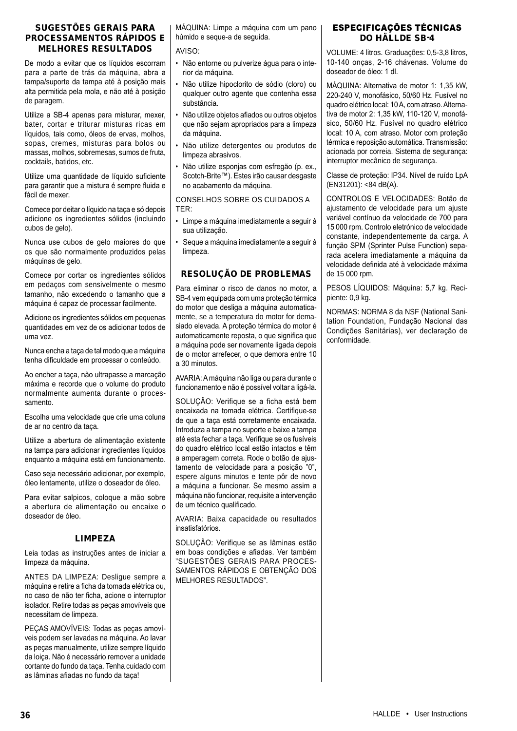## SUGESTÕES GERAIS PARA PROCESSAMENTOS RÁPIDOS E MELHORES RESULTADOS

De modo a evitar que os líquidos escorram para a parte de trás da máquina, abra a tampa/suporte da tampa até à posição mais alta permitida pela mola, e não até à posição de paragem.

Utilize a SB-4 apenas para misturar, mexer, bater, cortar e triturar misturas ricas em líquidos, tais como, óleos de ervas, molhos, sopas, cremes, misturas para bolos ou massas, molhos, sobremesas, sumos de fruta, cocktails, batidos, etc.

Utilize uma quantidade de líquido suficiente para garantir que a mistura é sempre fluida e fácil de mexer.

Comece por deitar o líquido na taça e só depois adicione os ingredientes sólidos (incluindo cubos de gelo).

Nunca use cubos de gelo maiores do que os que são normalmente produzidos pelas máquinas de gelo.

Comece por cortar os ingredientes sólidos em pedaços com sensivelmente o mesmo tamanho, não excedendo o tamanho que a máquina é capaz de processar facilmente.

Adicione os ingredientes sólidos em pequenas quantidades em vez de os adicionar todos de uma vez.

Nunca encha a taça de tal modo que a máquina tenha dificuldade em processar o conteúdo.

Ao encher a taça, não ultrapasse a marcação máxima e recorde que o volume do produto normalmente aumenta durante o processamento.

Escolha uma velocidade que crie uma coluna de ar no centro da taça.

Utilize a abertura de alimentação existente na tampa para adicionar ingredientes líquidos enquanto a máquina está em funcionamento.

Caso seja necessário adicionar, por exemplo, óleo lentamente, utilize o doseador de óleo.

Para evitar salpicos, coloque a mão sobre a abertura de alimentação ou encaixe o doseador de óleo.

## LIMPEZA

Leia todas as instruções antes de iniciar a limpeza da máquina.

ANTES DA LIMPEZA: Desligue sempre a máquina e retire a ficha da tomada elétrica ou, no caso de não ter ficha, acione o interruptor isolador. Retire todas as peças amovíveis que necessitam de limpeza.

PEÇAS AMOVÍVEIS: Todas as peças amovíveis podem ser lavadas na máquina. Ao lavar as peças manualmente, utilize sempre líquido da loiça. Não é necessário remover a unidade cortante do fundo da taça. Tenha cuidado com as lâminas afiadas no fundo da taça!

MÁQUINA: Limpe a máquina com um pano húmido e seque-a de seguida.

### AVISO:

- Não entorne ou pulverize água para o interior da máquina.
- Não utilize hipoclorito de sódio (cloro) ou qualquer outro agente que contenha essa substância.
- Não utilize objetos afiados ou outros objetos que não sejam apropriados para a limpeza da máquina.
- Não utilize detergentes ou produtos de limpeza abrasivos.
- Não utilize esponjas com esfregão (p. ex., Scotch-Brite™). Estes irão causar desgaste no acabamento da máquina.

CONSELHOS SOBRE OS CUIDADOS A TER:

- Limpe a máquina imediatamente a seguir à sua utilização.
- Seque a máquina imediatamente a seguir à limpeza.

## RESOLUÇÃO DE PROBLEMAS

Para eliminar o risco de danos no motor, a SB-4 vem equipada com uma proteção térmica do motor que desliga a máquina automaticamente, se a temperatura do motor for demasiado elevada. A proteção térmica do motor é automaticamente reposta, o que significa que a máquina pode ser novamente ligada depois de o motor arrefecer, o que demora entre 10 a 30 minutos.

AVARIA: A máquina não liga ou para durante o funcionamento e não é possível voltar a ligá-la.

SOLUÇÃO: Verifique se a ficha está bem encaixada na tomada elétrica. Certifique-se de que a taça está corretamente encaixada. Introduza a tampa no suporte e baixe a tampa até esta fechar a taça. Verifique se os fusíveis do quadro elétrico local estão intactos e têm a amperagem correta. Rode o botão de ajustamento de velocidade para a posição "0", espere alguns minutos e tente pôr de novo a máquina a funcionar. Se mesmo assim a máquina não funcionar, requisite a intervenção de um técnico qualificado.

AVARIA: Baixa capacidade ou resultados insatisfatórios.

SOLUÇÃO: Verifique se as lâminas estão em boas condições e afiadas. Ver também "SUGESTÕES GERAIS PARA PROCES-SAMENTOS RÁPIDOS E OBTENÇÃO DOS MELHORES RESULTADOS".

## ESPECIFICAÇÕES TÉCNICAS DO HÄLLDE SB-4

VOLUME: 4 litros. Graduações: 0,5-3,8 litros, 10-140 onças, 2-16 chávenas. Volume do doseador de óleo: 1 dl.

MÁQUINA: Alternativa de motor 1: 1,35 kW, 220-240 V, monofásico, 50/60 Hz. Fusível no quadro elétrico local: 10 A, com atraso. Alternativa de motor 2: 1,35 kW, 110-120 V, monofásico, 50/60 Hz. Fusível no quadro elétrico local: 10 A, com atraso. Motor com proteção térmica e reposição automática. Transmissão: acionada por correia. Sistema de segurança: interruptor mecânico de segurança.

Classe de proteção: IP34. Nível de ruído LpA (EN31201): <84 dB(A).

CONTROLOS E VELOCIDADES: Botão de ajustamento de velocidade para um ajuste variável contínuo da velocidade de 700 para 15 000 rpm. Controlo eletrónico de velocidade constante, independentemente da carga. A função SPM (Sprinter Pulse Function) separada acelera imediatamente a máquina da velocidade definida até à velocidade máxima de 15 000 rpm.

PESOS LÍQUIDOS: Máquina: 5,7 kg. Recipiente: 0,9 kg.

NORMAS: NORMA 8 da NSF (National Sanitation Foundation, Fundação Nacional das Condições Sanitárias), ver declaração de conformidade.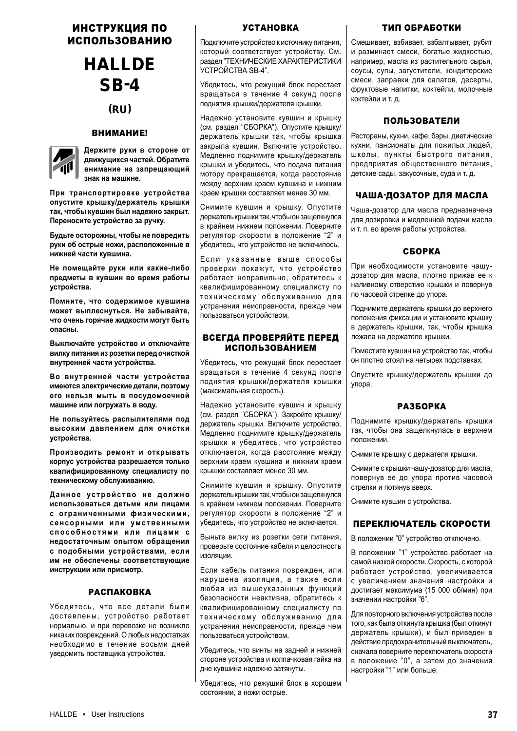## ИНСТРУКЦИЯ ПО ИСПОЛЬЗОВАНИЮ

## HALLDE SB-4

(RU)

## ВНИМАНИЕ!



**Держите руки в стороне от движущихся частей. Обратите внимание на запрещающий знак на машине.**

**При транспортировке устройства опустите крышку/держатель крышки так, чтобы кувшин был надежно закрыт. Переносите устройство за ручку.**

**Будьте осторожны, чтобы не повредить руки об острые ножи, расположенные в нижней части кувшина.**

**Не помещайте руки или какие-либо предметы в кувшин во время работы устройства.**

**Помните, что содержимое кувшина может выплеснуться. Не забывайте, что очень горячие жидкости могут быть опасны.**

**Выключайте устройство и отключайте вилку питания из розетки перед очисткой внутренней части устройства.**

**Во внутренней части устройства имеются электрические детали, поэтому его нельзя мыть в посудомоечной машине или погружать в воду.**

**Не пользуйтесь распылителями под высоким давлением для очистки устройства.** 

**Производить ремонт и открывать корпус устройства разрешается только квалифицированному специалисту по техническому обслуживанию.**

Данное устройство не должно **использоваться детьми или лицами с ограниченными физическими, с е н с о р н ы м и и л и умс т ве н н ы м и с п о с о б н о с т я м и и л и л и ц а м и с недостаточным опытом обращения с подобными устройствами, если им не обеспечены соответствующие инструкции или присмотр.**

## РАСПАКОВКА

Убедитесь, что все детали были доставлены, устройство работает нормально, и при перевозке не возникло никаких повреждений. О любых недостатках необходимо в течение восьми дней уведомить поставщика устройства.

## УСТАНОВКА

Подключите устройство к источнику питания, который соответствует устройству. См. раздел "ТЕХНИЧЕСКИЕ ХАРАКТЕРИСТИКИ УСТРОЙСТВА SB-4".

Убедитесь, что режущий блок перестает вращаться в течение 4 секунд после поднятия крышки/держателя крышки.

Надежно установите кувшин и крышку (см. раздел "СБОРКА"). Опустите крышку/ держатель крышки так, чтобы крышка закрыла кувшин. Включите устройство. Медленно поднимите крышку/держатель крышки и убедитесь, что подача питания мотору прекращается, когда расстояние между верхним краем кувшина и нижним краем крышки составляет менее 30 мм.

Снимите кувшин и крышку. Опустите держатель крышки так, чтобы он защелкнулся в крайнем нижнем положении. Поверните регулятор скорости в положение "2" и убедитесь, что устройство не включилось.

Если указанные выше способы проверки покажут, что устройство работает неправильно, обратитесь к квалифицированному специалисту по техническому обслуживанию для устранения неисправности, прежде чем пользоваться устройством.

## ВСЕГДА ПРОВЕРЯЙТЕ ПЕРЕД ИСПОЛЬЗОВАНИЕМ

Убедитесь, что режущий блок перестает вращаться в течение 4 секунд после поднятия крышки/держателя крышки (максимальная скорость).

Надежно установите кувшин и крышку (см. раздел "СБОРКА"). Закройте крышку/ держатель крышки. Включите устройство. Медленно поднимите крышку/держатель крышки и убедитесь, что устройство отключается, когда расстояние между верхним краем кувшина и нижним краем крышки составляет менее 30 мм.

Снимите кувшин и крышку. Опустите держатель крышки так, чтобы он защелкнулся в крайнем нижнем положении. Поверните регулятор скорости в положение "2" и убедитесь, что устройство не включается.

Выньте вилку из розетки сети питания, проверьте состояние кабеля и целостность изоляции.

Если кабель питания поврежден, или нарушена изоляция, а также если любая из вышеуказанных функций безопасности неактивна, обратитесь к квалифицированному специалисту по техническому обслуживанию для устранения неисправности, прежде чем пользоваться устройством.

Убедитесь, что винты на задней и нижней стороне устройства и колпачковая гайка на дне кувшина надежно затянуты.

Убедитесь, что режущий блок в хорошем состоянии, а ножи острые.

## ТИП ОБРАБОТКИ

Смешивает, взбивает, взбалтывает, рубит и разминает смеси, богатые жидкостью, например, масла из растительного сырья, соусы, супы, загустители, кондитерские смеси, заправки для салатов, десерты, фруктовые напитки, коктейли, молочные коктейли и т. д.

## ПОЛЬЗОВАТЕЛИ

Рестораны, кухни, кафе, бары, диетические кухни, пансионаты для пожилых людей, школы, пункты быстрого питания, предприятия общественного питания, детские сады, закусочные, суда и т. д.

## ЧАША-ДОЗАТОР ДЛЯ МАСЛА

Чаша-дозатор для масла предназначена для дозировки и медленной подачи масла и т. п. во время работы устройства.

## СБОРКА

При необходимости установите чашудозатор для масла, плотно прижав ее к наливному отверстию крышки и повернув по часовой стрелке до упора.

Поднимите держатель крышки до верхнего положения фиксации и установите крышку в держатель крышки, так, чтобы крышка лежала на держателе крышки.

Поместите кувшин на устройство так, чтобы он плотно стоял на четырех подставках.

Опустите крышку/держатель крышки до упора.

## РАЗБОРКА

Поднимите крышку/держатель крышки так, чтобы она защелкнулась в верхнем положении.

Снимите крышку с держателя крышки.

Снимите с крышки чашу-дозатор для масла, повернув ее до упора против часовой стрелки и потянув вверх.

Снимите кувшин с устройства.

## ПЕРЕКЛЮЧАТЕЛЬ СКОРОСТИ

В положении "0" устройство отключено.

В положении "1" устройство работает на самой низкой скорости. Скорость, с которой работает устройство, увеличивается с увеличением значения настройки и достигает максимума (15 000 об/мин) при значении настройки "6".

Для повторного включения устройства после того, как была откинута крышка (был откинут держатель крышки), и был приведен в действие предохранительный выключатель, сначала поверните переключатель скорости в положение "0", а затем до значения настройки "1" или больше.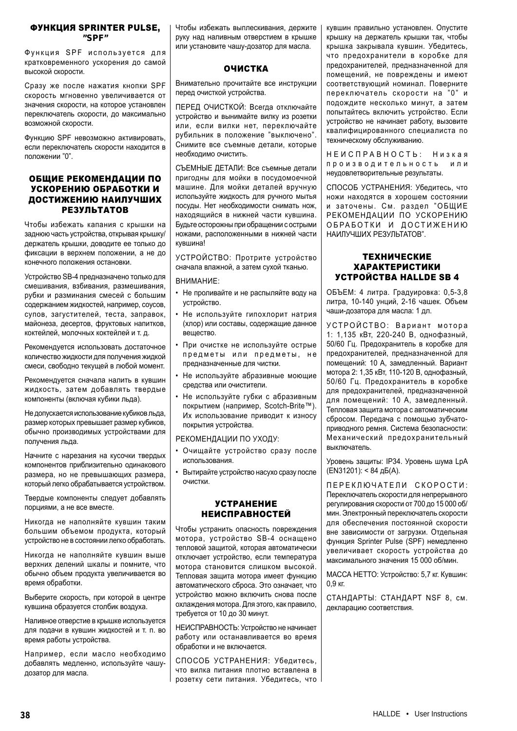#### ФУНКЦИЯ SPRINTER PULSE,  $^{\prime\prime}$ SDE $^{\prime\prime}$

Ф и н к шия SPF и с пользуется для кратковременного ускорения до самой высокой скорости.

Сразу же после нажатия кнопки SPF скорость мгновенно увеличивается от значения скорости, на которое установлен переключатель скорости, до максимально возможной скорости.

Функцию SPF невозможно активировать, если переключатель скорости находится в положении "0".

## ОБЩИЕ РЕКОМЕНДАЦИИ ПО УСКОРЕНИЮ ОБРАБОТКИ И ДОСТИЖЕНИЮ НАИЛУЧШИХ РЕЗУЛЬТАТОВ

Чтобы избежать капания с крышки на заднюю часть устройства, открывая крышку/ держатель крышки, доводите ее только до фиксации в верхнем положении, а не до конечного положения остановки.

Устройство SB-4 предназначено только для смешивания, взбивания, размешивания, рубки и разминания смесей с большим содержанием жидкостей, например, соусов, супов, загустителей, теста, заправок, майонеза, десертов, фруктовых напитков, коктейлей, молочных коктейлей и т. д.

Рекомендуется использовать достаточное количество жидкости для получения жидкой смеси, свободно текущей в любой момент.

Рекомендуется сначала налить в кувшин жидкость, затем добавлять твердые компоненты (включая кубики льда).

Не допускается использование кубиков льда, размер которых превышает размер кубиков, обычно производимых устройствами для получения льда.

Начните с нарезания на кусочки твердых компонентов приблизительно одинакового размера, но не превышающих размера, который легко обрабатывается устройством.

Твердые компоненты следует добавлять порциями, а не все вместе.

Никогда не наполняйте кувшин таким большим объемом продукта, который устройство не в состоянии легко обработать.

Никогда не наполняйте кувшин выше верхних делений шкалы и помните, что обычно объем продукта увеличивается во время обработки.

Выберите скорость, при которой в центре кувшина образуется столбик воздуха.

Наливное отверстие в крышке используется для подачи в кувшин жидкостей и т. п. во время работы устройства.

Например, если масло необходимо добавлять медленно, используйте чашудозатор для масла.

Чтобы избежать выплескивания, держите руку над наливным отверстием в крышке или установите чашу-дозатор для масла.

## ОЧИСТКА

Внимательно прочитайте все инструкции перед очисткой устройства.

ПЕРЕД ОЧИСТКОЙ: Всегда отключайте устройство и вынимайте вилку из розетки или, если вилки нет, переключайте рубильник в положение "выключено". Снимите все съемные детали, которые необходимо очистить.

СЪЕМНЫЕ ДЕТАЛИ: Все съемные детали пригодны для мойки в посудомоечной машине. Для мойки деталей вручную используйте жидкость для ручного мытья посуды. Нет необходимости снимать нож, находящийся в нижней части кувшина. Будьте осторожны при обращении с острыми ножами, расположенными в нижней части кувшина!

УСТРОЙСТВО: Протрите устройство сначала влажной, а затем сухой тканью.

ВНИМАНИЕ:

- Не проливайте и не распыляйте воду на устройство.
- Не используйте гипохлорит натрия (хлор) или составы, содержащие данное вещество.
- При очистке не используйте острые предметы или предметы, не предназначенные для чистки.
- Не используйте абразивные моющие средства или очистители.
- Не используйте губки с абразивным покрытием (например, Scotch-Brite™). Их использование приводит к износу покрытия устройства.

РЕКОМЕНДАЦИИ ПО УХОДУ:

- Очищайте устройство сразу после использования.
- Вытирайте устройство насухо сразу после очистки.

#### УСТРАНЕНИЕ НЕИСПРАВНОСТЕЙ

Чтобы устранить опасность повреждения мотора, устройство SB-4 оснащено тепловой защитой, которая автоматически отключает устройство, если температура мотора становится слишком высокой. Тепловая защита мотора имеет функцию автоматического сброса. Это означает, что устройство можно включить снова после охлаждения мотора. Для этого, как правило, требуется от 10 до 30 минут.

НЕИСПРАВНОСТЬ: Устройство не начинает работу или останавливается во время обработки и не включается.

СПОСОБ УСТРАНЕНИЯ: Убедитесь, что вилка питания плотно вставлена в розетку сети питания. Убедитесь, что

кувшин правильно установлен. Опустите крышку на держатель крышки так, чтобы крышка закрывала кувшин. Убедитесь, что предохранители в коробке для предохранителей, предназначенной для помещений, не повреждены и имеют соответствующий номинал. Поверните переключатель скорости на "0" и подождите несколько минут, а затем попытайтесь включить устройство. Если устройство не начинает работу, вызовите квалифицированного специалиста по техническому обслуживанию.

НЕИСПРАВНОСТЬ: Низкая производительность или неудовлетворительные результаты.

СПОСОБ УСТРАНЕНИЯ: Убедитесь, что ножи находятся в хорошем состоянии и заточены. См. раздел "ОБЩИЕ РЕКОМЕНДАЦИИ ПО УСКОРЕНИЮ ОБРАБОТКИ И ДОСТИЖЕНИЮ НАИЛУЧШИХ РЕЗУЛЬТАТОВ".

## ТЕХНИЧЕСКИЕ ХАРАКТЕРИСТИКИ УСТРОЙСТВА HALLDE SB 4

ОБЪЕМ: 4 литра. Градуировка: 0,5-3,8 литра, 10-140 унций, 2-16 чашек. Объем чаши-дозатора для масла: 1 дл.

УСТРОЙСТВО: Вариант мотора 1: 1,135 кВт, 220-240 В, однофазный, 50/60 Гц. Предохранитель в коробке для предохранителей, предназначенной для помещений: 10 A, замедленный. Вариант мотора 2: 1,35 кВт, 110-120 В, однофазный, 50/60 Гц. Предохранитель в коробке для предохранителей, предназначенной для помещений: 10 A, замедленный. Тепловая защита мотора с автоматическим сбросом. Передача с помощью зубчатоприводного ремня. Система безопасности: Механический предохранительный выключатель.

Уровень защиты: IP34. Уровень шума LpA (EN31201): < 84 дБ(A).

ПЕРЕКЛЮЧАТЕЛИ СКОРОСТИ: Переключатель скорости для непрерывного регулирования скорости от 700 до 15 000 об/ мин. Электронный переключатель скорости для обеспечения постоянной скорости вне зависимости от загрузки. Отдельная функция Sprinter Pulse (SPF) немедленно увеличивает скорость устройства до максимального значения 15 000 об/мин.

МАССА НЕТТО: Устройство: 5,7 кг. Кувшин: 0,9 кг.

СТАНДАРТЫ: СТАНДАРТ NSF 8, см. декларацию соответствия.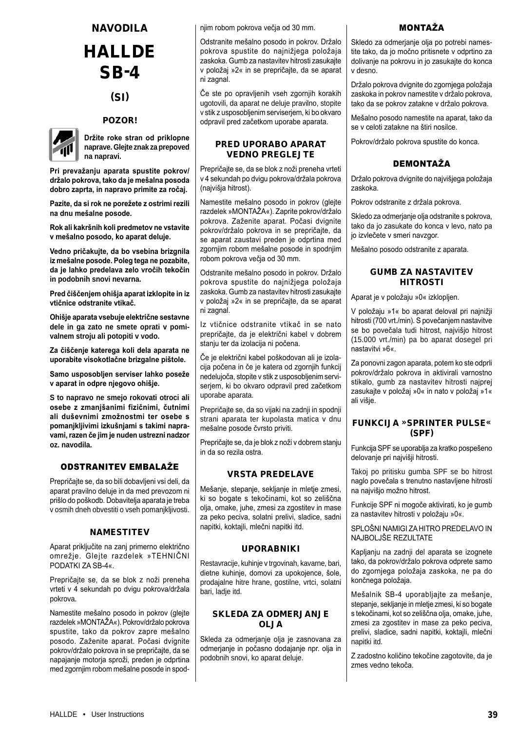## NAVODILA **HALLDE** SB-4

## (SI)

## POZOR!



**Držite roke stran od priklopne naprave. Glejte znak za prepoved na napravi.**

**Pri prevažanju aparata spustite pokrov/ držalo pokrova, tako da je mešalna posoda dobro zaprta, in napravo primite za ročaj.**

**Pazite, da si rok ne porežete z ostrimi rezili na dnu mešalne posode.**

**Rok ali kakršnih koli predmetov ne vstavite v mešalno posodo, ko aparat deluje.**

**Vedno pričakujte, da bo vsebina brizgnila iz mešalne posode. Poleg tega ne pozabite, da je lahko predelava zelo vročih tekočin in podobnih snovi nevarna.**

**Pred čiščenjem ohišja aparat izklopite in iz vtičnice odstranite vtikač.**

**Ohišje aparata vsebuje električne sestavne dele in ga zato ne smete oprati v pomivalnem stroju ali potopiti v vodo.**

**Za čiščenje katerega koli dela aparata ne uporabite visokotlačne brizgalne pištole.**

**Samo usposobljen serviser lahko poseže v aparat in odpre njegovo ohišje.**

**S to napravo ne smejo rokovati otroci ali osebe z zmanjšanimi fizičnimi, čutnimi ali duševnimi zmožnostmi ter osebe s pomanjkljivimi izkušnjami s takimi napravami, razen če jim je nuden ustrezni nadzor oz. navodila.**

## ODSTRANITEV EMBALAŽE

Prepričajte se, da so bili dobavljeni vsi deli, da aparat pravilno deluje in da med prevozom ni prišlo do poškodb. Dobavitelja aparata je treba v osmih dneh obvestiti o vseh pomanjkljivosti.

## **NAMESTITEV**

Aparat priključite na zanj primerno električno omrežje. Glejte razdelek »TEHNIČNI PODATKI ZA SB-4«.

Prepričajte se, da se blok z noži preneha vrteti v 4 sekundah po dvigu pokrova/držala pokrova.

Namestite mešalno posodo in pokrov (glejte razdelek »MONTAŽA«). Pokrov/držalo pokrova spustite, tako da pokrov zapre mešalno posodo. Zaženite aparat. Počasi dvignite pokrov/držalo pokrova in se prepričajte, da se napajanje motorja sproži, preden je odprtina med zgornjim robom mešalne posode in spodnjim robom pokrova večja od 30 mm.

Odstranite mešalno posodo in pokrov. Držalo pokrova spustite do najnižjega položaja zaskoka. Gumb za nastavitev hitrosti zasukajte v položaj »2« in se prepričajte, da se aparat ni zagnal.

Če ste po opravljenih vseh zgornjih korakih ugotovili, da aparat ne deluje pravilno, stopite v stik z usposobljenim serviserjem, ki bo okvaro odpravil pred začetkom uporabe aparata.

### PRED UPORABO APARAT VEDNO PREGLEJTE

Prepričajte se, da se blok z noži preneha vrteti v 4 sekundah po dvigu pokrova/držala pokrova (najvišja hitrost).

Namestite mešalno posodo in pokrov (glejte razdelek »MONTAŽA«). Zaprite pokrov/držalo pokrova. Zaženite aparat. Počasi dvignite pokrov/držalo pokrova in se prepričajte, da se aparat zaustavi preden je odprtina med zgornjim robom mešalne posode in spodnjim robom pokrova večja od 30 mm.

Odstranite mešalno posodo in pokrov. Držalo pokrova spustite do najnižjega položaja zaskoka. Gumb za nastavitev hitrosti zasukajte v položaj »2« in se prepričajte, da se aparat ni zagnal.

Iz vtičnice odstranite vtikač in se nato prepričajte, da je električni kabel v dobrem stanju ter da izolacija ni počena.

Če je električni kabel poškodovan ali je izolacija počena in če je katera od zgornjih funkcij nedelujoča, stopite v stik z usposobljenim serviserjem, ki bo okvaro odpravil pred začetkom uporabe aparata.

Prepričajte se, da so vijaki na zadnji in spodnji strani aparata ter kupolasta matica v dnu mešalne posode čvrsto priviti.

Prepričajte se, da je blok z noži v dobrem stanju in da so rezila ostra.

## VRSTA PREDELAVE

Mešanje, stepanje, sekljanje in mletje zmesi, ki so bogate s tekočinami, kot so zeliščna olja, omake, juhe, zmesi za zgostitev in mase za peko peciva, solatni prelivi, sladice, sadni napitki, koktajli, mlečni napitki itd.

## UPORABNIKI

Restavracije, kuhinje v trgovinah, kavarne, bari, dietne kuhinje, domovi za upokojence, šole, prodajalne hitre hrane, gostilne, vrtci, solatni bari, ladje itd.

## SKLEDA ZA ODMERJANJE OLJA

Skleda za odmerjanje olja je zasnovana za odmerjanje in počasno dodajanje npr. olja in podobnih snovi, ko aparat deluje.

## MONTAŽA

Skledo za odmerjanje olja po potrebi namestite tako, da jo močno pritisnete v odprtino za dolivanje na pokrovu in jo zasukajte do konca v desno.

Držalo pokrova dvignite do zgornjega položaja zaskoka in pokrov namestite v držalo pokrova, tako da se pokrov zatakne v držalo pokrova.

Mešalno posodo namestite na aparat, tako da se v celoti zatakne na štiri nosilce.

Pokrov/držalo pokrova spustite do konca.

## DEMONTAŽA

Držalo pokrova dvignite do najvišjega položaja zaskoka.

Pokrov odstranite z držala pokrova.

Skledo za odmerjanje olja odstranite s pokrova, tako da jo zasukate do konca v levo, nato pa jo izvlečete v smeri navzgor.

Mešalno posodo odstranite z aparata.

## GUMB ZA NASTAVITEV HITROSTI

Aparat je v položaju »0« izklopljen.

V položaju »1« bo aparat deloval pri najnižji hitrosti (700 vrt./min). S povečanjem nastavitve se bo povečala tudi hitrost, najvišjo hitrost (15.000 vrt./min) pa bo aparat dosegel pri nastavitvi »6«.

Za ponovni zagon aparata, potem ko ste odprli pokrov/držalo pokrova in aktivirali varnostno stikalo, gumb za nastavitev hitrosti najprej zasukajte v položaj »0« in nato v položaj »1« ali višje.

## FUNKCIJA »SPRINTER PULSE« (SPF)

Funkcija SPF se uporablja za kratko pospešeno delovanje pri najvišji hitrosti.

Takoj po pritisku gumba SPF se bo hitrost naglo povečala s trenutno nastavljene hitrosti na najvišjo možno hitrost.

Funkcije SPF ni mogoče aktivirati, ko je gumb za nastavitev hitrosti v položaju »0«.

SPLOŠNI NAMIGI ZA HITRO PREDELAVO IN NAJBOLJŠE REZULTATE

Kapljanju na zadnji del aparata se izognete tako, da pokrov/držalo pokrova odprete samo do zgornjega položaja zaskoka, ne pa do končnega položaja.

Mešalnik SB-4 uporabljajte za mešanje, stepanje, sekljanje in mletje zmesi, ki so bogate s tekočinami, kot so zeliščna olja, omake, juhe, zmesi za zgostitev in mase za peko peciva, prelivi, sladice, sadni napitki, koktajli, mlečni napitki itd.

Z zadostno količino tekočine zagotovite, da je zmes vedno tekoča.